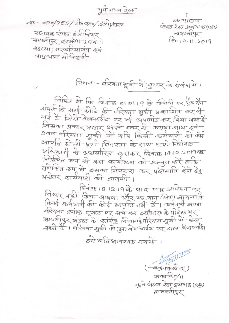पूर्व मध्य रेल

20-0510/255/270070/2010/2010 सहायक अंडल इंजीनियर समस्तीपुर हरअंशा 1 ख्वं ॥ ४३२२मा, मरकारथागंज खन लाप्र्याम मोनिष्ठारी

कायालय गुडस रेल पदम्य 8 (कार) समस्तीपुर 12019.11.2019

विषय'- वारंयता सूची भें सुयार के संबंध भें।

विदिन ही कि दिनांक 01.01.19 के स्थिति पर इंडेमेंन संवर्ण के सभी कोटि की वीरयता यूयी प्रकाशित कर थी गई है जिसे वैबसाईट पर भी अपलोड कर दिया गया है जिसका प्रचार प्रसार अपने स्तर से कराया जाय हवी उक्त वरियता सूची में यदि किसी कर्मचारी को फोई आपनि हो तो पूर्ण विवरण के साथ अपने नियंत्रक अस्पिकारी से अशखारित कराकर दिनांक 18.12.2019 के समेकित रुप से इसका निपटारा कर पर्वालाति रैने हैंड अर्शेतर कायवारी की जायगी ।

दिनाफ 18.12.19 के बाद प्राप्त आवेदन पर विचार मही किया जायगा और यह मान लिया जायगाड़ि<br>किसी कर्मचारी की कोई आपत्ति नहीं है। कर्मचारी अपना र्वारेयता क्रमांक घूगल पर सर्च कर इसीआर० के पोर्टल पर<br>समस्तीपुर भंडल के कार्जिक निनाग्रो परियता सूची में बेया यकते हैं। अरियता सूची को पुनः वे बयाईट पर डाल्ड बियागयार्ड।

इस भतिभावश्यक समर्भ ।

 $\sqrt{\frac{2}{\pi}}$ सकाचिन/11 कुले के उस रेख प्रबंग 5 (का) व्यायस्तीपुर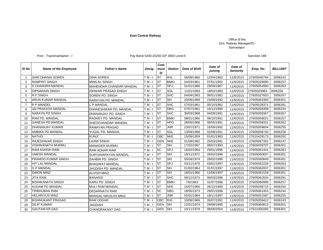### **East Central Railway**

### Office of the Divl. Railway Manager(P) Samastipur

### Post - Trackmaintainer - I Post - Trackmaintainer - I Pay Band 5200-20200 GP 2800 Level-5

Sanction 188

| SI No          | <b>Name of the Employee</b> | <b>Father's Name</b>           | Desig.   | Com<br>muni<br>ty | <b>Station</b> | <b>Date of Birth</b> | Date of<br>joining | Date of<br><b>Seniority</b> | Emp. No.    | <b>BILLUNIT</b> |
|----------------|-----------------------------|--------------------------------|----------|-------------------|----------------|----------------------|--------------------|-----------------------------|-------------|-----------------|
| $\overline{1}$ | <b>SHRI DHANAI SOREN</b>    | <b>DINA SOREN</b>              | $TM - I$ | <b>ST</b>         | <b>RXL</b>     | 06/09/1960           | 12/04/1982         | 11/6/2015                   | 27605040784 | 3006243         |
| $\overline{2}$ | <b>RAMPRIT SINGH</b>        | <b>MINILAL SINGH</b>           | T M - I  | <b>ST</b>         | <b>BMKI</b>    | 04/03/1961           | 07/01/1982         | 11/6/2015                   | 27605029995 | 3006257         |
| 3              | S CHANDRA MANDAL            | <b>MAHENDAR CHANDAR MANDAL</b> | $TM -$   | <b>ST</b>         | <b>SPJ</b>     | 01/01/1966           | 29/09/1987         | 11/6/2015                   | 27605054990 | 3006263         |
| 4              | <b>DIPNARAIN SINGH</b>      | <b>ISHWAR PRASAD SINGH</b>     | $TM - I$ | <b>ST</b>         | SGL            | 11/01/1963           | 18/02/1983         | 11/6/2015                   | 27605029983 | 3006256         |
| 5              | R.P.SINGH                   | SOREN PD. SINGH                | $TM - I$ | <b>ST</b>         | <b>SHC</b>     | 04/04/1963           | 08/01/1982         | 11/6/2015                   | 27605027603 | 3006267         |
| 6              | <b>ARUN KUMAR MANDAL</b>    | NARAYAN PD. MANDAL             | $TM -$   | <b>ST</b>         | SKI            | 20/08/1969           | 23/09/1992         | 11/6/2015                   | 27605063383 | 3006301         |
| $\overline{7}$ | R P MANDEL                  | L P MANDAL                     | $TM - I$ | <b>ST</b>         | <b>SHC</b>     | 07/03/1961           | 05/10/1982         | 11/6/2015                   | 27605028371 | 3006281         |
| 8              | <b>JAI PRAKASH MANDAL</b>   | DHANESHWAR PD, MANDAL          | TM-      | <b>ST</b>         | <b>DBG</b>     | 07/07/1961           | 16/12/1990         | 11/6/2015                   | 27605058399 | 3006244         |
| 9              | <b>NARAYN PD SINGH</b>      | DHANANJAY PD, SINGH            | T M - I  | <b>ST</b>         | <b>SHC</b>     | 30/03/1968           | 04/09/1991         | 11/6/2015                   | 27605059367 | 3006267         |
| 10             | RAM PD. MANDAL              | RADHEY PD. MANDAL              | TM-      | <b>ST</b>         | <b>BMKI</b>    | 08/01/1966           | 08/10/1991         | 11/6/2015                   | 27605059021 | 3006257         |
| 11             | <b>GANESH PD.MANDAL</b>     | SHEOCHANDAR MANDAL             | $TM - I$ | <b>ST</b>         | <b>HPO</b>     | 28/05/1968           | 08/05/1991         | 11/6/2015                   | 27605059331 | 3006262         |
| 12             | <b>DHANANJAY KUMAR</b>      | <b>RAMAYAN PRASAD</b>          | $TM - I$ | <b>ST</b>         | <b>JNR</b>     | 23/07/1971           | 16/09/1992         | 11/6/2015                   | 27605059604 | 3006255         |
| 13             | AMBIKA PD MANDAL            | YUGAL PD. MANDAL               | $TM - I$ | <b>ST</b>         | SGL            | 13/09/1968           | 02/09/1991         | 11/6/2015                   | 27605058740 | 3006256         |
| 14             | <b>NATHO</b>                | <b>KUNJI</b>                   | $TM -$   | OBC               | <b>NKE</b>     | 15/09/1959           | 01/01/1983         | 11/6/2015                   | 27610428173 | 3006250         |
| 15             | RAJESHWAR SINGH             | <b>LAXMI SINGH</b>             | T M - I  | <b>GEN</b>        | <b>NKE</b>     | 01/09/1962           | 25/03/1981         | 11/6/2015                   | 27605067352 | 3006247         |
| 16             | VISHWANATH MURMU            | MANAGER MURMU                  | T M - I  | <b>ST</b>         | SKI            | 17/02/1967           | 08/07/1993         | 11/6/2015                   | 27605059707 | 3006301         |
| 17             | <b>RAM ASHISH RAM</b>       | <b>RAM ADHAR RAM</b>           | $TM -$   | <b>SC</b>         | <b>SPJ</b>     | 16/02/1964           | 29/01/1996         | 11/6/2015                   | 27605061441 | 3006263         |
| 18             | <b>UMESH MANDAL</b>         | SURYANARAYAN MANDAL            | $TM - I$ | <b>ST</b>         | SKI            | 18/11/1972           | 28/02/1996         | 11/6/2015                   | 27605060837 | 3006301         |
| 19             | PRAMOD KUMAR SINGH          | SAHBIR PD. SINGH               | $TM - I$ | <b>ST</b>         | SKI            | 05/04/1974           | 28/02/1996         | 11/6/2015                   | 27605060849 | 3006301         |
| 20             | <b>HIT LAL MANDAL</b>       | <b>BHAGWAT MANDAL</b>          | $TM - I$ | <b>ST</b>         | <b>SPJ</b>     | 03/11/1970           | 03/01/1997         | 11/6/2015                   | 27605062226 | 3006263         |
| 21             | <b>G.P.MANDAL</b>           | JAGDISH PD. MANDAL             | $TM - I$ | <b>ST</b>         | SKI            | 01/02/1964           | 31/01/1997         | 11/6/2015                   | 27605062007 | 3006301         |
| 22             | <b>SIMON MINZ</b>           | <b>ALVISH MINZ</b>             | $TM -$   | <b>ST</b>         | SKI            | 18/01/1966           | 12/06/1997         | 11/6/2015                   | 27605062159 | 3006301         |
| 23             | <b>JITA RAM</b>             | <b>BANARSI</b>                 | T M - I  | <b>ST</b>         | <b>SHC</b>     | 06/12/1973           | 09/03/1996         | 11/6/2015                   | 27605062834 | 3006281         |
| 24             | <b>BISHWANATH SINGH</b>     | KARU PD. SINGH                 | T M -    | <b>ST</b>         | <b>BMKI</b>    | 7/6/1963             | 31/07/1996         | 11/6/2015                   | 27605060989 | 3006257         |
| 25             | SUDAM PD MANDAL             | MULI RAM MANDAL                | $TM - I$ | <b>ST</b>         | <b>NKE</b>     | 15/07/1960           | 26/12/1990         | 11/6/2015                   | 27605058715 | 3006250         |
| 26             | TRIBHUBAN RAM               | <b>DEDARNATH RAM</b>           | $TM -$   | <b>SC</b>         | <b>DBG</b>     | 18/05/1973           | 29/01/1996         | 11/6/2015                   | 27605061453 | 3006244         |
| 27             | <b>HELARIYUS MINZ</b>       | <b>MANGAL NIKOLAS MINZ</b>     | T M - I  | <b>ST</b>         | <b>JNR</b>     | 02/01/1964           | 18/11/1987         | 11/6/2015                   | 27605051587 | 3006255         |
| 28             | <b>BISHNUKANT PRASAD</b>    | <b>RAM UDGAR</b>               | T M - I  | <b>OBC</b>        | <b>RXL</b>     | 10/06/1969           | 26/07/1991         | 11/6/2015                   | 27605059422 | 3006243         |
| 29             | <b>DILIP KUMAR</b>          | <b>JAGDISH</b>                 | $TM -$   | <b>GEN</b>        | <b>SKI</b>     | 12/01/1974           | 29/08/1995         | 11/6/2015                   | 27605060813 | 3006301         |
| 30             | <b>GAUTAM KR.DAS</b>        | CHANDRAKANT DAS                | $TM - I$ | <b>GEN</b>        | <b>SKI</b>     | 10/11/1979           | 08/06/2004         | 11/6/2015                   | 27621000260 | 3006301         |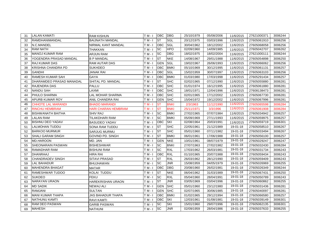| 31 | <b>LALAN KAMATI</b>       | <b>RAM KISHUN</b>      | T M - I  | <b>OBC</b>             | DBG         | 25/10/1979 | 05/08/2006 | 11/6/2015 | 27621000371 | 3006244 |
|----|---------------------------|------------------------|----------|------------------------|-------------|------------|------------|-----------|-------------|---------|
| 32 | <b>RAMDHANIMANDAL</b>     | <b>BAIJNATH MANDAL</b> | T M - I  | <b>ST</b>              | SGL         | 20/12/1975 | 03/03/1996 | 11/6/2015 | 27605061910 | 3006256 |
| 33 | N.C.MANDEL                | NIRMAL KANT MANDAL     | T M - I  | OBC                    | SGL         | 30/04/1962 | 18/12/2002 | 11/6/2015 | 27605068058 | 3006256 |
| 34 | <b>RAM NATH</b>           | THAKKAN                | T M - I  | <b>SC</b>              | <b>HPO</b>  | 02/09/1960 | 14/09/1985 | 11/6/2015 | 27605042707 | 3006262 |
| 35 | <b>MANOJ KUMAR RAM</b>    | ARJUN RAM              | T M - I  | <b>SC</b>              | <b>DBG</b>  | 18/02/1975 | 18/02/2004 | 11/6/2015 | 27621000111 | 3006244 |
| 36 | YOGENDRA PRASAD MANDAL    | <b>B P MANDAL</b>      | T M - I  | <b>ST</b>              | <b>NKE</b>  | 14/08/1967 | 29/01/1988 | 11/6/2015 | 27605054898 | 3006250 |
| 37 | RAJ KUMAR DAS             | RAM AUTAR DAS          | $TM - I$ | <b>GEN</b>             | SGL         | 19/02/1967 | 26/06/1993 | 11/6/2015 | 27605066062 | 3006256 |
| 38 | KRISHNA CHANDRA PD        | SUKHDEO                | $TM - I$ | <b>OBC</b>             | <b>BMKI</b> | 05/10/1969 | 30/12/1995 | 11/6/2015 | 27605061131 | 3006257 |
| 39 | GANDHI                    | JANAK RAI              | T M - I  | <b>OBC</b>             | SGL         | 15/02/1959 | 30/07/1997 | 11/6/2015 | 27605063103 | 3006256 |
| 40 | RAMESH KUMAR SAH          | GAYA                   | T M - I  | <b>OBC</b>             | <b>BMKI</b> | 01/03/1980 | 17/03/1998 | 11/6/2015 | 27605291434 | 3006257 |
| 41 | DHARAMDEO PRASAD MANADAL  | SHITAL PD. MANDAL      | T M - I  | <b>ST</b>              | <b>SHC</b>  | 02/02/1965 | 07/12/1990 | 11/6/2015 | 27605055880 | 3006281 |
| 42 | RAJENDRA DAS              | PALLU                  | T M - I  | <b>OBC</b>             | <b>SHC</b>  | 01/01/1974 | 16/12/1995 | 11/6/2015 | 27605061880 | 3006281 |
| 43 | NANDU SAH                 | LAXMI                  | T M - I  | <b>OBC</b>             | <b>SHC</b>  | 18/01/1971 | 12/04/1996 | 11/6/2015 | 27608138473 | 3006281 |
| 44 | PHULO SHARMA              | LAL MOHAR SHARMA       | $TM - I$ | <b>OBC</b>             | <b>SHC</b>  | 02/01/1965 | 17/12/2002 | 11/6/2015 | 27605067730 | 3006281 |
| 45 | APURB KUMAR ROY           | ANIL CHANDRA RAI       | T M - I  | <b>GEN</b>             | <b>SHC</b>  | 15/04/1972 | 19/12/2002 | 11/6/2015 | 27605067996 | 3006281 |
| 46 | <b>CHHOTE LAL MARANDI</b> | <b>BHADO MARANDI</b>   | T M - I  | <b>ST</b>              | <b>BNKI</b> | 2/3/1963   | 11/12/1990 | 11/6/2015 | 27605065598 | 3006284 |
| 47 | <b>RINCHU HEMBRAM</b>     | HARI CHARAN HEMBRAM    | T M - I  | <b>ST</b>              | <b>BNKI</b> | 25/11/1971 | 3/3/1996   | 11/6/2015 | 27605061908 | 3006284 |
| 48 | BISHWANATH BAITHA         | <b>SHIV RAJ</b>        | T M - I  | <b>SC</b>              | <b>BMKI</b> | 27/02/1965 | 07/07/1984 | 11/6/2015 | 27605034942 | 3006257 |
| 49 | LALAN RAM                 | TILAKDHARI RAM         | $TM - I$ | <b>SC</b>              | <b>BMKI</b> | 05/09/1969 | 27/11/1993 | 11/6/2015 | 27605059975 | 3006257 |
| 50 | <b>BISHNU DEO YADAV</b>   | <b>BASUDEO YADAV</b>   | $TM - I$ | OBC                    | <b>SKI</b>  | 02/08/1964 | 20/03/1991 | 11/6/2015 | 27605059719 | 3006301 |
| 51 | LALMOHAN TUDDU            | SONA RAM TUDDU         | T M - I  | <b>ST</b>              | <b>SHC</b>  | 22/05/1961 | 21/12/1989 | 19-01-18  | 27605058510 | 3006267 |
| 52 | <b>BARKOO MURMUR</b>      | SARJUG MURMU           | T M - I  | <b>ST</b>              | <b>SHC</b>  | 05/01/1960 | 07/11/1982 | 19-01-18  | 27605033494 | 3006267 |
| 53 | SHALI GARAM SINGH         | GOVIND PD. SINGH       | $TM - I$ | <b>ST</b>              | <b>BMKI</b> | 06/01/1961 | 17/06/1988 | 19-01-18  | 27605056100 | 3006257 |
| 54 | MD.HAROON                 | MD. JAN                | T M - I  | <b>GEN</b>             | <b>NKE</b>  | 10/01/1961 | 08/07/1979 | 19-01-18  | 27605029247 | 3006247 |
| 55 | SHEONARAIN PASWAN         | <b>BISHESHWAR</b>      | T M - I  | <b>SC</b>              | <b>BNKI</b> | 27/07/1963 | 27/02/1982 | 19-01-18  | 27605032430 | 3006284 |
| 56 | RAMADHAR RAM              | <b>BISHUNI RAM</b>     | $TM - I$ | <b>SC</b>              | <b>RXL</b>  | 17/03/1962 | 26/03/1981 | 19-01-18  | 27605031734 | 3006243 |
| 57 | DHANRAAJ                  | HIRA RAI               | T M - I  | <b>OBC</b>             | <b>RXL</b>  | 01/10/1965 | 20/07/1988 | 19-01-18  | 27605059434 | 3006243 |
| 58 | <b>CHANDRADEV SINGH</b>   | SITAVI PRASAD          | T M - I  | <b>ST</b>              | <b>RXL</b>  | 26/03/1962 | 28/12/1990 | 19-01-18  | 27605059409 | 3006243 |
| 59 | LAL BAHADUR               | <b>BHUJHAWAN</b>       | T M - I  | <b>SC</b>              | <b>JNR</b>  | 15/08/1959 | 04/05/1979 | 19-01-18  | 27605026969 | 3006255 |
| 60 | <b>MAHENDRA BHAGAT</b>    | MATAR                  | $TM - I$ | <b>OBC</b>             | <b>DBG</b>  | 20/08/1960 | 26/02/1981 | 19-01-18  | 27605026349 | 3006244 |
| 61 | RAMESHWAR TUDOO           | KOLAI TUDDU            | $TM - I$ | <b>ST</b>              | <b>NKE</b>  | 06/04/1962 | 31/03/1989 | 19-01-18  | 27605067431 | 3006250 |
| 62 | <b>SUKDEO</b>             | FEKU                   | T M - I  | <b>SC</b>              | <b>RXL</b>  | 05/04/1960 | 28/04/1991 | 19-01-18  | 27605050789 | 3006243 |
| 63 | <b>NARAYAN URAON</b>      | HAREKRISHAN URAON      | T M - I  | <b>ST</b>              | <b>JNR</b>  | 03/05/1969 | 03/04/1996 | 19-01-18  | 27605060862 | 3006255 |
| 64 | <b>MD SADIK</b>           | NEWAJ ALI              | T M - I  | <b>GEN</b>             | <b>SHC</b>  | 05/01/1960 | 23/12/1980 | 19-01-18  | 27605031436 | 3006281 |
| 65 | RAMJANI                   | <b>SULTAN</b>          | T M - I  | <b>GEN</b>             | <b>SHC</b>  | 02/07/1965 | 30/06/1985 | 19-01-18  | 27605040097 | 3006281 |
| 66 | <b>MANI KUMAR THAPA</b>   | JAS BAHADUR THAPA      | T M - I  | OBC                    | <b>BMKI</b> | 01/02/1965 | 29/12/1994 | 19-01-18  | 27605066580 | 3006257 |
| 67 | <b>NATHUNU KAMTI</b>      | RAVI KAMTI             | T M - I  | OBC                    | <b>SKI</b>  | 12/03/1961 | 01/08/1981 | 19-01-18  | 27605039149 | 3006301 |
| 68 | RAM DEO PASWAN            | <b>GARIB PASWAN</b>    | T M - I  | <b>SC</b>              | SKI         | 15/01/1960 | 29/07/1996 | 19-01-18  | 27605062135 | 3006301 |
| 69 | <b>MAHESH</b>             | <b>NATHUNI</b>         | T M - I  | $\overline{\text{sc}}$ | <b>JNR</b>  | 02/09/1959 | 28/04/1986 | 19-01-18  | 27605037633 | 3006255 |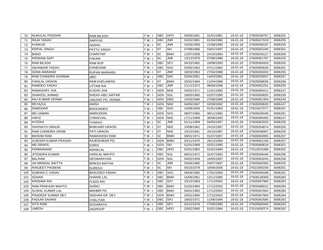| 70  | <b>NUNULAL PODDAR</b>    | <b>RAM BILASH</b>     | T M - I  | <b>OBC</b> | <b>HPO</b>  | 04/05/1961 | 31/01/1981 | 19-01-18 | 27605039757 | 3006262 |
|-----|--------------------------|-----------------------|----------|------------|-------------|------------|------------|----------|-------------|---------|
| 71  | RAJA YADAV               | SARYUG                | T M - I  | OBC        | <b>JNR</b>  | 01/01/1961 | 01/04/1980 | 19-01-18 | 27605027019 | 3006255 |
| 72  | <b>KUNKUN</b>            | <b>SADHU</b>          | T M - I  | <b>SC</b>  | <b>JNR</b>  | 15/03/1959 | 21/08/1990 | 19-01-18 | 27605059197 | 3006255 |
| 73  | KRIPAL SINGH             | PATTU SINGH           | T M - I  | <b>ST</b>  | <b>SKI</b>  | 07/08/1966 | 03/01/1997 | 19-01-18 | 27605062240 | 3006301 |
| 74  | <b>BANO</b>              | <b>CHARITAR</b>       | T M - I  | <b>SC</b>  | <b>BNKI</b> | 12/07/1959 | 24/10/1984 | 19-01-18 | 27605040127 | 3006284 |
| 75  | <b>KRISHNA SAFI</b>      | <b>FAKIRA</b>         | $TM - I$ | <b>SC</b>  | <b>JNR</b>  | 13/12/1976 | 07/06/1996 | 19-01-18 | 27605061787 | 3006255 |
| 76  | RAM BILASH               | <b>RAM RUP</b>        | $TM - I$ | OBC        | SPJ         | 04/10/1962 | 19/08/1993 | 19-01-18 | 27605065926 | 3006263 |
| 77  | SIKANDAR YADAV           | CHHEDAMI              | $TM - I$ | OBC        | <b>SHC</b>  | 02/05/1963 | 07/11/1982 | 19-01-18 | 27605065628 | 3006281 |
| 78  | SONA MARANDI             | RUPAN MARANDI         | $TM - I$ | <b>ST</b>  | <b>JNR</b>  | 16/03/1963 | 27/04/1988 | 19-01-18 | 27605055003 | 3006255 |
| 79  | RAM CHANDRA SHARMA       | JIBO                  | T M - I  | <b>OBC</b> | <b>SHC</b>  | 02/04/1961 | 14/03/1981 | 19-01-18 | 27605033007 | 3006267 |
| 80  | FANILAL ORAON            | RAM KHELAWAN          | T M - I  | <b>ST</b>  | <b>BNKI</b> | 25/01/1964 | 11/04/1988 | 19-01-18 | 27605058636 | 3006284 |
| 81  | RAMDEO YADAV             | UTTAM RAI             | T M - I  | OBC        | <b>JNR</b>  | 21/11/1972 | 08/06/1996 | 19-01-18 | 27605062251 | 3006255 |
| 82  | RAMASHRY JHA             | KUSHO JHA             | T M - I  | <b>GEN</b> | <b>NKE</b>  | 03/02/1971 | 11/01/1995 | 19-01-18 | 27605060412 | 3006247 |
| 83  | <b>SHAKEEL AHMAD</b>     | SHEKH ABU JAFFAR      | $TM - I$ | <b>GEN</b> | SGL         | 18/05/1965 | 01/07/1995 | 19-01-18 | 27605060655 | 3006256 |
| 84  | RAJ KUMAR VERMA          | JAIKANT PD. VERMA     | T M - I  | <b>GEN</b> | <b>DBG</b>  | 15/03/1966 | 27/08/1995 | 19-01-18 | 27605061404 | 3006244 |
| 85  | REYAZUL                  | ANISH                 | T M - I  | <b>GEN</b> | <b>NKE</b>  | 04/05/1967 | 02/09/1992 | 19-01-18 | 27605059630 | 3006247 |
| 86  | <b>DAMODAR</b>           | BISHUNDEO             | T M - I  | <b>OBC</b> | <b>SHC</b>  | 10/09/1959 | 01/01/1983 | 19-01-18 | 27610427077 | 3006267 |
| 87  | <b>MD USMAN</b>          | AMIRUDDIN             | T M - I  | <b>GEN</b> | <b>SHC</b>  | 08/07/1960 | 08/11/1982 | 19-01-18 | 27605028449 | 3006281 |
| 88  | HAFIZ                    | CHANCHAL              | T M - I  | <b>GEN</b> | <b>NKE</b>  | 17/11/1968 | 30/06/1993 | 19-01-18 | 27605060400 | 3006247 |
| 89  | AYODHI                   | THAKKO                | $TM - I$ | <b>SC</b>  | <b>JNR</b>  | 01/11/1959 | 04/05/1997 | 19-01-18 | 27605062020 | 3006255 |
| 90  | SHIVNATH URAUN           | <b>BHIKHARI URAON</b> | T M - I  | <b>ST</b>  | <b>NKE</b>  | 10/08/1961 | 24/10/1987 | 19-01-18 | 27605054874 | 3006250 |
| 91  | RAM CHANDRA URAW         | PATI URAON            | T M - I  | <b>ST</b>  | <b>NKE</b>  | 10/12/1961 | 20/10/1987 | 19-01-18 | 27605046907 | 3006250 |
| 92  | BIKRAM RAM               | RAMASHISH RAM         | $TM - I$ | <b>SC</b>  | <b>BMKI</b> | 09/01/1971 | 01/07/1997 | 19-01-18 | 27605063905 | 3006257 |
| 93  | SUBODH KUMAR PRASAD      | RAJESHWAR PD.         | T M - I  | <b>GEN</b> | <b>BMKI</b> | 20/11/1970 | 28/12/1994 | 19-01-18 | 27605061106 | 3006257 |
| 94  | <b>MD ISRAFIL</b>        | EDRIS                 | T M - I  | <b>GEN</b> | <b>SKI</b>  | 01/01/1969 | 02/01/1995 | 19-01-18 | 27605060618 | 3006301 |
| 95  | PARMANAND                | <b>ADHIKLAL</b>       | $TM - I$ | OBC        | <b>HPO</b>  | 02/01/1962 | 01/01/1984 | 19-01-18 | 27610431068 | 3006262 |
| 96  | JITENDRA KUMAR           | HARILAL MAHTO         | T M - I  | OBC        | SGL         | 06/01/1972 | 31/07/1993 | 19-01-18 | 27605059446 | 3006256 |
| 97  | <b>BALRAM</b>            | DEONARAYAN            | T M - I  | <b>GEN</b> | SGL         | 04/02/1959 | 16/05/1997 | 19-01-18 | 27605063243 | 3006256 |
| 98  | <b>JAI MANGAL BAITTA</b> | <b>BRIKSH BAITHA</b>  | T M - I  | <b>SC</b>  | <b>JNR</b>  | 25/04/1965 | 24/07/1997 | 19-01-18 | 27605062950 | 3006255 |
| 99  | RANJEET PASWAN           | SURESH                | T M - I  | <b>SC</b>  | <b>SKI</b>  | 05/10/1979 | 18/06/2005 | 19-01-18 | 27621000258 | 3006301 |
| 100 | <b>SUBHAS C YADAV</b>    | <b>BASUDEO YADAV</b>  | $TM - I$ | <b>OBC</b> | <b>SHC</b>  | 06/04/1965 | 17/01/1994 | 19-01-18 | 27605060448 | 3006281 |
| 101 | <b>SOHAN</b>             | <b>DHANIK LAL</b>     | T M - I  | <b>OBC</b> | <b>BNKI</b> | 15/06/1961 | 13/11/1985 | 19-01-18 | 27608138308 | 3006284 |
| 102 | KRISHNA RAI              | FUDDI RAI             | T M - I  | <b>OBC</b> | SPJ         | 10/12/1963 | 17/12/2002 | 19-01-18 | 27605067960 | 3006263 |
| 103 | RAM PRAKASH MAHTO        | SURAJ                 | T M - I  | <b>OBC</b> | <b>BNKI</b> | 01/02/1964 | 17/12/2002 | 19-01-18 | 27605068022 | 3006284 |
| 104 | <b>SUSHIL KUMAR LAL</b>  | MAHBIR PD.            | T M - I  | <b>OBC</b> | <b>BNKI</b> | 04/01/1965 | 17/12/2002 | 19-01-18 | 27605067844 | 3006284 |
| 105 | PRADEEP KUMAR DEY        | SADHAN KR. DEY        | T M - I  | <b>GEN</b> | <b>BNKI</b> | 25/01/1965 | 17/12/2002 | 19-01-18 | 27605067900 | 3006284 |
| 106 | <b>FAGUNI SAHANI</b>     | <b>CHALITAR</b>       | T M - I  | OBC        | SPJ         | 16/02/1971 | 11/06/1994 | 19-01-18 | 27605062585 | 3006263 |
| 107 | <b>SITA RAM</b>          | <b>SOGARATH</b>       | T M - I  | OBC        | <b>SPJ</b>  | 03/12/1976 | 27/08/1995 | 19-01-18 | 27605065940 | 3006263 |
| 108 | <b>UMESH</b>             | JAGROOP               | T M - I  | <b>OBC</b> | <b>HPO</b>  | 20/02/1960 | 01/01/1984 | 19-01-18 | 27610430374 | 3006262 |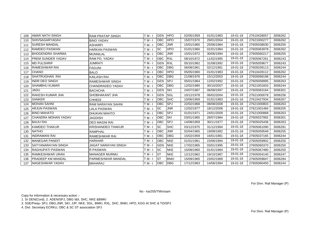| 109 | <b>AMAR NATH SINGH</b>     | <b>RAM PRATAP SINGH</b>  | $TM - I$ | <b>GEN</b> | <b>HPO</b>  | 02/05/1959 | 01/01/1983 | 19-01-18 | 27610428057 | 3006262 |
|-----|----------------------------|--------------------------|----------|------------|-------------|------------|------------|----------|-------------|---------|
| 110 | <b>SHIVSAGARYADAV</b>      | <b>BINO YADAV</b>        | T M - I  | OBC        | <b>HPO</b>  | 15/07/1970 | 29/01/2004 | 19-01-18 | 27621000277 | 3006262 |
| 111 | <b>SURESH MANDAL</b>       | <b>ASHARFI</b>           | T M - I  | OBC        | <b>JNR</b>  | 15/01/1965 | 25/06/1984 | 19-01-18 | 27605038030 | 3006255 |
| 112 | <b>RAMDEO PASWAN</b>       | <b>HARKAN PASWAN</b>     | $TM - I$ | <b>SC</b>  | <b>HPO</b>  | 01/01/1960 | 01/01/1984 | 19-01-18 | 27605063978 | 3006262 |
| 113 | <b>BHOGENDRA SHARMA</b>    | <b>MUNNILAL</b>          | T M - I  | OBC        | <b>JNR</b>  | 15/01/1972 | 30/06/1994 | 19-01-18 | 27605060217 | 3006255 |
| 114 | <b>PREM SUNDER YADAV</b>   | RAM PD. YADAV            | T M - I  | <b>OBC</b> | <b>RXL</b>  | 08/10/1972 | 11/02/1995 | 19-01-18 | 27605067261 | 3006243 |
| 115 | <b>MD FULSHRIF</b>         | <b>JUMRATI</b>           | T M - I  | <b>GEN</b> | <b>RXL</b>  | 05/10/1962 | 31/08/1992 | 19-01-18 | 27605059677 | 3006243 |
| 116 | <b>RAMESHWAR RAI</b>       | <b>FAGUNI</b>            | T M - I  | OBC        | <b>DBG</b>  | 06/08/1961 | 02/12/1981 | 19-01-18 | 27605039113 | 3006244 |
| 117 | <b>CHANO</b>               | <b>BALO</b>              | T M - I  | OBC        | <b>HPO</b>  | 05/05/1960 | 01/01/1983 | 19-01-18 | 27610428112 | 3006262 |
| 118 | SHATRUGHAN RAI             | <b>KAILASH RAI</b>       | T M - I  | OBC        | <b>DBG</b>  | 21/08/1976 | 15/12/2003 | 19-01-18 | 27605068198 | 3006244 |
| 119 | <b>INDR DEO SINGH</b>      | RAMESHWAR SINGH          | $TM - I$ | <b>GEN</b> | <b>SPJ</b>  | 05/01/1964 | 12/02/1992 | 19-01-18 | 27605058995 | 3006263 |
| 120 | <b>SHAMBHU KUMAR</b>       | <b>CHANDRADEO YADAV</b>  | $TM - I$ | OBC        | <b>DBG</b>  | 12/02/1980 | 30/10/2007 | 19-01-18 | 27621001603 | 3006244 |
| 121 | <b>JADU</b>                | <b>BACHCHA</b>           | T M - I  | <b>GEN</b> | <b>SKI</b>  | 24/07/1967 | 06/08/1997 | 19-01-18 | 27605063164 | 3006301 |
| 122 | <b>RAKESH KUMAR JHA</b>    | SHOBHAKANT JHA           | T M - I  | <b>GEN</b> | SGL         | 10/12/1978 | 06/02/2004 | 19-01-18 | 27621000078 | 3006256 |
| 123 | <b>SANKER</b>              | <b>CHHEDI</b>            | T M - I  | OBC        | <b>SHC</b>  | 10/06/1959 | 01/01/1983 | 19-01-18 | 27610427934 | 3006267 |
| 124 | <b>MOHAN SAHNI</b>         | <b>RAM NARAYAN SAHNI</b> | T M - I  | OBC        | <b>SPJ</b>  | 22/02/1968 | 08/08/2008 | 19-01-18 | 27621000803 | 3006263 |
| 125 | <b>ARJUN PASWAN</b>        | <b>LALA PASWAN</b>       | T M - I  | <b>SC</b>  | <b>JNR</b>  | 12/02/1977 | 18/12/2008 | 19-01-18 | 27621001484 | 3006255 |
| 126 | <b>BINO MAHATO</b>         | DHUKAN MAHTO             | $TM - I$ | <b>OBC</b> | <b>SPJ</b>  | 01/01/1971 | 24/01/2009 | 19-01-18 | 27621000868 | 3006263 |
| 127 | <b>CHANDRA MOHAN YADAV</b> | JAGDISH                  | $TM - I$ | OBC        | <b>SKI</b>  | 03/01/1965 | 28/07/1984 | 19-01-18 | 27605037992 | 3006301 |
| 128 | <b>BAIJU RAI</b>           | <b>DEO MAGNI RAI</b>     | $TM - I$ | <b>OBC</b> | <b>SPJ</b>  | 14/08/1959 | 30/11/1977 | 19-01-18 | 27605025436 | 3006263 |
| 129 | <b>KAMDEO THAKUR</b>       | <b>KRISHANDEO THAKUR</b> | T M - I  | <b>SC</b>  | <b>SHC</b>  | 03/12/1975 | 31/12/1994 | 19-01-18 | 27605061090 | 3006281 |
| 130 | <b>NATHO</b>               | <b>RAMPHAL</b>           | T M - I  | OBC        | <b>JNR</b>  | 02/04/1965 | 19/08/1992 | 19-01-18 | 27605059549 | 3006255 |
| 131 | <b>INDRAMANI RAI</b>       | <b>RAMESHWAR RAI</b>     | T M - I  | OBC        | <b>DBG</b>  | 15/02/1959 | 16/01/1981 | 19-01-18 | 27605037165 | 3006244 |
| 132 | <b>MANEGAR PANDIT</b>      | <b>HARIHAR</b>           | T M - I  | OBC        | <b>NKE</b>  | 01/01/1961 | 23/06/1994 | 19-01-18 | 27605059902 | 3006250 |
| 133 | <b>SATYANARAYAN SINGH</b>  | JAGAT NARAYAN SINGH      | T M - I  | <b>GEN</b> | <b>NKE</b>  | 17/02/1965 | 03/01/1995 | 19-01-18 | 27605060370 | 3006250 |
| 134 | <b>RAGHUPATI PASWAN</b>    | <b>R PASWAN</b>          | T M - I  | <b>ISC</b> | <b>NKE</b>  | 15/08/1960 | 01/01/1984 | 19-01-18 | 27605067480 | 3006250 |
| 135 | RAMKESHWAR URAN            | <b>MANAGER MURMU</b>     | T M - I  | <b>ST</b>  | <b>NKE</b>  | 12/12/1962 | 19/10/1987 | 19-01-18 | 27605054140 | 3006247 |
| 136 | <b>PRADEEP KM MANDAL</b>   | PARMESHWAR MANDAL        | Г M - I  | <b>ST</b>  | <b>BNKI</b> | 15/09/1965 | 23/02/1989 | 19-01-18 | 27605059847 | 3006284 |
| 137 | NAGESHWAR YADAV            | <b>MAHARAJ</b>           | T M - I  | OBC        | DBG         | 17/12/1963 | 14/06/1994 | 19-01-18 | 27605060450 | 3006244 |

For Divn. Rail Manager (P)

No - ka/255/TM/v/sam

Copy for information & necessary action :-

1. Sr DEN(Cord), 2. ADEN/SPJ, DBG I&II, SHC, NKE &BMKI

3. SSE/Pway- SPJ, DBG,JNR, SKI, JJP, NKE, SGL, BMKI, RXL, SHC, BNKI, HPO, KGG At SHC & TD/SPJ

4. Divl. Secretary ECRKU, OBC & SC ST association SPJ

For Divn. Rail Manager (P)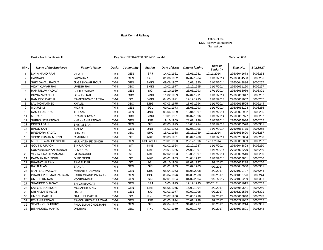### **East Central Railway**

### Office of the Divl. Railway Manager(P) Samastipur

Post - Trackmaintainer II Post - Trackmaintainer II Pay Band 5200-20200 GP 2400 Level-4

Sanction 688

| SI <sub>No</sub> | <b>Name of the Employee</b> | <b>Father's Name</b>     | Desig. | <b>Community</b> | <b>Station</b> | <b>Date of Birth</b> | Date of joining | Date of<br><b>Seniority</b> | Emp. No.    | <b>BILLUNIT</b> |
|------------------|-----------------------------|--------------------------|--------|------------------|----------------|----------------------|-----------------|-----------------------------|-------------|-----------------|
|                  | DAYA NAND RAM               | <b>VIPATI</b>            | TM-II  | <b>GEN</b>       | <b>SPJ</b>     | 14/02/1961           | 16/01/1981      | 17/11/2014                  | 27605041673 | 3006263         |
| $\overline{2}$   | <b>HASNAIN</b>              | <b>JAWAHAR</b>           | TM-II  | <b>GEN</b>       | SGL            | 01/06/1962           | 07/07/1984      | 11/17/2014                  | 27605034530 | 3006256         |
| 3                | <b>SHIO DAYAL RAOUT</b>     | <b>JUGESHWAR ROUT</b>    | TM-II  | <b>GEN</b>       | <b>BMKI</b>    | 09/06/1967           | 16/01/1990      | 11/17/2014                  | 27605048886 | 3006257         |
| $\overline{4}$   | <b>VIJAY KUMAR RAI</b>      | UMESH RAI                | TM-II  | OBC              | <b>BMKI</b>    | 10/02/1977           | 17/12/1995      | 11/17/2014                  | 27605061120 | 3006257         |
| 5                | RAMJULUM YADAV              | <b>BHOLA YADAV</b>       | TM-II  | <b>GEN</b>       | SKI            | 13/10/1969           | 26/06/1993      | 17/11/2014                  | 27605066086 | 3006301         |
| 6                | <b>DIPNARAYAN RAI</b>       | <b>DEWAN RAI</b>         | TM-II  | OBC              | <b>BMKI</b>    | 11/02/1969           | 07/04/1991      | 11/17/2014                  | 27605060047 | 3006257         |
| $\overline{7}$   | <b>RAM DEO BAITHA</b>       | RAMESHWAR BAITHA         | TM-II  | SC               | <b>BMKI</b>    | 04/05/1971           | 17/12/1995      | 11/17/2014                  | 27605061052 | 3006257         |
| 8                | <b>LAL MOHAMMED</b>         | KHALIL                   | TM-II  | OBC              | <b>DBG</b>     | 07.03.1975           | 18.07.1994      | 11/17/2014                  | 27605063505 | 3006244         |
| 9                | <b>MD JASIM</b>             | <b>MOJIM</b>             | TM-II  | <b>GEN</b>       | SGL            | 09/01/1973           | 26/06/1993      | 11/17/2014                  | 27605066104 | 3006256         |
| 10               | <b>RAM CHANDRA</b>          | <b>THAKAN</b>            | TM-II  | <b>GEN</b>       | <b>JNR</b>     | 05/06/1959           | 15/04/1997      | 11/17/2014                  | 27605062962 | 3006255         |
| 11               | <b>MURARI</b>               | PRAMESHWAR               | TM-II  | OBC              | <b>BMKI</b>    | 10/01/1961           | 31/07/1996      | 11/17/2014                  | 27605060977 | 3006257         |
| 12               | <b>SHRIKANT PASWAN</b>      | KHAKHAN PASWAN           | TM-II  | <b>GEN</b>       | <b>JNR</b>     | 19/10/1959           | 28/07/1996      | 11/17/2014                  | 27605063036 | 3006255         |
| 13               | <b>DINESH SAH</b>           | <b>SHYAM SAH</b>         | TM-II  | <b>GEN</b>       | SKI            | 07/03/1975           | 16/08/1994      | 17/11/2014                  | 27605063528 | 3006301         |
| 14               | <b>BINOD SAH</b>            | <b>SUTTA</b>             | TM-II  | <b>GEN</b>       | <b>JNR</b>     | 15/03/1973           | 07/06/1996      | 11/17/2014                  | 27605061775 | 3006255         |
| 15               | <b>BIRENDRA YADAV</b>       | <b>DHALAY</b>            | TM-II  | OBC              | <b>SHC</b>     | 15/02/1968           | 23/11/1989      | 17/11/2014                  | 27605058600 | 3006267         |
| 16               | <b>VINOD KUMAR MURMU</b>    | C MURMU                  | TM-II  | <b>ST</b>        | <b>NKE</b>     | 30/03/1961           | 06/04/1988      | 11/17/2014                  | 27605286864 | 3006250         |
| 17               | MUNESHWAR PD.SINGH          | <b>HARINATH PD SINGH</b> | TM-II  | <b>GEN</b>       | KGG at SHC     | 20/01/1963           | 28/12/1996      | 17/11/2014                  | 27605062809 | 3006267         |
| 18               | <b>GOVIND URAON</b>         | <b>S N URAON</b>         | TM-II  | <b>ST</b>        | <b>NKE</b>     | 01/02/1964           | 20/10/1987      | 11/17/2014                  | 27605048898 | 3006250         |
| 19               | SURYANARAYAN MANDAL         | <b>B. MANDAL</b>         | TM-II  | <b>ST</b>        | <b>NKE</b>     | 28/01/1966           | 24/06/1997      | 11/17/2014                  | 27605063279 | 3006250         |
| 20               | <b>VISHWA NATH MARANDI</b>  | <b>M MARANDI</b>         | TM-II  | <b>ST</b>        | <b>NKE</b>     | 02/02/1963           | 13/09/1997      | 11/17/2014                  | 27605067510 | 3006250         |
| 21               | PARMANAND SINGH             | D. PD SINGH              | TM-II  | <b>ST</b>        | <b>NKE</b>     | 05/01/1963           | 24/04/1997      | 11/17/2014                  | 27605063851 | 3006250         |
| 22               | <b>BHAGAT NARAIN</b>        | <b>RAM PUJARI</b>        | TM-II  | <b>ST</b>        | SGL            | 08/10/1968           | 03/01/1997      | 3/9/2017                    | 27605062238 | 3006256         |
| 23               | <b>RAJJI ALAM</b>           | <b>SAKUR</b>             | TM-II  | <b>GEN</b>       | SKI            | 01/01/1963           | 25/09/1983      | 9/3/2017                    | 27605040930 | 3006301         |
| 24               | <b>MOTI LAL PASWAN</b>      | <b>MAHABIR PASWAN</b>    | TM-II  | <b>GEN</b>       | <b>DBG</b>     | 05/04/1973           | 01/08/2008      | 3/9/2017                    | 27621000727 | 3006244         |
| 25               | PRADEEP KUMAR PASWAN        | FAKIR CHAND PASWAN       | TM-II  | <b>GEN</b>       | <b>DBG</b>     | 05/04/1976           | 01/08/2008      | 3/9/2017                    | 27621000726 | 3006244         |
| 26               | <b>UMESH KR.RAM</b>         | <b>YOGESHWAR</b>         | TM-II  | <b>GEN</b>       | SKI            | 02/01/1984           | 04/02/2004      | 09/03/2017                  | 27621000259 | 3006301         |
| 27               | <b>SHANKER BHAGAT</b>       | <b>SHIVJI BHAGAT</b>     | TM-II  | <b>GEN</b>       | SPJ            | 16/03/1975           | 19/12/1995      | 9/3/2017                    | 27605061015 | 3006263         |
| 28               | <b>SATYADEO SINGH</b>       | MOSAHEB SING             | TM-II  | <b>GEN</b>       | <b>NKE</b>     | 05/05/1975           | 16/02/1994      | 3/9/2017                    | 27605059641 | 3006250         |
| 29               | <b>SRI NAZARE ALAM</b>      | <b>HAFIJ</b>             | TM-II  | <b>GEN</b>       | SKI            | 02/03/1977           | 02/02/1998      | 9/3/2017                    | 27605291586 | 3006301         |
| 30               | <b>UMESH BAITHA</b>         | <b>NATHUNI BAITHA</b>    | TM-II  | SC               | <b>RXL</b>     | 28/07/1960           | 28/08/1996      | 3/9/2017                    | 27605063840 | 3006243         |
| 31               | <b>FEKAN PASWAN</b>         | RAMCHARITAR PASWAN       | TM-II  | <b>GEN</b>       | <b>JNR</b>     | 01/03/1974           | 20/01/1998      | 3/9/2017                    | 27605291082 | 3006255         |
| 32               | <b>SEWAK CHOUDHRY</b>       | PHULEMAN CHODHARI        | TM-II  | <b>GEN</b>       | SKI            | 02/04/1967           | 31/01/1997      | 9/3/2017                    | 27605062214 | 3006301         |
| 33               | <b>BISHNUDEO MAHTO</b>      | <b>DHURAN</b>            | TM-II  | OBC              | <b>RXL</b>     | 01/07/1959           | 07/07/1979      | 3/9/2017                    | 27605031801 | 3006243         |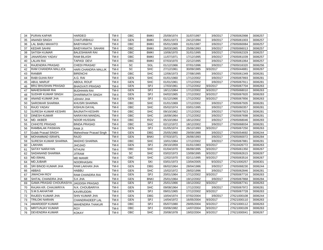| 34 | <b>PURAN KAPAR</b>                    | <b>HARDEO</b>          | TM-II | <b>OBC</b> | <b>BMKI</b> | 25/09/1974 | 31/07/1997 | 3/9/2017 | 27605062998 | 3006257 |
|----|---------------------------------------|------------------------|-------|------------|-------------|------------|------------|----------|-------------|---------|
| 35 | <b>ANANDI SINGH</b>                   | CHATURBHUJ             | TM-II | <b>GEN</b> | <b>BMKI</b> | 05/01/1973 | 24/12/1994 | 3/9/2017 | 27605061003 | 3006257 |
| 36 | LAL BABU MAHATO                       | BAIDYANATH             | TM-II | OBC        | <b>BMKI</b> | 05/01/1969 | 01/01/1987 | 3/9/2017 | 27605060084 | 3006257 |
| 37 | <b>KEDAR SAHNI</b>                    | BAIDYANATH SAHANI      | TM-II | OBC        | <b>BMKI</b> | 26/03/1965 | 25/06/1993 | 3/9/2017 | 27605066013 | 3006257 |
| 38 | <b>SATISH KUMAR</b>                   | <b>BALESHWAR RAI</b>   | TM-II | OBC        | <b>BMKI</b> | 10/06/1970 | 31/01/1995 | 3/9/2017 | 27605062329 | 3006257 |
| 39 | JANARDAN YADAV                        | <b>RAM BILASH</b>      | TM-II | OBC        | <b>BMKI</b> | 11/07/1971 | 17/12/1995 | 3/9/2017 | 27605061039 | 3006257 |
| 40 | <b>LALAN RAI</b>                      | TAPASI DEVI            | TM-II | OBC        | <b>BMKI</b> | 07/03/1970 | 22/12/1995 | 3/9/2017 | 27605061064 | 3006257 |
| 41 | RAJENDRA PRASAD                       | <b>CHEDI PRASAD'</b>   | TM-II | SC         | SGL         | 01/12/1966 | 07/01/1996 | 3/9/2017 | 27605016320 | 3006256 |
| 42 | RAM CHANDRA MALLICK                   | HARI CHANDRA MALLIK    | TM-II | SC         | <b>SHC</b>  | 27/12/1961 | 30/09/1985 | 9/3/2017 | 27605044881 | 3006267 |
| 43 | <b>RANBIR</b>                         | <b>BIRENCHI</b>        | TM-II | OBC        | <b>SHC</b>  | 12/06/1973 | 27/08/1995 | 3/9/2017 | 27605061349 | 3006281 |
| 44 | RABI GUHA RAY                         | A.G. RAI               | TM-II | <b>GEN</b> | <b>SHC</b>  | 01/01/1960 | 17/12/2002 | 3/9/2017 | 27605067893 | 3006281 |
| 45 | <b>ABUL MARUF</b>                     | <b>ABDUL ROUF</b>      | TM-II | <b>GEN</b> | <b>SHC</b>  | 01/01/1961 | 17/12/2002 | 3/9/2017 | 27605067911 | 3006281 |
| 46 | <b>BRIJ BHUSHAN PRASAD</b>            | <b>BHAGVATI PRASAD</b> | TM-II | <b>GEN</b> | SPJ         | 17/03/1961 | 17/12/2002 | 9/3/2017 | 27605067704 | 3006263 |
| 47 | <b>MAHESHWAR RAI</b>                  | <b>BUDHHAN RAI</b>     | TM-II | <b>GEN</b> | SPJ         | 18/11/1964 | 17/12/2002 | 9/3/2017 | 27605068010 | 3006263 |
| 48 | SUDHIR KUMAR SINGH                    | DHARMNATH SINGH        | TM-II | <b>GEN</b> | SPJ         | 04/02/1965 | 17/12/2002 | 9/3/2017 | 27605067820 | 3006263 |
| 49 | ANAND KUMAR JHA                       | UDHAV JHA              | TM-II | <b>GEN</b> | <b>SPJ</b>  | 01/12/1966 | 17/12/2002 | 9/3/2017 | 27605067856 | 3006263 |
| 50 | <b>SAROWAR SHARMA</b>                 | KHUSRI SHARMA          | TM-II | OBC        | <b>SHC</b>  | 01/01/1969 | 17/12/2002 | 3/9/2017 | 27605067935 | 3006281 |
| 51 | RAJO YADAV                            | KISHUN DAYAL           | TM-II | OBC        | <b>SHC</b>  | 05/02/1974 | 03/01/1995 | 3/9/2017 | 27605060357 | 3006281 |
| 52 | <b>SURESH KUMAR KESHRI</b>            | <b>BAIJNATH KESHRI</b> | TM-II | OBC        | <b>SHC</b>  | 09/10/1962 | 17/12/2002 | 3/9/2017 | 27605067923 | 3006281 |
| 53 | <b>DINESH KUMAR</b>                   | NARAYAN MANDAL         | TM-II | OBC        | <b>SHC</b>  | 16/09/1964 | 17/12/2002 | 3/9/2017 | 27605067698 | 3006281 |
| 54 | <b>MD. AKBER</b>                      | NOOR HUSSAN            | TM-II | OBC        | <b>RGV</b>  | 05/10/1964 | 18/12/2002 | 3/9/2017 | 27605068046 | 3006283 |
| 55 | CHHOTE PRASAD                         | <b>BINDA PRASAD</b>    | TM-II | <b>OBC</b> | <b>SHC</b>  | 02/12/1972 | 18/12/2002 | 3/9/2017 | 27605068034 | 3006281 |
| 56 | RAMBALAK PASWAN                       | RAM JI                 | TM-II | <b>GEN</b> | <b>SPJ</b>  | 01/05/1974 | 26/12/1993 | 9/3/2017 | 27605067250 | 3006263 |
| 57 | <b>Gulab Prasad SINGH</b>             | Maheshwar Prasad Singh | TM-II | <b>GEN</b> | <b>DBG</b>  | 25/05/1960 | 29/09/1988 | 3/9/2017 | 27605054692 | 3006244 |
| 58 | <b>MOHAMMAD ISRAFIL</b>               | RAJO                   | TM-II | <b>GEN</b> | <b>BNKI</b> | 07/03/1971 | 26/06/1993 | 3/9/2017 | 27605060072 | 3006284 |
| 59 | SURESH KUMAR SHARMA                   | <b>MADHO SHARMA</b>    | TM-II | OBC        | <b>SHC</b>  | 10/01/1964 | 17/12/2002 | 3/9/2017 | 27605067881 | 3006281 |
| 60 | LAKHAN                                | OHLOHU                 | TM-II | <b>GEN</b> | <b>SPJ</b>  | 29/10/1959 | 01/01/1983 | 9/3/2017 | 27610426772 | 3006263 |
| 61 | <b>SATAY NARAYAN</b>                  | <b>NTHUNI</b>          | TM-II | OBC        | <b>SHC</b>  | 01/04/1970 | 06/09/1995 | 9/3/2017 | 27605061350 | 3006267 |
| 62 | SADANAND SHARMA                       | JITRAM                 | TM-II | <b>SC</b>  | <b>SHC</b>  | 03/02/1973 | 13/09/1995 | 9/3/2017 | 27605062615 | 3006267 |
| 63 | <b>MD.ISMAIL</b>                      | <b>MD MANIR</b>        | TM-II | OBC        | <b>SHC</b>  | 12/02/1970 | 02/11/1995 | 9/3/2017 | 27605063516 | 3006267 |
| 64 | <b>MD.JUBAIR</b>                      | NOORHASAN              | TM-II | <b>GEN</b> | SKI         | 03/01/1973 | 13/04/2005 | 9/3/2017 | 27621000257 | 3006301 |
| 65 | SRI BINOD KUMAR JHA                   | RAM LAKHAN JHA         | TM-II | <b>GEN</b> | <b>DBG</b>  | 06/02/1964 | 28/04/1986 | 3/9/2017 | 27605068230 | 3006244 |
| 66 | <b>ABBAS</b>                          | <b>HABBU</b>           | TM-II | <b>GEN</b> | <b>SHC</b>  | 15/02/1972 | 28/02/1996 | 3/9/2017 | 27605062846 | 3006281 |
| 67 | <b>JIWACHH ROY</b>                    | RAM CHANDRA RAI        | TM-II | <b>GEN</b> | SPJ         | 20/01/1964 | 17/12/2002 | 9/3/2017 | 27605067716 | 3006263 |
| 68 | SHITAL CHANDRA JHA                    | S.K JHA                | TM-II | <b>GEN</b> | <b>BNKI</b> | 25/01/1964 | 19/12/2002 | 3/9/2017 | 27605067868 | 3006284 |
| 69 | GAMA PRASAD CHOURASIYA JAGDISH PRASAD |                        | TM-II | <b>GEN</b> | <b>SPJ</b>  | 25/01/1966 | 19/12/2002 | 9/3/2017 | 27605067741 | 3006263 |
| 70 | RAJAN KR. CHAUWRIYA                   | N.K. CHOUBARIYA        | TM-II | <b>GEN</b> | <b>SHC</b>  | 09/08/1964 | 17/12/2002 | 3/9/2017 | 27605067972 | 3006281 |
| 71 | S.M.S.AKHATAR                         | <b>KAVIRUDDIN</b>      | TM-II | <b>GEN</b> | SPJ         | 09/01/1965 | 17/12/2002 | 9/3/2017 | 27605067728 | 3006263 |
| 72 | RAJEEV KUMAR JHA                      | SHIV KUMAR JHA         | TM-II | <b>GEN</b> | <b>DBG</b>  | 10/04/1974 | 07/02/2004 | 3/9/2017 | 27621000108 | 3006244 |
| 73 | <b>TRILOKI NARAIN</b>                 | CHANDRADEEP LAL        | TM-II | <b>GEN</b> | SPJ         | 14/04/1972 | 16/05/2004 | 9/3/2017 | 27621000110 | 3006263 |
| 74 | AMARDEEP KUMAR                        | <b>MAHENDRA THAKUR</b> | TM-II | OBC        | SPJ         | 05/07/1980 | 29/05/2004 | 9/3/2017 | 27621000112 | 3006263 |
| 75 | <b>MRITUNJAY KUMAR</b>                | <b>ROY</b>             | TM-II | OBC        | <b>SPJ</b>  | 03/06/1982 | 14/07/2004 | 9/3/2017 | 27621000109 | 3006263 |
| 76 | <b>DEVENDRA KUMAR</b>                 | <b>KOKAY</b>           | TM-II | OBC        | <b>SHC</b>  | 20/08/1978 | 19/02/2004 | 9/3/2017 | 27621000041 | 3006267 |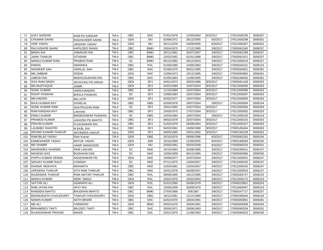| 77  | <b>AJAY SARDAR</b>          | <b>RAM PD SARDAR</b>     | TM-II | <b>OBC</b> | <b>SHC</b>  | 07/01/1978 | 12/04/2004 | 9/3/2017 | 27621000236 | 3006267 |
|-----|-----------------------------|--------------------------|-------|------------|-------------|------------|------------|----------|-------------|---------|
| 78  | <b>CHUMAN SAHNI</b>         | RAGHUVEER SAHNI          | TM-II | <b>GEN</b> | SKI         | 02/08/1972 | 26/12/2005 | 9/3/2017 | 27621000288 | 3006301 |
| 79  | <b>VIDE YADAV</b>           | JAGDISH YADAV            | TM-II | <b>GEN</b> | SKI         | 30/11/1979 | 24/09/2005 | 9/3/2017 | 27621000267 | 3006301 |
| 80  | RAJ KISHOR SAHNI            | KAPILDEO SAHNI           | TM-II | OBC        | <b>BMKI</b> | 20/04/1975 | 17/12/1995 | 3/9/2017 | 27605061040 | 3006257 |
| 81  | <b>BINDA RAI</b>            | JAMADAR RAI              | TM-II | OBC        | <b>BMKI</b> | 29/11/1961 | 30/07/1997 | 3/9/2017 | 27605062299 | 3006257 |
| 82  | <b>JANKI THAKUR</b>         | <b>SITARAM</b>           | TM-II | OBC        | <b>BMKI</b> | 15/02/1962 | 01/01/1998 | 3/9/2017 | 27605062421 | 3006257 |
| 83  | <b>MANOJ KUMAR RAM</b>      | PRABHU RAM               | TM-II | SC         | <b>BMKI</b> | 05/12/1982 | 29/12/2004 | 3/9/2017 | 27621000224 | 3006257 |
| 84  | <b>PARAS</b>                | <b>DWARIKA</b>           | TM-II | <b>OBC</b> | <b>RXL</b>  | 01/09/1960 | 24/06/1983 | 3/9/2017 | 27605040231 | 3006243 |
| 85  | SHANKER SAH                 | <b>HARILAL SAH</b>       | TM-II | OBC        | <b>SHC</b>  | 01/06/1975 | 06/01/1995 | 3/9/2017 | 27605064831 | 3006281 |
| 86  | MD.JABBAR                   | <b>DODAI</b>             | TM-II | <b>GEN</b> | <b>SHC</b>  | 12/06/1973 | 19/12/1995 | 3/9/2017 | 27605060965 | 3006281 |
| 87  | <b>UMESH RAI</b>            | <b>MADHUSUDHAN RAI</b>   | TM-II | OBC        | <b>SHC</b>  | 01/05/1964 | 11/06/2005 | 3/9/2017 | 27605186560 | 3006281 |
| 88  | <b>SIYA RAM SINGH</b>       | JICHCHHU PD SINGH        | TM-II | <b>GEN</b> | <b>SPJ</b>  | 04/01/1973 | 30/03/1996 | 9/3/2017 | 27605061428 | 3006263 |
| 89  | MD.MUSTAQUE                 | <b>JAMIR</b>             | TM-II | <b>GEN</b> | <b>SPJ</b>  | 25/02/1980 | 15/07/2004 | 9/3/2017 | 27621000090 | 3006263 |
| 90  | <b>SUNIL KUMAR</b>          | <b>HARICHANDRA</b>       | TM-II | OBC        | SPJ         | 11/10/1980 | 15/07/2004 | 9/3/2017 | 27621000086 | 3006263 |
| 91  | ROHIT PASWAN                | <b>BHOLA PASWAN</b>      | TM-II | SC         | SPJ         | 23/08/1983 | 15/07/2004 | 9/3/2017 | 27621000087 | 3006263 |
| 92  | <b>MD.HADISH</b>            | Md LATIF                 | TM-II | <b>GEN</b> | SPJ         | 02/02/1977 | 16/07/2004 | 9/3/2017 | 27621000095 | 3006263 |
| 93  | RAJU KUMAR RAY              | SONELAL                  | TM-II | OBC        | <b>DBG</b>  | 02/09/1978 | 16/07/2004 | 3/9/2017 | 27621000094 | 3006244 |
| 94  | <b>SUNIL KUMAR RAM</b>      | SHATRUGHN RAM            | TM-II | SC         | SPJ         | 10/01/1982 | 16/07/2004 | 9/3/2017 | 27621000093 | 3006263 |
| 95  | RAM NANDAN RAY              | LAKHAN                   | TM-II | OBC        | <b>SPJ</b>  | 25/05/1975 | 17/07/2004 | 9/3/2017 | 27621000092 | 3006263 |
| 96  | <b>PINKU KUMAR</b>          | <b>BINDESHWAR PASWAN</b> | TM-II | <b>SC</b>  | <b>DBG</b>  | 15/03/1984 | 19/07/2004 | 3/9/2017 | 27621000100 | 3006244 |
| 97  | PRAMOD KUMAR                | JAGDISH PD MAHTO         | TM-II | OBC        | SPJ         | 06/02/1979 | 20/07/2004 | 9/3/2017 | 27621000103 | 3006263 |
| 98  | PRAVIN KUMAR                | <b>FULESHWAR RAI</b>     | TM-II | OBC        | SPJ         | 01/02/1979 | 26/08/2004 | 9/3/2017 | 27621000107 | 3006263 |
| 99  | LALBABU SHASTRI             | <b>M EKBL RAI</b>        | TM-II | OBC        | SPJ         | 04/03/1961 | 16/06/1998 | 9/3/2017 | 27605185464 | 3006263 |
| 100 | ARVIND-KUMAR-THAKUR         | <b>ARVINDRA HAKUR</b>    | TM-II | <b>GEN</b> | SPJ         | 04/05/1960 | 03/01/1992 | 9/3/2017 | 27605184228 | 3006263 |
| 101 | RAM BILAS YADAV             | Ram Kumar                | TM-II | <b>GEN</b> | <b>DBG</b>  | 25/10/1976 | 08/06/1996 | 9/3/2017 | 27605062263 | 3006244 |
| 102 | KAMESHWER YADAV             | <b>MATUK YADAV</b>       | TM-II | <b>GEN</b> | <b>JNR</b>  | 15/10/1969 | 21/05/2005 | 9/3/2017 | 27605186093 | 3006255 |
| 103 | <b>MD SHABIR</b>            | <b>HANIF MANSOORI</b>    | TM-II | <b>GEN</b> | SKI         | 20/05/1962 | 05/03/2008 | 9/3/2017 | 27605068204 | 3006301 |
| 104 | <b>MAHENDRA SHARMA</b>      | <b>RAM LAKHAN</b>        | TM-II | <b>SC</b>  | <b>NKE</b>  | 16/10/1964 | 03/08/1985 | 3/9/2017 | 27605289531 | 3006247 |
| 105 | <b>MAHESH DAS</b>           | <b>BUDHAAN DAS</b>       | TM-II | SC         | <b>NKE</b>  | 15/06/1959 | 06/12/1985 | 3/9/2017 | 27605050996 | 3006250 |
| 106 | PAPPU KUMAR VERMA           | <b>NAGESHWAR PD</b>      | TM-II | <b>GEN</b> | <b>NKE</b>  | 19/08/1977 | 20/07/2004 | 3/9/2017 | 27621000052 | 3006247 |
| 107 | SANJAY KUAMR RAUT           | <b>CHANDA</b>            | TM-II | SC         | <b>NKE</b>  | 07/11/1975 | 13/04/2007 | 3/9/2017 | 27621000425 | 3006247 |
| 108 | <b>DHANAI MUKHIYA</b>       | <b>MAHANTH</b>           | TM-II | <b>OBC</b> | <b>NKE</b>  | 10/04/1981 | 13/04/2007 | 3/9/2017 | 27621000426 | 3006247 |
| 109 | <b>UPENDRA THAKUR</b>       | <b>SITA RAM THAKUR</b>   | TM-II | OBC        | <b>NKE</b>  | 25/01/1978 | 06/08/2007 | 3/9/2017 | 27621000504 | 3006247 |
| 110 | <b>RAJENDRA THAKUR</b>      | <b>RAM AWTAR THAKUR</b>  | TM-II | OBC        | <b>RXL</b>  | 09/08/1965 | 16/12/1995 | 3/9/2017 | 27605063747 | 3006243 |
| 111 | <b>MANOJ KUMAR</b>          | <b>NEMI SINGH</b>        | TM-II | <b>GEN</b> | <b>RXL</b>  | 10/02/1975 | 10/02/2004 | 3/9/2017 | 27621000172 | 3006243 |
| 112 | <b>SATTAR ALI</b>           | <b>ASARAPH ALI</b>       | TM-II | <b>GEN</b> | <b>RXL</b>  | 01/01/1960 | 04/08/1978 | 3/9/2017 | 27640023801 | 3006243 |
| 113 | RAM JATAN RAI               | <b>AFAT RAI</b>          | TM-II | OBC        | <b>RXL</b>  | 15/06/1959 | 30/09/1978 | 3/9/2017 | 27610469497 | 3006243 |
| 114 | RAMDENI MAHTO               | <b>BHUDHAN MAHTO</b>     | TM-II | OBC        | <b>BMKI</b> | 27/04/1966 | 9/9/1987   | 3/9/2017 | 27605047717 | 3006257 |
| 115 | <b>BISHWANATH CHAUDHARY</b> | <b>THAKUR CHOUDHARY</b>  | TM-II | <b>GEN</b> | <b>DBG</b>  | 16/12/1961 | 12/12/1990 | 3/9/2017 | 27605290040 | 3006244 |
| 116 | <b>NAWIN KUMAR</b>          | <b>NATH BIHARI</b>       | TM-II | OBC        | <b>SHC</b>  | 02/02/1970 | 19/04/1991 | 3/9/2017 | 27605055891 | 3006281 |
| 117 | <b>MD ALI</b>               | <b>FARMOOD</b>           | TM-II | <b>GEN</b> | <b>BNKI</b> | 05/02/1970 | 20/04/1991 | 3/9/2017 | 27605055908 | 3006284 |
| 118 | <b>BRAHMDEO TANTI</b>       | <b>BALDEO TANTI</b>      | TM-II | OBC        | <b>SHC</b>  | 30/06/1971 | 26/06/1993 | 3/9/2017 | 27605060539 | 3006281 |
| 119 | <b>RAJKESHWAR PRASAD</b>    | <b>MANSI</b>             | TM-II | OBC        | SGL         | 20/01/1970 | 11/08/1993 | 3/9/2017 | 27605060023 | 3006256 |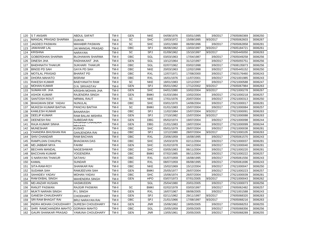| 120 | <b>S T ANSARI</b>            | <b>ABDUL SAFAIT</b>                | TM-II | <b>GEN</b> | <b>NKE</b>  | 04/08/1976 | 03/01/1995 | 3/9/2017 | 27605060369 | 3006250 |
|-----|------------------------------|------------------------------------|-------|------------|-------------|------------|------------|----------|-------------|---------|
| 121 | MANGAL PRASAD SHARMA         | <b>DUKHA</b>                       | TM-II | <b>SC</b>  | <b>SHC</b>  | 10/03/1972 | 15/09/1995 | 9/3/2017 | 27605062603 | 3006267 |
| 122 | JAGDEO PASWAN                | <b>MAHABIR PASWAN</b>              | TM-II | SC         | <b>SHC</b>  | 10/01/1960 | 06/09/1996 | 3/9/2017 | 27605062858 | 3006281 |
| 123 | JAWAHAR LAL                  | JAI MANGAL PRASAD                  | TM-II | <b>OBC</b> | SPJ         | 06/06/1962 | 13/03/1997 | 9/3/2017 | 27605184721 | 3006261 |
| 124 | <b>KRISHNA</b>               | <b>NARAYAN</b>                     | TM-II | <b>SC</b>  | SPJ         | 01/09/1962 | 15/10/1997 | 9/3/2017 | 27605445050 | 3006263 |
| 125 | <b>GOBERDHAN SHARMA</b>      | <b>BUJHAWAN SHARMA</b>             | TM-II | OBC        | SGL         | 03/03/1963 | 17/04/1987 | 3/9/2017 | 27605049258 | 3006256 |
| 126 | <b>DINESH JHA</b>            | RADHAKANT JHA                      | TM-II | <b>GEN</b> | SGL         | 10/12/1964 | 31/12/1997 | 3/9/2017 | 27605055751 | 3006256 |
| 127 | <b>BAIDHNATH THAKUR</b>      | <b>SUKHARI THAKUR</b>              | TM-II | <b>OBC</b> | SGL         | 02/07/1962 | 03/02/1998 | 3/9/2017 | 27608135873 | 3006256 |
| 128 | <b>BINOD PD SAH</b>          | <b>GAYA PD SAH</b>                 | TM-II | OBC        | <b>NKE</b>  | 20/03/1963 | 12/02/1998 | 3/9/2017 | 27605445152 | 3006250 |
| 129 | <b>MOTILAL PRASAD</b>        | <b>BHARAT PD</b>                   | TM-II | OBC        | <b>RXL</b>  | 12/07/1971 | 17/08/2000 | 3/9/2017 | 27603176460 | 3006243 |
| 130 | <b>DHORA MAHATO</b>          | <b>BISRAM</b>                      | TM-II | OBC        | <b>RXL</b>  | 16/01/1976 | 11/07/2001 | 3/9/2017 | 27621001985 | 3006243 |
| 131 | RAKESH KUMAR                 | <b>BAIDYANATH RAM</b>              | TM-II | SC         | <b>NKE</b>  | 18/01/1983 | 12/12/2007 | 3/9/2017 | 27621000588 | 3006247 |
| 132 | <b>MOHAN KUMAR</b>           | <b>D.N. SRIVASTAV</b>              | TM-II | <b>GEN</b> | <b>SPJ</b>  | 05/01/1962 | 17/12/2002 | 9/3/2017 | 27605067984 | 3006263 |
| 133 | SUMAN KR. JHA                | <b>KRISHN MOHAN JHA</b>            | TM-II | <b>GEN</b> | <b>SHC</b>  | 04/01/1980 | 10/02/2004 | 9/3/2017 | 27621000278 | 3006267 |
| 134 | <b>ASHOK KUMAR</b>           | <b>RAJENDRA SINGH</b>              | TM-II | <b>GEN</b> | <b>BMKI</b> | 01/03/1984 | 10/02/2004 | 3/9/2017 | 27621000218 | 3006257 |
| 135 | <b>SANTOSH ROUT</b>          | <b>NIRMAL RAUT</b>                 | TM-II | SC         | <b>NKE</b>  | 17/01/1976 | 20/07/2004 | 3/9/2017 | 27621000313 | 3006250 |
| 136 | BHAGWAN DEW YADAV            | <b>NUNULAL</b>                     | TM-II | OBC        | <b>SHC</b>  | 03/01/1970 | 14/06/2004 | 3/9/2017 | 27621000017 | 3006281 |
| 137 | MUKESH KUMAR BAITHA          | PANCHU BAITHA                      | TM-II | SC         | <b>BMKI</b> | 01/01/1983 | 15/07/2004 | 3/9/2017 | 27621000084 | 3006257 |
| 138 | KAMLESH KUMAR                | <b>BANARASH</b>                    | TM-II | OBC        | SPJ         | 11/02/1984 | 15/07/2004 | 9/3/2017 | 27621000091 | 3006263 |
| 139 | <b>DEELIP KUMAR</b>          | <b>RAM BALAK MISHRA</b>            | TM-II | <b>GEN</b> | SPJ         | 17/10/1982 | 15/07/2004 | 9/3/2017 | 27621000088 | 3006263 |
| 140 | <b>DEENESH RAI</b>           | <b>SUBEDAR RAI</b>                 | TM-II | <b>GEN</b> | <b>DBG</b>  | 05/02/1974 | 19/07/2004 | 3/9/2017 | 27621000098 | 3006244 |
| 141 | RAJA KUMAR SINHA             | <u>KRISHIVA CHAIVURA</u><br>DDACAN | TM-II | <b>GEN</b> | <b>DBG</b>  | 21/01/1983 | 19/07/2004 | 3/9/2017 | 27621000099 | 3006244 |
| 142 | <b>MUNESHAR</b>              | <b>KUSHO</b>                       | TM-II | OBC        | <b>SHC</b>  | 05/01/1979 | 26/07/2004 | 3/9/2017 | 27621000038 | 3006281 |
| 143 | CHANDRA BHUSHAN RAI          | <b>GANJENDRA RAI</b>               | TM-II | <b>OBC</b> | <b>SPJ</b>  | 12/12/1980 | 28/07/2004 | 9/3/2017 | 27621000105 | 3006263 |
| 144 | <b>SHIV CHANDAR</b>          | <b>RAM BACHAN</b>                  | TM-II | <b>OBC</b> | <b>RXL</b>  | 23/06/1959 | 16/08/1995 | 3/9/2017 | 27605061570 | 3006243 |
| 145 | RAMPUJAN CHAUPAL             | <b>BHAGWAN DAS</b>                 | TM-II | OBC        | <b>SHC</b>  | 15/03/1978 | 02/11/2004 | 3/9/2017 | 27621000037 | 3006281 |
| 146 | MD.JABBAR MIYA               | <b>FAHIM</b>                       | TM-II | <b>GEN</b> | <b>SHC</b>  | 01/02/1978 | 04/11/2004 | 3/9/2017 | 27621000040 | 3006281 |
| 147 | <b>BECHAN MANDAL</b>         | <b>NAGESHWAR</b>                   | TM-II | <b>OBC</b> | <b>SHC</b>  | 03/05/1983 | 06/11/2004 | 3/9/2017 | 27621000220 | 3006281 |
| 148 | <b>BACCHAN KUMAR</b>         | <b>YOGENDRA</b>                    | TM-II | OBC        | <b>BMKI</b> | 07/02/1985 | 06/11/2004 | 3/9/2017 | 27621000222 | 3006257 |
| 149 | S NARAYAN THAKUR             | SATAHU                             | TM-II | OBC        | <b>RXL</b>  | 01/07/1959 | 16/08/1995 | 3/9/2017 | 27605061556 | 3006243 |
| 150 | <b>KAMAL</b>                 | <b>SUNDAR</b>                      | TM-II | <b>OBC</b> | <b>RXL</b>  | 08/07/1959 | 06/08/1995 | 3/9/2017 | 27605061696 | 3006243 |
| 151 | SITA-RAM-ROY                 | <b>SHANKAR RAI</b>                 | TM-II | <b>OBC</b> | <b>NKE</b>  | 15/02/1969 | 15/12/2004 | 3/9/2017 | 27621000047 | 3006250 |
| 152 | SUDAMA SAH                   | <b>RAMJEEVAN SAH</b>               | TM-II | <b>GEN</b> | <b>BMKI</b> | 25/05/1977 | 26/07/2004 | 3/9/2017 | 27621000223 | 3006257 |
| 153 | SAHADEV YADAV                | <b>MOHAN YADAV</b>                 | TM-II | OBC        | <b>SHC</b>  | 15/06/1974 | 26/07/2004 | 3/9/2017 | 27621000039 | 3006281 |
| 154 | RAM EKBAL SINGH              | <b>MAHENDRA SINGH</b>              | TM-II | <b>GEN</b> | <b>HPO</b>  | 03/07/1973 | 07/01/2005 | 9/3/2017 | 27621000043 | 3006262 |
| 155 | <b>MD.ANZAR HUSAIN</b>       | <b>HASMUDDIN</b>                   | TM-II |            | SGL         | 25/04/1980 | 20/01/2005 | 3/9/2017 | 27621000073 | 3006256 |
| 156 | <b>RANJIT PASWAN</b>         | <b>RAJGIR PASWAN</b>               | TM-II | <b>SC</b>  | <b>BMKI</b> | 02/02/1978 | 03/03/1997 | 3/9/2017 | 27605062482 | 3006257 |
| 157 | <b>MUKTI NARAIN SINGH</b>    | R L SINGH                          | TM-II | <b>GEN</b> | <b>RXL</b>  | 16/07/1967 | 08/06/2005 | 3/9/2017 | 27621001588 | 3006243 |
| 158 | <b>GANESH CHAUDHARY</b>      | <b>CHODHARY</b>                    | TM-II | <b>GEN</b> | SPJ         | 02/11/1962 | 29/11/1997 | 9/3/2017 | 27605068320 | 3006263 |
| 159 | SRI RAM BHAGAT RAI           | <b>BRIJ NARAYAN RAI</b>            | TM-II | OBC        | <b>SPJ</b>  | 21/01/1966 | 17/08/1997 | 9/3/2017 | 27605068216 | 3006263 |
| 160 | <b>INDRA MOHAN CHOUDHARY</b> | <b>SURESH CHOUDHARY</b>            | TM-II | <b>GEN</b> | <b>JNR</b>  | 15/06/1962 | 19/05/2005 | 3/9/2017 | 27605068253 | 3006255 |
| 161 | SHRI RAMCHANDRA MAHTO        | <b>GORAKH MAHTO</b>                | TM-II | OBC        | SGL         | 15/05/1959 | 20/05/2005 | 3/9/2017 | 27605068356 | 3006256 |
| 162 | <b>GAURI SHANKAR PRASAD</b>  | YAMUNA CHOUDHARY                   | TM-II | <b>GEN</b> | <b>JNR</b>  | 13/05/1961 | 20/05/2005 | 3/9/2017 | 27605068289 | 3006255 |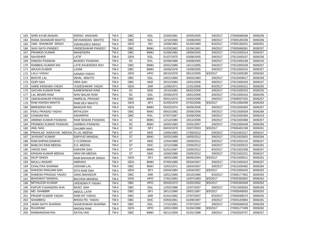| 163 | <b>SHRI AYUB ANSARI</b>           | <b>IDRISH ANSHARI</b>  | TM-II | <b>OBC</b> | SGL         | 22/05/1961 | 20/05/2005 | 3/9/2017 | 27605068368 | 3006256 |
|-----|-----------------------------------|------------------------|-------|------------|-------------|------------|------------|----------|-------------|---------|
| 164 | RAMA SHANKAR MAHTO                | DEVNANDAN MAHTO        | TM-II | OBC        | SGL         | 12/10/1960 | 15/08/2000 | 3/9/2017 | 27605185336 | 3006256 |
| 165 | UMA SHANKAR SINGH                 | VISHNUDEO SINGH        | TM-II | <b>GEN</b> | SKI         | 15/08/1962 | 01/03/1990 | 9/3/2017 | 27605186201 | 3006301 |
| 166 | <b>SHIV NATH PANDEY</b>           | VINDESHWAR PANDEY      | TM-II | OBC        | <b>BMKI</b> | 01/03/1962 | 01/04/1991 | 3/9/2017 | 27605068381 | 3006257 |
| 167 | PRAMOD KUMAR                      | MAHENDRA               | TM-II | OBC        | <b>BMKI</b> | 01/08/1982 | 28/06/2005 | 3/9/2017 | 27621000314 | 3006257 |
| 168 | <b>NAVISHER</b>                   | LATIF                  | TM-II | <b>GEN</b> | SGL         | 01/07/1975 | 03/08/2005 | 3/9/2017 | 27621000167 | 3006256 |
| 169 | <b>DINESH PASWAN</b>              | <b>BASDEV PASWAN</b>   | TM-II | SC         | <b>RXL</b>  | 02/08/1986 | 03/08/2005 | 3/9/2017 | 27621000168 | 3006243 |
| 170 | RAMBHU KUMAR RAI                  | LATE RAJENDRA RAY      | TM-II | OBC        | <b>BMKI</b> | 25/01/1980 | 14/11/2005 | 3/9/2017 | 27621000328 | 3006257 |
| 171 | <b>ARJUN KUMAR</b>                | LAXMI                  | TM-II | <b>OBC</b> | <b>BMKI</b> | 24/09/1978 | 15/09/2005 | 3/9/2017 | 27621000315 | 3006257 |
| 172 | <b>LALU YADAV</b>                 | AANADI YADAV           | TM-II | <b>GEN</b> | <b>HPO</b>  | 08/10/1979 | 09/12/2005 | 9/3/2017 | 27621000280 | 3006262 |
| 173 | <b>BOOYE LAL</b>                  | DIHAL MAHTO            | TM-II | OBC        | SGL         | 24/01/1960 | 30/03/1984 | 3/9/2017 | 27610459017 | 3006256 |
| 174 | <b>GOPI SAH</b>                   | HIRA SAH               | TM-II | OBC        | <b>NKE</b>  | 20/12/1983 | 10/01/2006 | 3/9/2017 | 27621000329 | 3006247 |
| 175 | <b>HARE KRISHAN YADAV</b>         | YUGESHWAR YADAV        | TM-II | <b>GEN</b> | <b>JNR</b>  | 11/08/1971 | 11/01/2006 | 9/3/2017 | 27621000312 | 3006255 |
| 176 | SACHIN KUMAR RAM                  | KAMESHWAR RAM          | TM-II | <b>SC</b>  | <b>NKE</b>  | 15/10/1982 | 06/02/2006 | 3/9/2017 | 27621000333 | 3006250 |
| 177 | <b>LAL BIHARI RAM</b>             | SHIV BALAK RAM         | TM-II | SC         | SGL         | 25/06/1975 | 18/01/2006 | 3/9/2017 | 27621000316 | 3006256 |
| 178 | <b>UMASHANKAR PRASAD</b>          | AMIRILAL PRASAD        | TM-II | OBC        | <b>BMKI</b> | 05/01/1973 | 24/02/2006 | 3/9/2017 | 27609507425 | 3006257 |
| 179 | <b>RAM ASHISH MAHTO</b>           | RAM DEV MAHTO          | TM-II | <b>GEN</b> | SPJ         | 01/05/1978 | 07/02/2006 | 9/3/2017 | 27621000289 | 3006263 |
| 180 | <b>BIRENDRA RAI</b>               | <b>BANGUR RAI</b>      | TM-II | <b>GEN</b> | <b>BMKI</b> | 05/03/1974 | 30/05/2006 | 3/9/2017 | 27621000383 | 3006257 |
| 181 | FEKU PRASAD YADAV                 | MITHLESH               | TM-II | OBC        | <b>BNKI</b> | 06/02/1982 | 20/06/2006 | 3/9/2017 | 27621000509 | 3006284 |
| 182 | <b>CHANAN RAI</b>                 | ASHARPHI               | TM-II | OBC        | <b>RXL</b>  | 07/07/1967 | 20/09/2006 | 3/9/2017 | 27621000384 | 3006243 |
| 183 | ARBIND KUMAR PASWAN               | RAM SEWAK PASWAN       | TM-II | SC         | <b>BMKI</b> | 12/12/1980 | 18/12/2006 | 3/9/2017 | 27621000388 | 3006257 |
| 184 | PRAMOD KUMAR PASWAN               | <b>GARBHU PASWAN</b>   | TM-II | SC         | <b>BNKI</b> | 20/05/1983 | 23/01/2007 | 3/9/2017 | 27621000449 | 3006284 |
| 185 | <b>ANIL NAG</b>                   | <b>GHUMRI NAG</b>      | TM-II | <b>SC</b>  | SPJ         | 06/03/1978 | 23/07/2003 | 9/3/2017 | 27605462198 | 3006261 |
| 186 | PRAHLAD NARAYAN MEENA R LAL MEENA |                        | TM-II | <b>ST</b>  | <b>NKE</b>  | 14/05/1983 | 17/05/2012 | 3/9/2017 | 27621002217 | 3006247 |
| 187 | <b>JAYKANT KUMAR</b>              | SARYUG MANDAL          | TM-II | <b>ST</b>  | <b>BNKI</b> | 25/03/1989 | 18/05/2012 | 3/9/2017 | 27621002602 | 3006284 |
| 188 | RAM.SHRAN.DISWAH                  | C D DISWAH             | TM-II | ST         | <b>NKE</b>  | 12/04/1989 | 18/05/2012 | 3/9/2017 | 27621002216 | 3006247 |
| 189 | <b>BABLOO RAM MEENA</b>           | S.S. MEENA             | TM-II | <b>ST</b>  | <b>SHC</b>  | 12/12/1986 | 23/05/2012 | 3/9/2017 | 27621002615 | 3006281 |
| 190 | <b>VINOD SAH</b>                  | KISHORI SAH            | TM-II | <b>ST</b>  | <b>BMKI</b> | 01/01/1987 | 23/05/2012 | 9/3/2017 | 27621002358 | 3006257 |
| 191 | KRISHN KUMAR MEENA                | <b>HRAINR MEENA</b>    | TM-II | <b>ST</b>  | <b>NKE</b>  | 10/06/1989 | 23/05/2012 | 3/9/2017 | 27621002221 | 3006247 |
| 192 | <b>DILIP SINGH</b>                | RAM BAHADUR SINGH      | TM-II | <b>GEN</b> | <b>SPJ</b>  | 18/03/1980 | 06/05/2004 | 9/3/2017 | 27621000521 | 3006261 |
| 193 | <b>MAJLU ANSARI</b>               | AMRAKH                 | TM-II | <b>GEN</b> | <b>BMKI</b> | 07/05/1985 | 05/04/2007 | 3/9/2017 | 27621000423 | 3006257 |
| 194 | <b>CHALITRA SHARMA</b>            | <b>JASHAM LAL</b>      | TM-II | OBC        | <b>BNKI</b> | 10/01/1971 | 16/04/2007 | 3/9/2017 | 27621000482 | 3006284 |
| 195 | RAKESH-RANJAM-SAH                 | <b>SITA RAM SAH</b>    | TM-II | <b>GEN</b> | SPJ         | 03/04/1984 | 10/04/2007 | 9/3/2017 | 27621000433 | 3006263 |
| 196 | <b>RAMESH PRASAD YADAV</b>        | JANG BAHADUR           | TM-II | OBC        | <b>JNR</b>  | 16/01/1960 | 25/10/1990 | 9/3/2017 | 27605177962 | 3006255 |
| 197 | <b>BHAGWAT MANDAL</b>             | BACHHA MANDAL          | TM-II | <b>GEN</b> | <b>HPO</b>  | 17/01/1962 | 14/07/1993 | 9/3/2017 | 27605392962 | 3006262 |
| 198 | <b>MITHILESH KUMAR</b>            | UPENDRA P YADAV        | TM-II | OBC        | <b>HPO</b>  | 05/03/1973 | 22/02/2002 | 9/3/2017 | 27605392949 | 3006262 |
| 199 | KAPUR CHAANDRA SHA                | BASO SAH               | TM-II | OBC        | SGL         | 12/02/1986 | 12/07/2007 | 3/9/2017 | 27621000563 | 3006256 |
| 200 | MD. SHABBIR                       | <b>ABDUL LATIF</b>     | TM-II | OBC        | SPJ         | 28/11/1960 | 29/01/1997 | 9/3/2017 | 27605068563 | 3006263 |
| 201 | PRADIP KUMAR YADAV                | RAM HIT YADAV          | TM-II | OBC        | <b>JNR</b>  | 01/01/1962 | 27/07/2007 | 9/3/2017 | 27605068575 | 3006255 |
| 202 | <b>SHAMBHU</b>                    | <b>BHOGI PD. YADAV</b> | TM-II | OBC        | <b>SHC</b>  | 03/04/1961 | 01/08/1997 | 3/9/2017 | 27605183984 | 3006281 |
| 203 | <b>JANKI NATH SHARMA</b>          | NAGESHWAR SHARMA       | TM-II | OBC        | SGL         | 17/12/1961 | 27/07/2007 | 3/9/2017 | 27605068526 | 3006256 |
| 204 | RAJARAM                           | MADAN RAM              | TM-II | <b>GEN</b> | <b>HPO</b>  | 10/01/1969 | 01/04/1998 | 9/3/2017 | 27605177499 | 3006262 |
| 205 | RAMNANDAN RAI                     | <b>SATHU RAI</b>       | TM-II | OBC        | <b>BMKI</b> | 05/11/1959 | 01/01/1998 | 3/9/2017 | 27603020757 | 3006257 |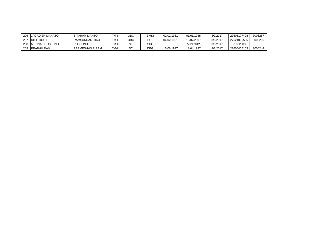| 206 | <b>JAGADISH MAHATO</b> | <b>ISITARAM MAHTO</b>  | TM-II | ОВС          | BMKI       | 02/02/1961 | 01/01/1988 | 3/9/2017 | 27605177498 | 3006257 |
|-----|------------------------|------------------------|-------|--------------|------------|------------|------------|----------|-------------|---------|
| 207 | <b>IDILIP ROUT</b>     | <b>RAMSUNDAR RAUT</b>  | TM-II | ОВС          | SGL        | 04/02/1961 | 19/07/2007 | 3/9/2017 | 27621000565 | 3006256 |
| 208 | MUNNA PD. GOUND        | . GOUND                | TM-II |              | <b>SHC</b> |            | 5/19/2012  | 3/9/2017 | 21002608    |         |
| 209 | <b>PRABHU RAM</b>      | <b>IPARMESHWAR RAM</b> | TM-II | $\sim$<br>ںد | <b>DBG</b> | 16/06/1977 | 18/04/1997 | 9/3/2017 | 27605405103 | 3006244 |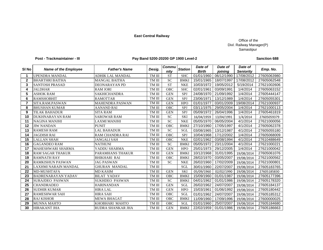## **East Central Railway**

# Office of the Divl. Railway Manager(P) Samastipur

# Post - Trackmaintainer - III **Pay Band 5200-20200 GP 1900 Level-2**

## **Sanction 688**

| SI <sub>No</sub> | <b>Name of the Employee</b> | <b>Father's Name</b>    | Desig.        | Commu<br>nity   | <b>Station</b> | Date of<br><b>Birth</b> | Date of<br>joining | Date of<br><b>Seniority</b> | Emp. No.    |
|------------------|-----------------------------|-------------------------|---------------|-----------------|----------------|-------------------------|--------------------|-----------------------------|-------------|
| 1                | <b>UPENDRA MANDAL</b>       | <b>ADHIK LAL MANDAL</b> | TM III        | <b>ST</b>       | <b>SHC</b>     | 01/01/1960              | 06/12/1990         | 17/08/2012                  | 27605063980 |
| $\mathbf{2}$     | <b>BHARTHRI BAITHA</b>      | <b>MANGAL BAITHA</b>    | TM III        | <b>SC</b>       | <b>BMKI</b>    | 15/01/1965              | 18/07/1997         | 17/08/2012                  | 27605062548 |
| 3                | <b>SANTOSH PRASAD</b>       | <b>DEONARAYAN PD</b>    | TM III        | <b>ST</b>       | <b>NKE</b>     | 10/03/1972              | 19/05/2012         | 5/19/2014                   | 27621002606 |
| 4                | <b>JALDHAR</b>              | <b>RAM JORI</b>         | TM III        | <b>OBC</b>      | <b>SHC</b>     | 02/01/1961              | 03/09/1991         | 1/4/2014                    | 27605063152 |
| 5                | <b>ASHOK RAM</b>            | <b>SAKHICHANDRA</b>     | TM III        | <b>GEN</b>      | SPJ            | 24/08/1970              | 21/09/1992         | 1/4/2014                    | 27605444147 |
| 6                | <b>RAMSHOBHIT</b>           | <b>RAMOTTAR</b>         | TM III        | <b>GEN</b>      | SPJ            | 23/06/1971              | 13/12/1989         | 1/4/2014                    | 27605055301 |
| 7                | SITA.RAM.PASWAN             | <b>MAHENDRA PASWAN</b>  | TM III        | <b>GEN</b>      | <b>HPO</b>     | 01/01/1977              | 03/01/2009         | 19/08/2014                  | 27621000937 |
| 8                | <b>BHUSHAN KUMAR</b>        | AANAND RAI              | TM III        | <b>OBC</b>      | SPJ            | 03/11/1975              | 29/05/2004         | 1/4/2014                    | 27621000113 |
| 9                | <b>TILAK BAHADUR</b>        | <b>SITA RAM</b>         | TM III        | <b>GEN</b>      | SPJ            | 05/09/1972              | 26/04/1996         | 1/4/2014                    | 27605461819 |
| 10               | <b>DUKHNARAYAN RAM</b>      | <b>SAROWAR RAM</b>      | TM III        | <b>SC</b>       | <b>SKI</b>     | 16/04/1959              | 13/04/1991         | 1/4/2014                    | 27605059379 |
| 11               | NAGINA MANJHI               | <b>LAXMI MANJHI</b>     | TM III        | $\overline{SC}$ | <b>NKE</b>     | 05/05/1970              | 06/05/2004         | 4/1/2014                    | 27621000056 |
| 12               | <b>JIW NANDAN</b>           | <b>PUNIT</b>            | TM III        | OBC             | <b>BMKI</b>    | 27/10/1960              | 17/05/1997         | 4/1/2014                    | 27605062378 |
| 13               | <b>RAMESH RAM</b>           | <b>LAL BAHADUR</b>      | TM III        | <b>SC</b>       | <b>SGL</b>     | 03/08/1965              | 13/12/1987         | 4/1/2014                    | 27605055180 |
| 14               | <b>JAGDISH RAI</b>          | <b>RAM CHANDRA RAI</b>  | TM III        | <b>OBC</b>      | SPJ            | 10/04/1968              | 17/12/2002         | 1/4/2014                    | 27605068009 |
| 15               | <b>LALLAN SHAH</b>          | <b>JANGALI SAH</b>      | TM III        | <b>OBC</b>      | <b>NKE</b>     | 02/01/1962              | 03/08/1994         | 4/1/2014                    | 27610488649 |
| 16               | <b>GAGANDEO RAM</b>         | <b>NATHUNI</b>          | $\rm TM\ III$ | $\overline{SC}$ | <b>BMKI</b>    | 05/05/1972              | 23/11/2004         | 4/1/2014                    | 27621000221 |
| 17               | MAHESHWARI SHARMA           | YADDU SHARMA            | TM III        | <b>GEN</b>      | <b>HPO</b>     | 25/01/1973              | 29/12/2005         | 1/4/2014                    | 27621000042 |
| 18               | <b>RAM SAGAR THAKUR</b>     | PARAMHANS THAKUR        | TM III        | <b>GEN</b>      | <b>BMKI</b>    | 10/12/1968              | 31/01/1995         | 19/08/2014                  | 27605061076 |
| 19               | <b>RAMNATH RAY</b>          | <b>BHIKHARI RAI</b>     | TM III        | OBC             | <b>BMKI</b>    | 28/02/1970              | 03/05/2007         | 19/08/2014                  | 27621000562 |
| 20               | <b>RAMKISHUN PASWAN</b>     | <b>JAG PASWAN</b>       | TM III        | <b>SC</b>       | <b>NKE</b>     | 26/02/1960              | 17/02/2009         | 19/08/2014                  | 27621000801 |
| 21               | <b>LAXHMI NARAIN MANDAL</b> | <b>GHURAN MANDAL</b>    | TM III        |                 | SGL            | 30/01/1960              | 22/07/2007         | 19/08/2014                  | 27605183765 |
| 22               | MD-MUSHTAFA                 | <b>MD KASIM</b>         | TM III        | <b>GEN</b>      | <b>SKI</b>     | 05/09/1960              | 02/02/1990         | 19/08/2014                  | 27605185830 |
| 23               | BADRENARAYAN YADAV          | <b>BILAT YADAV</b>      | TM III        | OBC             | <b>BMKI</b>    | 15/09/1960              | 01/01/1987         | 19/08/2014                  | 27605177396 |
| 24               | <b>SURAJDEO PASWAN</b>      | <b>SUKHDEO PASWAN</b>   | TM III        | <b>SC</b>       | <b>BMKI</b>    | 04/01/1962              | 01/01/1986         | 19/08/2014                  | 27605178320 |
| 25               | <b>CHANDRADEO</b>           | <b>HARINANDAN</b>       | TM III        | <b>GEN</b>      | SGL            | 26/02/1962              | 24/07/2007         | 19/08/2014                  | 27605184137 |
| 26               | <b>SUDHIR KUMAR</b>         | <b>HIRA LAL</b>         | TM III        | <b>GEN</b>      | <b>HPO</b>     | 15/03/1961              | 01/06/1992         | 19/08/2014                  | 27605180442 |
| 27               | <b>RAMESHWAR SAH</b>        | <b>HIRA SAH</b>         | TM III        | <b>OBC</b>      | SGL            | 01/01/1962              | 24/07/2007         | 19/08/2014                  | 27605185312 |
| 28               | <b>RAJ KISHOR</b>           | <b>MEWA BHAGAT</b>      | TM III        | <b>OBC</b>      | <b>BMKI</b>    | 11/09/1960              | 17/09/1996         | 19/08/2014                  | 27600000025 |
| 29               | <b>MUNNA MAHTO</b>          | KHOBHARI MAHTO          | TM III        | OBC             | <b>SGL</b>     | 01/01/1960              | 25/07/2007         | 19/08/2014                  | 27605184680 |
| 30               | <b>HIRAKANT JHA</b>         | RUDRA SHANKAR JHA       | TM III        | <b>GEN</b>      | <b>BMKI</b>    | 22/02/1959              | 01/01/1986         | 19/08/2014                  | 27605186663 |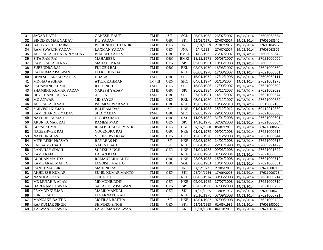| 31 | <b>JAGAR NATH</b>               | <b>GANESH RAUT</b>        | $\rm TM\ III$ | <b>SC</b>                  | SGL         | 25/07/1963 | 26/07/2007 | 19/08/2014 | 27605068654 |
|----|---------------------------------|---------------------------|---------------|----------------------------|-------------|------------|------------|------------|-------------|
| 32 | <b>BINOD KUMAR YADAV</b>        | <b>K.L.YADAV</b>          | TM III        | <b>OBC</b>                 | <b>SKI</b>  | 15/03/1971 | 27/07/2007 | 19/08/2014 | 27605068540 |
| 33 | <b>BAIDYNATH SHARMA</b>         | <b>BISHUNDEO THAKUR</b>   | TM III        | <b>GEN</b>                 | <b>JNR</b>  | 30/01/1959 | 27/07/2007 | 19/08/2014 | 27605184587 |
| 34 | <b>RAM SWARTH YADAV</b>         | <b>LAXMAN YADAV</b>       | TM III        | <b>GEN</b>                 | <b>JNR</b>  | 2/4/1963   | 27/07/2007 | 19/08/2014 | 27605068502 |
| 35 | <b>JAI PRAKASH NARAIN YADAY</b> | <b>BHARAT YADAV</b>       | TM III        | <b>OBC</b>                 | <b>BMKI</b> | 21/03/1962 | 25/07/2007 | 19/08/2014 | 27605068642 |
| 36 | <b>SITA RAM RAI</b>             | <b>MAHABEER</b>           | TM III        | OBC                        | <b>BMKI</b> | 13/12/1978 | 06/08/2007 | 19/08/2014 | 27621000559 |
| 37 | <b>RAM PRAKASH RAY</b>          | <b>MAHADEV RAI</b>        | TM III        | <b>GEN</b>                 | SPJ         | 05/05/1961 | 10/05/1988 | 19/08/2014 | 27605392925 |
| 38 | <b>SURENDRA RAI</b>             | <b>FULGEN RAI</b>         | $\rm TM\ III$ | OBC                        | <b>RXL</b>  | 08/07/1970 | 16/08/2007 | 19/08/2014 | 27621000560 |
| 39 | <b>RAJ KUMAR PASWAN</b>         | <b>JAI KISHUN DAS</b>     | TM III        | <b>SC</b>                  | <b>NKE</b>  | 06/08/1978 | 17/08/2007 | 19/08/2014 | 27621000561 |
| 40 | DENESH PARSAD YADAV             | <b>DHALAI</b>             | TM-III        | OBC                        | <b>SHC</b>  | 15/01/1972 | 17/12/1995 | 19/08/2014 | 27605062111 |
| 41 | <b>MINHAJ ASGHAR</b>            | <b>ATIUR RAHMAN</b>       | TM-III        | <b>GEN</b>                 | <b>SHC</b>  | 04/01/1974 | 01/10/2004 | 19/08/2014 | 27621001278 |
| 42 | <b>SADANAND KUMAR</b>           | R.B. SINGH                | TM-III        | <b>GEN</b>                 | <b>SHC</b>  | 15/03/1986 | 17/09/2007 | 19/08/2014 | 27621000508 |
| 43 | <b>SHAMBHU KUMAR YADAV</b>      | <b>NARESH YADAV</b>       | TM III        | OBC                        | SPJ         | 26/03/1984 | 05/11/2007 | 19/08/2014 | 27621002022 |
| 44 | <b>DEV CHANDRA RAY</b>          | A.L. RAI                  | $TM-III$      | OBC                        | <b>SHC</b>  | 27/07/1981 | 14/11/2007 | 19/08/2014 | 27621000574 |
| 45 | <b>MD ANWAR</b>                 | <b>MD SAYUF</b>           | TM III        | <b>GEN</b>                 | <b>RXL</b>  | 05/01/1980 | 12/12/2007 | 19/08/2014 | 27621000632 |
| 46 | <b>JAI PRAKASH SAH</b>          | PARMESHWAR SAH            | TM III        | <b>OBC</b>                 | <b>NKE</b>  | 15/03/1980 | 18/05/2013 | 19/08/2014 | 50313002188 |
| 47 | <b>SARVESH KUMAR</b>            | <b>BALIRAM DAS</b>        | TM III        | <b>SC</b>                  | <b>NKE</b>  | 01/01/1988 | 25/12/2012 | 19/08/2014 | 50412212830 |
| 48 | <b>RAM CHANDER YADAV</b>        | <b>SITA YADAV</b>         | TM-III        | <b>OBC</b>                 | <b>SHC</b>  | 02/05/1979 | 29/01/2008 | 19/08/2014 | 27621000600 |
| 49 | <b>NATHUNI KUMAR</b>            | <b>JAGDEO RAUT</b>        | $\rm TM\ III$ | OBC                        | <b>RXL</b>  | 11/06/1982 | 31/01/2008 | 19/08/2014 | 27621000601 |
| 50 | ARUN KUMAR RAI                  | <b>RAMESHWAR</b>          | $\rm TM\ III$ | <b>GEN</b>                 | SPJ         | 14/10/1978 | 02/02/2008 | 19/08/2014 | 27621000604 |
| 51 | <b>GOPALKUMAR</b>               | <b>RAM BAHADUR MISTRI</b> | TM III        | <b>GEN</b>                 | DBG         | 02/02/1988 | 05/02/2008 | 19/08/2014 | 27621000617 |
| 52 | <b>NAGESHWER RAI</b>            | YOGENDRA RAI              | TM III        | OBC                        | <b>NKE</b>  | 01/01/1975 | 06/02/2008 | 19/08/2014 | 27621000615 |
| 53 | <b>NATHUNI-DAS</b>              | VISHESHWAR DAS            | TM III        | <b>GEN</b>                 | <b>HPO</b>  | 12/02/1970 | 11/12/2008 | 19/08/2014 | 27621000944 |
| 54 | MITHILESH-PRASAD                | <b>BANARAS PD</b>         | TM III        | <b>ST</b>                  | <b>NKE</b>  | 02/03/1980 | 14/02/2008 | 19/08/2014 | 27621000616 |
| 55 | <b>LALBABOO SAH</b>             | <b>NAGINA SAH</b>         | TM III        | ST                         | <b>NKE</b>  | 03/04/1973 | 22/01/1998 | 19/08/2014 | 27605291422 |
| 56 | <b>RANVIJAY SINGH</b>           | <b>SURESH SINGH</b>       | $\rm TM\ III$ | <b>GEN</b>                 | <b>NKE</b>  | 21/04/1983 | 09/03/2008 | 19/08/2014 | 27621001622 |
| 57 | <b>RAMU RAM</b>                 | <b>LALAN RAM</b>          | $\rm TM\ III$ | $\overline{SC}$            | <b>NKE</b>  | 20/08/1984 | 01/06/2004 | 19/08/2014 | 27621000055 |
| 58 | <b>BUDHAN MAHTO</b>             | <b>RAMAUTAR MAHTO</b>     | TM III        | <b>OBC</b>                 | <b>NKE</b>  | 23/06/1983 | 15/04/2008 | 19/08/2014 | 27621000712 |
| 59 | <b>RAM SAKAL MAHTO</b>          | JAGDISH MAHTO             | TM III        | OBC                        | SGL         | 25/06/1981 | 18/04/2008 | 19/08/2014 | 27621000631 |
| 60 | <b>RANJIT MALLIK</b>            | <b>MAHENDRA</b>           | TM III        | <b>SC</b>                  | <b>JNR</b>  | 4/5/1972   | 27/05/2008 | 19/08/2014 | 27621000713 |
| 61 | <b>AKHILESH KUMAR</b>           | <b>SUNIL KUMAR MAHTO</b>  | TM III        | <b>GEN</b>                 | <b>SKI</b>  | 25/04/1984 | 17/06/2008 | 19/08/2014 | 27621000728 |
| 62 | <b>NANDLAL DAS</b>              | <b>CHHATHU</b>            | TM III        | $\ensuremath{\mathbf{SC}}$ | <b>NKE</b>  | 08/02/1974 | 30/06/2008 | 19/08/2014 | 27621000714 |
| 63 | <b>MD MUJAHIR ALAM</b>          | <b>MD MOHIUDDIN</b>       | TM III        | <b>GEN</b>                 | <b>NKE</b>  | 05/06/1985 | 17/07/2008 | 19/08/2014 | 27621000710 |
| 64 | HARERAM.PASWAN                  | <b>SAKAL DEV PASWAN</b>   | TM III        | <b>GEN</b>                 | SPJ         | 02/02/1968 | 07/08/2008 | 19/08/2014 | 27621000732 |
| 65 | <b>PRAMOD KUMAR</b>             | <b>MALIK MANDAL</b>       | TM III        | <b>GEN</b>                 | <b>SKI</b>  | 01/05/1965 | 13/09/1997 | 19/08/2014 | 27605068629 |
| 66 | <b>SURES RAUT</b>               | JAGARNATH RAUT            | TM III        | <b>SC</b>                  | <b>NKE</b>  | 25/10/1975 | 07/09/2008 | 19/08/2014 | 27621000721 |
| 67 | <b>MANOJ KR.BAITHA</b>          | <b>MOTILAL BAITHA</b>     | TM III        | <b>SC</b>                  | <b>NKE</b>  | 13/01/1987 | 07/09/2008 | 19/08/2014 | 27621000722 |
| 68 | <b>RAJ KUMAR SINGH</b>          | <b>SHIVDEO SINGH</b>      | TM III        | <b>GEN</b>                 | <b>SKI</b>  | 11/01/1963 | 01/05/1986 | 19/08/2014 | 27605393000 |
| 69 | YASWANT PASWAN                  | <b>LAKSHMAN PASWAN</b>    | $\rm TM\ III$ | <b>SC</b>                  | <b>SKI</b>  | 06/01/1980 | 04/10/2008 | 19/08/2014 | 27621001468 |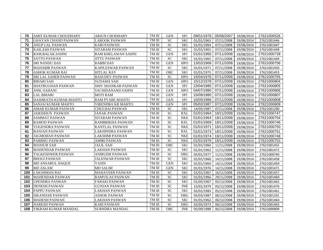| 70  | <b>AMIT KUMAR CHOUDHARY</b> | <b>ARJUN CHODHARY</b>      | TM III        | <b>GEN</b>      | <b>SPJ</b> | 09/01/1978 | 05/06/2007 19/08/2014 |            | 27621000526 |
|-----|-----------------------------|----------------------------|---------------|-----------------|------------|------------|-----------------------|------------|-------------|
| 71  | <b>GHAYAN CHAND PASWAN</b>  | <b>LAROOK PASWAN</b>       | TM III        | <b>SC</b>       | <b>SKI</b> | 01/01/1963 | 07/11/2008            | 19/08/2014 | 27621001446 |
| 72  | <b>ANUP LAL PASWAN</b>      | <b>KARI PASWAN</b>         | TM III        | SC              | <b>SKI</b> | 01/01/1964 | 07/11/2008            | 19/08/2014 | 27621001447 |
| 73  | <b>KAILASH PASWAN</b>       | <b>SITARAM PASWAN</b>      | TM III        | <b>SC</b>       | <b>SKI</b> | 01/01/1965 | 07/11/2008            | 19/08/2014 | 27621001448 |
| 74  | RAM.BALAK.SAHNI             | <b>RAM KHELAWAN SAHNI</b>  | TM III        | <b>GEN</b>      | SPJ        | 01/01/1965 | 07/11/2008            | 19/08/2014 | 27621000739 |
| 75  | <b>SATTO PASWAN</b>         | <b>JITTU PASWAN</b>        | TM III        | <b>SC</b>       | <b>SKI</b> | 01/01/1965 | 07/11/2008            | 19/08/2014 | 27621001449 |
| 76  | <b>SRI NANDU DAS</b>        | <b>RABBIDAS</b>            | TM III        | <b>GEN</b>      | <b>HPO</b> | 13/02/1968 | 07/11/2008            | 19/08/2014 | 27621000756 |
| 77  | <b>MAHABIR PASWAN</b>       | KAPILESWAR PASWAN          | TM III        | <b>SC</b>       | <b>SKI</b> | 01/01/1971 | 07/11/2008            | 19/08/2014 | 27621001450 |
| 78  | <b>ASHOK KUMAR RAI</b>      | <b>HITLAL RAY</b>          | TM III        | OBC             | <b>SKI</b> | 01/01/1975 | 07/11/2008            | 19/08/2014 | 27621001453 |
| 79  | <b>SRI LAL SAHEB PASWAN</b> | <b>BASUDEV PASWAN</b>      | TM III        | ${\rm SC}$      | <b>HPO</b> | 15/04/1976 | 07/11/2008            | 19/08/2014 | 27621000755 |
| 80  | <b>BIHARI SAH</b>           | <b>SUDAMA SAH</b>          | TM III        | <b>GEN</b>      | <b>HPO</b> | 15/12/1978 | 07/11/2008            | 19/08/2014 | 27621000804 |
| 81  | <b>SHATRUGHAN PASWAN</b>    | <b>SHIV SHANKAR PASWAN</b> | TM III        | <b>GEN</b>      | SPJ        | 23/04/1980 | 07/11/2008            | 19/08/2014 | 27621000805 |
| 82  | <b>ANIL-SAHANI</b>          | SACHIDANAND SAHNI          | TM III        | <b>GEN</b>      | <b>HPO</b> | 04/07/1980 | 07/11/2008            | 19/08/2014 | 27621000806 |
| 83  | <b>LAL BIHARI</b>           | <b>MOTI RAM</b>            | TM III        | <b>GEN</b>      | SPJ        | 15/09/1980 | 07/11/2008            | 19/08/2014 | 27621000807 |
| 84  | DASHRATH-KUMAR-MAHTO        | <b>RAM PYARE MAHTO</b>     | TM III        | <b>GEN</b>      | SPJ        | 10/05/1986 | 07/11/2008            | 19/08/2014 | 27621000808 |
| 85  | <b>SANJAI KUMAR MAHTO</b>   | VIRENDRA KR MAHTO          | TM III        | <b>GEN</b>      | SPJ        | 05/02/1987 | 07/11/2008            | 19/08/2014 | 27621000809 |
| 86  | <b>AMAR KUMAR PASWAN</b>    | <b>CHULHAI PASWAN</b>      | TM III        | <b>SC</b>       | <b>SKI</b> | 14/05/1987 | 07/11/2008            | 19/08/2014 | 27621001290 |
| 87  | <b>JAIKISHUN PASWAN</b>     | <b>JANAK PASWAN</b>        | TM III        | <b>SC</b>       | <b>RXL</b> | 01/01/1964 | 18/11/2008            | 19/08/2014 | 27621000747 |
| 88  | <b>SAMMAT PASWAN</b>        | <b>SITARAM PASWAN</b>      | TM III        | <b>SC</b>       | <b>NKE</b> | 01/01/1964 | 18/11/2008            | 19/08/2014 | 27621000754 |
| 89  | <b>RAMOD PASWAN</b>         | RAMBRIKHA PASWAN           | $\rm TM\ III$ | $\overline{SC}$ | <b>RXL</b> | 01/01/1969 | 18/11/2008            | 19/08/2014 | 27621000746 |
| 90  | YOGENDRA PASWAN             | <b>KANTLAL PASWAN</b>      | TM III        | $\overline{SC}$ | <b>NKE</b> | 01/01/1971 | 18/11/2008            | 19/08/2014 | 27621000750 |
| 91  | <b>RANJAN PASWAN</b>        | <b>LAKHINDRA PASWAN</b>    | TM III        | <b>SC</b>       | <b>RXL</b> | 01/01/1973 | 18/11/2008            | 19/08/2014 | 27621000751 |
| 92  | <b>JAGMOHAN PASWAN</b>      | <b>LAKSHMI PASWAN</b>      | TM III        | <b>SC</b>       | <b>NKE</b> | 01/01/1974 | 18/11/2008            | 19/08/2014 | 27621000748 |
| 93  | <b>PARBHU PASWAN</b>        | <b>AMIRI PASWAN</b>        | TM III        | <b>SC</b>       | <b>NKE</b> | 01/01/1976 | 18/11/2008            | 19/08/2014 | 27621000753 |
| 94  | <b>MANJUR SAH</b>           | <b>JALIL SAH</b>           | TM III        | OBC             | <b>SKI</b> | 01/01/1960 | 11/11/2008            | 19/08/2014 | 27621001455 |
| 95  | <b>MAHENDAR PASWAN</b>      | <b>LAKHAN PASWAN</b>       | TM III        | <b>SC</b>       | <b>SKI</b> | 01/01/1963 | 11/11/2008            | 19/08/2014 | 27621001472 |
| 96  | TALKESHWER.PASWAN           | <b>ANIRUDH PASWAN</b>      | TM III        | $\overline{SC}$ | <b>DBG</b> | 05/01/1977 | 11/11/2008            | 19/08/2014 | 27621000740 |
| 97  | <b>BHOGI PASWAN</b>         | JALESWAR PASWAN            | TM III        | <b>SC</b>       | <b>SKI</b> | 01/01/1960 | 14/11/2008            | 19/08/2014 | 27621001458 |
| 98  | <b>MD ANSARUL HAQUE</b>     | <b>YASIN</b>               | TM III        | <b>GEN</b>      | <b>SKI</b> | 01/01/1964 | 14/11/2008            | 19/08/2014 | 27621001459 |
| 99  | <b>MD ASLAM</b>             | <b>MD SALIM</b>            | TM III        | <b>GEN</b>      | <b>SKI</b> | 01/01/1976 | 14/11/2008            | 19/08/2014 | 27621001471 |
| 100 | <b>LAKSHMAN RAI</b>         | <b>MAHAVEER PASWAN</b>     | TM III        | <b>SC</b>       | <b>SKI</b> | 01/01/1967 | 16/11/2008            | 19/08/2014 | 27621001457 |
| 101 | <b>MAHENDAR PASWAN</b>      | <b>RAMVILAS PASWAN</b>     | TM III        | <b>SC</b>       | <b>SKI</b> | 01/01/1966 | 29/11/2008            | 19/08/2014 | 27621001460 |
| 102 | <b>UPENDRA PASWAN</b>       | <b>FARAKI PASWAN</b>       | TM III        | $\overline{SC}$ | <b>SKI</b> | 01/05/1967 | 05/12/2008            | 19/08/2014 | 27621001462 |
| 103 | <b>DENESH PASWAN</b>        | <b>GUNJAN PASWAN</b>       | TM III        | SC              | <b>JNR</b> | 23/01/1979 | 05/12/2008            | 19/08/2014 | 27621001476 |
| 104 | <b>PAPPU PASWAN</b>         | LAKHAN PASWAN              | TM III        | <b>SC</b>       | <b>SKI</b> | 02/01/1983 | 05/12/2008            | 19/08/2014 | 27621001461 |
| 105 | <b>SIKANDAR PASWAN</b>      | ASHOK PASWAN               | TM III        | <b>SC</b>       | <b>DBG</b> | 05/03/1987 | 06/12/2008            | 19/08/2014 | 27621001291 |
| 106 | <b>MAHESH PASWAN</b>        | <b>LAKHAN PASWAN</b>       | TM III        | <b>SC</b>       | <b>SKI</b> | 01/01/1962 | 06/12/2008            | 19/08/2014 | 27621001464 |
| 107 | <b>NARESH PASWAN</b>        | <b>KARI PASWAN</b>         | TM III        | <b>SC</b>       | <b>DBG</b> | 02/05/1973 | 06/12/2008            | 19/08/2014 | 27621001463 |
| 108 | VIKRAM KUMAR MANDAL         | <b>SURNDRA MANDAL</b>      | TM III        | OBC             | <b>JNR</b> | 05/09/1988 | 06/12/2008 19/08/2014 |            | 27621000909 |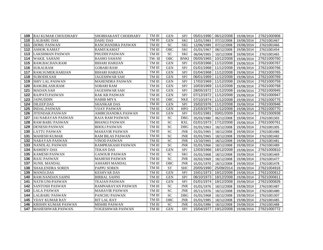|     | <b>109 RAJ KUMAR CHOUDHARY</b> | SHOBHAKANT CHODHARY   | TM III | <b>GEN</b>                 | <b>SPJ</b>  |            | 05/01/1990 06/12/2008 | 19/08/2014 | 27621000908 |
|-----|--------------------------------|-----------------------|--------|----------------------------|-------------|------------|-----------------------|------------|-------------|
| 110 | <b>LALBABU DAS</b>             | <b>DAHU DAS</b>       | TM III | <b>GEN</b>                 | <b>SKI</b>  | 12/01/1983 | 07/12/2008            | 19/08/2014 | 27621001467 |
| 111 | <b>DOMU PASWAN</b>             | RANCHANDRA PASWAN     | TM III | <b>SC</b>                  | <b>SKI</b>  | 12/06/1989 | 07/12/2008            | 19/08/2014 | 27621001466 |
| 112 | <b>ASHOK KAMAT</b>             | <b>RAMJI KAMAT</b>    | TM III | <b>OBC</b>                 | <b>SKI</b>  | 01/01/1967 | 08/12/2008            | 19/08/2014 | 27621001454 |
| 113 | LAKSHMAN PASWAN                | PHUDDI PASWAN         | TM III | $\ensuremath{\mathbf{SC}}$ | <b>SKI</b>  | 06/04/1965 | 10/12/2008            | 19/08/2014 | 27621001465 |
| 114 | WAKIL SAHANI                   | <b>BASHO SAHANI</b>   | TM-III | OBC                        | <b>BNKI</b> | 05/05/1965 | 10/12/2008            | 19/08/2014 | 27621000760 |
| 115 | RAM.BACHAN.RAM                 | <b>BIHARI HARIJAN</b> | TM III | <b>GEN</b>                 | SPJ         | 01/03/1966 | 11/12/2008            | 19/08/2014 | 27621000767 |
| 116 | <b>SUKALRAM</b>                | <b>GOBARI RAM</b>     | TM III | <b>GEN</b>                 | SPJ         | 01/01/1968 | 11/12/2008            | 19/08/2014 | 27621000766 |
| 117 | RAM.SUMER.HARIJAN              | <b>BIHARI HARIJAN</b> | TM III | <b>GEN</b>                 | SPJ         |            | 01/04/1968 11/12/2008 | 19/08/2014 | 27621000765 |
| 118 | <b>SUBODH.SAH</b>              | JAGESHWAR SAH         | TM III | <b>GEN</b>                 | SPJ         | 06/01/1969 | 11/12/2008            | 19/08/2014 | 27621000769 |
| 119 | <b>SHIV LAL PASWAN</b>         | MAHENDRA PASWAN       | TM III | <b>GEN</b>                 | SPJ         | 17/02/1969 | 11/12/2008            | 19/08/2014 | 27621000759 |
| 120 | RAM.BILASH.RAM                 | SOBARI RAM            | TM III | <b>GEN</b>                 | SPJ         | 10/03/1969 | 11/12/2008            | 19/08/2014 | 27621000768 |
| 121 | MADAN.SAH                      | <b>JAGESHWAR SAH</b>  | TM III | <b>GEN</b>                 | SPJ         | 28/05/1972 | 11/12/2008            | 19/08/2014 | 27621000945 |
| 122 | <b>RAJPATI.PASWAN</b>          | <b>RAK KR PASWAN</b>  | TM III | <b>GEN</b>                 | <b>SPJ</b>  | 07/12/1972 | 11/12/2008            | 19/08/2014 | 27621000947 |
| 123 | <b>JAINUDDIN</b>               | <b>HABIB MIYA</b>     | TM III | <b>OBC</b>                 | <b>NKE</b>  |            | 07/10/1974 11/12/2008 | 19/08/2014 | 27621000775 |
| 124 | <b>DILEEP.DAS</b>              | <b>SHANKAR DAS</b>    | TM III | <b>GEN</b>                 | SPJ         |            | 15/02/1976 11/12/2008 | 19/08/2014 | 27621000946 |
| 125 | <b>INDAL.PASWAN</b>            | <b>VIJAY PASWAN</b>   | TM III | <b>GEN</b>                 | <b>HPO</b>  |            | 21/03/1979 11/12/2008 | 19/08/2014 | 27621000770 |
| 126 | JITENDAR.PASWAN                | AMIRCHANDRA PASWAN    | TM III | <b>GEN</b>                 | SPJ         | 01/01/1981 | 03/01/2009            | 19/08/2014 | 27621000938 |
| 127 | <b>JAI NARAYAN PASWAN</b>      | RAJA RAM PASWAN       | TM III | <b>SC</b>                  | <b>DBG</b>  | 05/03/1980 | 06/12/2008            | 19/08/2014 | 27621001303 |
| 128 | <b>RAM BABU PASWAN</b>         | <b>BHANGI PASWAN</b>  | TM III | <b>SC</b>                  | <b>RXL</b>  | 01/01/1973 | 17/12/2008            | 19/08/2014 | 27621000761 |
| 129 | <b>DENESH PASWAN</b>           | <b>BHOLI PASWAN</b>   | TM III | <b>SC</b>                  | <b>DBG</b>  | 01/01/1963 | 18/12/2008            | 19/08/2014 | 27621001305 |
| 130 | <b>LATTU PASWAN</b>            | <b>MAHAVIR PASWAN</b> | TM III | ${\rm SC}$                 | <b>JNR</b>  | 01/01/1965 | 18/12/2008            | 19/08/2014 | 27621001486 |
| 131 | <b>MAHESH KUMAR</b>            | RAM BILAS PASWAN      | TM III | $\overline{SC}$            | <b>JNR</b>  | 01/01/1965 | 18/12/2008            | 19/08/2014 | 27621001482 |
| 132 | <b>NARAYAN PASWAN</b>          | <b>VINOD PASWAN</b>   | TM III | <b>SC</b>                  | <b>JNR</b>  | 12/10/1965 | 18/12/2008            | 19/08/2014 | 27621001481 |
| 133 | NANDLAL PASWAN                 | RAMPRAKASH PASWAN     | TM III | <b>SC</b>                  | <b>JNR</b>  | 01/01/1966 | 18/12/2008            | 19/08/2014 | 27621001489 |
| 134 | <b>RAMDEV-DAS</b>              | <b>TEKAN DAS</b>      | TM III | <b>GEN</b>                 | SPJ         |            | 12/03/1966 18/12/2008 | 19/08/2014 | 27621000810 |
| 135 | <b>KAMESH PASWAN</b>           | <b>GANOUR PASWAN</b>  | TM III | <b>SC</b>                  | <b>SKI</b>  | 01/01/1968 | 18/12/2008            | 19/08/2014 | 27621001469 |
| 136 | <b>RAJU PASWAN</b>             | <b>MAHESH PASWAN</b>  | TM III | <b>SC</b>                  | <b>JNR</b>  | 02/02/1969 | 18/12/2008            | 19/08/2014 | 27621001477 |
| 137 | <b>SUNIL MANDAL</b>            | <b>ASHARFI MANDAL</b> | TM III | OBC                        | <b>JNR</b>  | 01/01/1970 | 18/12/2008            | 19/08/2014 | 27621001478 |
| 138 | <b>SHAILENDRA SOREN</b>        | <b>PAPPU SOREN</b>    | TM III | <b>ST</b>                  | <b>SHC</b>  | 20/05/1990 | 25/09/2014            | 19/08/2014 | 27621004916 |
| 139 | <b>MANOJ.DAS</b>               | <b>KESHVAR DAS</b>    | TM III | <b>GEN</b>                 | <b>SPJ</b>  | 15/01/1973 | 18/12/2008            | 19/08/2014 | 27621000812 |
| 140 | RAM.NANDAN.SAHNI               | <b>BIRBAL SAHNI</b>   | TM III | <b>GEN</b>                 | SPJ         | 06/10/1973 | 18/12/2008            | 19/08/2014 | 27621000811 |
| 141 | NATH UNI-PASWAN                | <b>TEAJAN PASWAN</b>  | TM III | <b>GEN</b>                 | SPJ         | 01/01/1974 | 18/12/2008            | 19/08/2014 | 27621000826 |
| 142 | <b>SANTOSH PASWAN</b>          | RAMNARAYAN PASWAN     | TM III | $\ensuremath{\mathbf{SC}}$ | <b>JNR</b>  | 01/01/1976 | 18/12/2008            | 19/08/2014 | 27621001487 |
| 143 | <b>LALA PASWAN</b>             | MAHAVIR PASWAN        | TM III | <b>SC</b>                  | <b>JNR</b>  | 05/11/1976 | 18/12/2008            | 19/08/2014 | 27621001480 |
| 144 | <b>LALBABU PASWAN</b>          | PANCHU PASWAN         | TM III | <b>SC</b>                  | <b>DBG</b>  | 01/01/1968 | 18/12/2008            | 19/08/2014 | 27621001307 |
| 145 | <b>VIJAY KUMAR RAY</b>         | RIT LAL RAY           | TM III | <b>OBC</b>                 | <b>JNR</b>  | 01/01/1985 | 18/12/2008            | 19/08/2014 | 27621001485 |
| 146 | KRISHN KUMAR PASWAN            | <b>MISHRI PASWAN</b>  | TM III | <b>SC</b>                  | <b>JNR</b>  | 01/01/1986 | 18/12/2008            | 19/08/2014 | 27621001488 |
| 147 | MAHESHWAR.PASWAN.              | YOGESHWAR PASWAN      | TM III | <b>GEN</b>                 | SPJ         | 15/04/1977 | 19/12/2008            | 19/08/2014 | 27621000772 |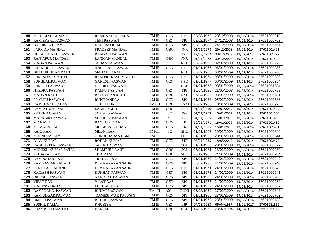| 148 | <b>MITHILESH KUMAR</b>    | <b>RAMNANDAN SAHNI</b>  | TM III        | <b>GEN</b>      | <b>HPO</b>  |            | 22/08/1979 23/12/2008 19/08/2014 |            | 27621000813 |
|-----|---------------------------|-------------------------|---------------|-----------------|-------------|------------|----------------------------------|------------|-------------|
| 149 | RAM.EKBAL.PASWAN          | <b>TENI PASWAN</b>      | $\rm TM\ III$ | <b>GEN</b>      | <b>SPJ</b>  | 02/02/1974 | 24/12/2008                       | 19/08/2014 | 27621000763 |
| 150 | <b>BASHISHAT.RAM</b>      | <b>HANSRAJ RAM</b>      | TM III        | <b>GEN</b>      | <b>SPJ</b>  | 02/02/1983 | 24/12/2008                       | 19/08/2014 | 27621000764 |
| 151 | PARMOD MANDAL             | PRADEEP MANDAL          | TM III        | <b>OBC</b>      | <b>JNR</b>  | 01/01/1978 | 29/12/2008                       | 19/08/2014 | 27621001491 |
| 152 | <b>DULARCHNAD PASWAN</b>  | <b>BANGALI PASWAN</b>   | TM III        | SC              | <b>JNR</b>  | 19/08/1962 | 30/12/2008                       | 19/08/2014 | 27621001492 |
| 153 | RAJKAPUR MANDAL           | LAXMAN MANDAL           | TM III        | OBC             | <b>JNR</b>  | 01/01/1972 | 30/12/2008                       | 19/08/2014 | 27621001490 |
| 154 | <b>MADAN PASWAN</b>       | <b>SOHAN PASWAN</b>     | TM III        | <b>SC</b>       | <b>NKE</b>  | 25/07/1972 | 02/01/2009                       | 19/08/2014 | 27621000779 |
| 155 | RAJ.KARAN.PASWAN          | ANUP LAL PASWAN         | TM III        | <b>GEN</b>      | <b>HPO</b>  | 01/01/1965 | 03/01/2009                       | 19/08/2014 | 27621000936 |
| 156 | <b>BHABHICHHAN RAUT</b>   | <b>MAHADEO RAUT</b>     | TM III        | <b>SC</b>       | <b>NKE</b>  | 08/02/1968 | 03/01/2009                       | 19/08/2014 | 27621000780 |
| 157 | SURENDAR.MAHTO            | RAM PRAKASH MAHTO       | TM III        | <b>GEN</b>      | <b>HPO</b>  | 01/01/1974 | 03/01/2009                       | 19/08/2014 | 27621000935 |
| 158 | <b>SUKHLAL.PASWAN</b>     | <b>GANESHI PASWAN</b>   | TM III        | <b>GEN</b>      | <b>HPO</b>  | 01/01/1977 | 03/01/2009                       | 19/08/2014 | 27621000934 |
| 159 | <b>SURESH PASWAN</b>      | <b>JAGDISH PASWAN</b>   | TM III        | $\overline{SC}$ | <b>NKE</b>  | 01/01/1977 | 03/01/2009                       | 19/08/2014 | 27621001584 |
| 160 | <b>JITEDRA PASWAN</b>     | <b>KALPU PASWAN</b>     | TM III        | <b>GEN</b>      | SPJ         | 15/04/1980 | 21/05/2008                       | 19/08/2014 | 27621000758 |
| 161 | <b>MADAN RAUT</b>         | <b>BACHCHAN RAUT</b>    | TM III        | OBC             | <b>RXL</b>  | 07/04/1982 | 03/01/2009                       | 19/08/2014 | 27621000781 |
| 162 | <b>PRABHU PASWAN</b>      | <b>RUPCHANDRA</b>       | TM III        | <b>GEN</b>      | <b>SPJ</b>  | 01/01/1968 | 05/01/2009                       | 19/08/2014 | 27621000786 |
| 163 | <b>RAMCHANDER DAS</b>     | <b>CHHEDI DAS</b>       | TM-III        | OBC             | <b>BNKI</b> | 26/02/1968 | 10/01/2009                       | 19/08/2014 | 27621000928 |
| 164 | <b>RAMESHWAR SAHNI</b>    | <b>LAXMI SAHNI</b>      | TM III        | <b>OBC</b>      | <b>JNR</b>  | 01/01/1960 | 16/01/2009                       | 19/08/2014 | 27621001499 |
| 165 | PYARE PASWAN              | <b>SOMAN PASWAN</b>     | TM III        | SC              | <b>JNR</b>  | 01/01/1963 | 16/01/2009                       | 19/08/2014 | 27621001500 |
| 166 | <b>MAHABIR PASWAN</b>     | SITARAM PASWAN          | $\rm TM\ III$ | <b>SC</b>       | <b>JNR</b>  | 01/01/1965 | 16/01/2009                       | 19/08/2014 | 27621001498 |
| 167 | <b>MD NAZIM</b>           | <b>BAOKU MIYAN</b>      | TM III        | <b>GEN</b>      | SKI         | 10/01/1971 | 16/01/2009                       | 19/08/2014 | 27621001430 |
| 168 | MD AKBAR ALI              | MD ANSARULHAK           | TM III        | <b>GEN</b>      | SKI         | 01/01/1985 | 16/01/2009                       | 19/08/2014 | 27621001431 |
| 169 | <b>RAJO RAM</b>           | MEDNI RAM               | TM-III        | <b>SC</b>       | <b>SHC</b>  | 01/01/1963 | 20/01/2009                       | 19/08/2014 | 27621000846 |
| 170 | <b>MHENDRA RAM</b>        | <b>GURUCHARAN RAM</b>   | TM-III        | <b>SC</b>       | <b>SHC</b>  | 01/01/1966 | 20/01/2009                       | 19/08/2014 | 27621000844 |
| 171 | <b>AJAY KUMAR</b>         | <b>ROHAN KUMAR</b>      | TM III        | <b>GEN</b>      | <b>SKI</b>  | 05/01/1985 | 18/05/2012                       | 19/08/2014 | 27621002479 |
| 172 | <b>RAGHUVEER PASWAN</b>   | SALIK PASWAN            | $\rm TM\ III$ | $\overline{SC}$ | SGL         | 01/01/1960 | 23/01/2009                       | 19/08/2014 | 27621000977 |
| 173 | <b>MUKESH KUMAR PATEL</b> | SHAMBHU RAUT            | $\rm TM\ III$ | OBC             | SGL         | 07/01/1981 | 23/01/2009                       | 19/08/2014 | 27621000930 |
| 174 | <b>SRI SARAL RAM</b>      | <b>SITA RAM</b>         | TM III        | OBC             | <b>SHC</b>  | 26/12/1965 | 24/01/2009                       | 19/08/2014 | 27621000784 |
| 175 | <b>RAM NAJAR-RAM</b>      | <b>MOHAN RAM</b>        | TM III        | <b>GEN</b>      | SPJ         | 01/01/1970 | 24/01/2009                       | 19/08/2014 | 27621000942 |
| 176 | <b>RAM SAWAK SAHANI</b>   | DEV NARAYAN SAHNI       | TM III        | <b>GEN</b>      | SPJ         | 08/07/1970 | 24/01/2009                       | 19/08/2014 | 27621000940 |
| 177 | <b>SANT LAL SAHANI</b>    | DEV NARAYAN SAHNI       | TM III        | <b>GEN</b>      | <b>HPO</b>  | 01/01/1971 | 24/01/2009                       | 19/08/2014 | 27621000943 |
| 178 | <b>KAILASH PASWAN</b>     | <b>DUKHAN PASWAN</b>    | TM III        | <b>GEN</b>      | SPJ         | 01/01/1973 | 24/01/2009                       | 19/08/2014 | 27621000941 |
| 179 | <b>DINESH PASWAN</b>      | <b>NANDLAL PASWAN</b>   | TM III        | <b>GEN</b>      | SPJ         | 01/01/1975 | 24/01/2009                       | 19/08/2014 | 27621000785 |
| 180 | <b>VIPAT DAS</b>          | <b>VILAT DAS</b>        | $\rm TM\ III$ | <b>GEN</b>      | SPJ         | 01/01/1977 | 24/01/2009                       | 19/08/2014 | 27621000939 |
| 181 | <b>MAHESWAR-DAS</b>       | <b>LOCHAN DAS</b>       | TM III        | <b>GEN</b>      | SPJ         | 01/01/1977 | 24/01/2009                       | 19/08/2014 | 27621000867 |
| 182 | DAYANAND PASWAN           | <b>BHUMI PASWAN</b>     | TM-III        | <b>SC</b>       | <b>BNKI</b> | 05/08/1959 | 27/01/2009                       | 19/08/2014 | 27621000843 |
| 183 | RAM.UDGAR.PASWAN          | <b>RAMESHWAR PASWAN</b> | TM III        | <b>GEN</b>      | SPJ         | 01/01/1963 | 27/01/2009                       | 19/08/2014 | 27621000782 |
| 184 | <b>UMESH.PASWAN</b>       | <b>BUDHU PASWAN</b>     | TM III        | <b>GEN</b>      | <b>SPJ</b>  | 01/01/1973 | 28/01/2009                       | 19/08/2014 | 27621000783 |
| 185 | <b>SUSHIL KAMAT</b>       | <b>KHUBIYA</b>          | TM III        | <b>GEN</b>      | <b>JJP</b>  | 04/05/1963 | 06/04/1987                       | 14/01/2017 | 27605281362 |
| 186 | <b>SHAMBHOO MAHTO</b>     | <b>HARPAL</b>           | TM III        | OBC             | <b>NKE</b>  | 14/07/1962 | 23/07/1994                       | 14/01/2017 | 27605067388 |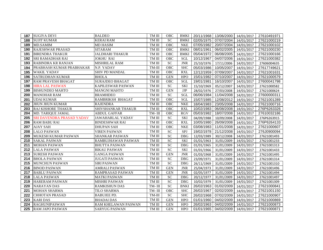| 187 | <b>SUGIYA DEVI</b>        | <b>BALDEO</b>           | TM III        | <b>OBC</b>      | <b>BMKI</b> |            | 20/11/1968   13/06/2000 | 14/01/2017 | 27610491971 |
|-----|---------------------------|-------------------------|---------------|-----------------|-------------|------------|-------------------------|------------|-------------|
| 188 | <b>SUJIT KUMAR</b>        | <b>KERAI RAM</b>        | TM III        | <b>SC</b>       | <b>BMKI</b> | 02/05/1975 | 07/07/2004              | 14/01/2017 | 27621000219 |
| 189 | <b>MD.SAMIM</b>           | <b>MD HASIM</b>         | TM III        | OBC             | <b>NKE</b>  | 07/05/1982 | 20/07/2004              | 14/01/2017 | 27621000102 |
| 190 | <b>RAJESHWAR PRASAD</b>   | <b>SITARAM</b>          | TM III        | <b>OBC</b>      | <b>BMKI</b> | 08/01/1961 | 06/02/2005              | 14/01/2017 | 27621000230 |
| 191 | <b>BIRENDRA THAKUR</b>    | <b>JALDHARI THAKUR</b>  | TM III        | OBC             | <b>BMKI</b> | 05/04/1972 | 06/08/2005              | 14/01/2017 | 27621000166 |
| 192 | SRI RAMADHAR RAI          | <b>JOKHU RAI</b>        | TM III        | OBC             | SGL         | 10/12/1967 | 04/07/2006              | 14/01/2017 | 27621000382 |
| 193 | RABINDRA KR RANJAN        | MISHRILAL RAM           | TM III        | ${\rm SC}$      | <b>JNR</b>  | 25/10/1976 | 17/11/2006              | 14/01/2017 | 27606004635 |
| 194 | PRABHASH KUMAR PRABHAKAR  | N.P. YADAV              | TM-III        | OBC             | <b>SHC</b>  | 05/03/1986 | 10/05/2007              | 14/01/2017 | 27617749621 |
| 195 | <b>WAKIL YADAV</b>        | <b>SHIV PD MANDAL</b>   | TM III        | <b>OBC</b>      | <b>RXL</b>  | 12/12/1959 | 07/09/2007              | 14/01/2017 | 27621001631 |
| 196 | <b>SATRUDHAN KUMAR</b>    | <b>BHOLA</b>            | TM III        | <b>GEN</b>      | <b>HPO</b>  | 15/01/1982 | 07/10/2007              | 14/01/2017 | 27621000579 |
| 197 | RAM PRAVESH BHAGAT        | <b>SURAJDEO BHAGAT</b>  | TM III        | OBC             | SGL         | 19/01/1981 | 16/10/2007              | 14/01/2017 | 27600041798 |
| 198 | <b>HIRA LAL PASWAN</b>    | KAPILESWAR PASWAN       | TM III        | SC              | <b>SKI</b>  | 15/10/1969 | 05/12/2007              | 14/01/2017 | 27621000582 |
| 199 | <b>BISHUNDEO MAHTO</b>    | <b>MANGNI MAHTO</b>     | TM III        | <b>GEN</b>      | <b>JJP</b>  | 28/02/1976 | 27/03/2008              | 14/01/2017 | 27621000624 |
| 200 | <b>MANOHAR RAM</b>        | <b>BRAMHDEO</b>         | TM III        | <b>SC</b>       | <b>SGL</b>  | 06/06/1984 | 11/04/2008              | 14/01/2017 | 27600000311 |
| 201 | <b>UDAI KUMAR</b>         | RAMBRIKSH BHAGAT        | TM III        | <b>OBC</b>      | <b>SGL</b>  | 15/07/1985 | 12/08/2012              | 14/01/2017 | 27621001289 |
| 202 | <b>JHUN JHUN KUMAR</b>    | <b>RAJENDRA</b>         | TM III        | OBC             | <b>NKE</b>  | 18/04/1983 | 23/05/2008              | 14/01/2017 | 27621000716 |
| 203 | RAJ KISHORE THAKUR        | SHIVSHANKAR THAKUR      | TM III        | OBC             | <b>RXL</b>  | 10/02/1983 | 06/08/2008              | 14/01/2017 | 276P6263326 |
| 204 | MD. TARIQUE JAMAL         | <b>ABDUL GAFFAR</b>     | TM-III        | <b>OBC</b>      | <b>RGV</b>  | 05/03/1982 | 18/07/2008              | 14/01/2017 | 27610032186 |
| 205 | SRI DAVENDRA PRASAD YADAV | <b>JAWAHARLAL YADAV</b> | TM III        | <b>SC</b>       | <b>SKI</b>  | 04/09/1988 | 10/09/2008              | 14/01/2017 | 276P6263915 |
| 206 | <b>RAM BABU RAI</b>       | <b>BINDESHWAR RAI</b>   | TM III        | OBC             | <b>RXL</b>  | 10/05/1980 | 26/09/2008              | 14/01/2017 | 276P6264133 |
| 207 | <b>AJAY SAH</b>           | <b>DHUPAN SAH</b>       | TM III        | <b>OBC</b>      | <b>NKE</b>  | 03/08/1983 | 11/01/2008              | 14/01/2017 | 27621000607 |
| 208 | <b>LALO PASWAN</b>        | <b>VIREN PASWAN</b>     | TM III        | ${\rm SC}$      | SPJ         | 19/02/1978 | 21/12/2008              | 14/01/2017 | 276J0900094 |
| 209 | MUKESH KUMAR PASWAN       | SHANKAR PASWAN          | TM III        | SC              | <b>DBG</b>  | 12/03/1989 | 30/12/2008              | 14/01/2017 | 27621001493 |
| 210 | <b>SAKAL PASWAN</b>       | RAMBUJHAWAN PASWAN      | $\rm TM\ III$ | ${\rm SC}$      | <b>SKI</b>  | 01/01/1963 | 31/01/2009              | 14/01/2017 | 27621001233 |
| 211 | <b>MOHAN PASWAN</b>       | <b>BHUTTA PASWAN</b>    | TM III        | $\overline{SC}$ | <b>DBG</b>  | 01/01/1965 | 31/01/2009              | 14/01/2017 | 27621001313 |
| 212 | <b>LALA PASWAN</b>        | <b>BIKAU PASWAN</b>     | TM III        | $\overline{SC}$ | <b>SKI</b>  | 01/01/1966 | 31/01/2009              | 14/01/2017 | 27621001433 |
| 213 | <b>SURESH PASWAN</b>      | <b>GANGA PASWAN</b>     | TM III        | <b>GEN</b>      | <b>JNR</b>  | 01/03/1968 | 31/01/2009              | 14/01/2017 | 27621001495 |
| 214 | <b>BHOLA PASWAN</b>       | <b>JUGATI PASWAN</b>    | TM III        | <b>SC</b>       | <b>DBG</b>  | 23/09/1971 | 31/01/2009              | 14/01/2017 | 27621001314 |
| 215 | <b>MUNCHUN PASWAN</b>     | <b>SIRI PASWAN</b>      | TM III        | <b>SC</b>       | DBG         | 26/11/1969 | 31/01/2009              | 14/01/2017 | 27621001310 |
| 216 | <b>BINOD PASWAN</b>       | <b>AMRALI PASWAN</b>    | TM III        | <b>GEN</b>      | <b>JNR</b>  | 25/04/1973 | 31/01/2009              | 14/01/2017 | 27621001496 |
| 217 | <b>BABLU PASWAN</b>       | RAMPRASAD PASWAN        | TM III        | <b>GEN</b>      | <b>JNR</b>  | 02/05/1977 | 31/01/2009              | 14/01/2017 | 27621001494 |
| 218 | <b>LALA PASWAN</b>        | <b>MATKI PASWAN</b>     | TM III        | <b>SC</b>       | <b>DBG</b>  | 20/12/1977 | 31/01/2009              | 14/01/2017 | 27621001497 |
| 219 | <b>HARERAM PASWAN</b>     | <b>MISHRI PASWAN</b>    | TM III        | ${\rm SC}$      | <b>DBG</b>  | 10/02/1979 | 31/01/2009              | 14/01/2017 | 27621001309 |
| 220 | <b>NARAYAN DAS</b>        | RAMKISHUN DAS           | TM-III        | SC              | <b>BNKI</b> | 26/02/1963 | 01/02/2009              | 14/01/2017 | 27621000841 |
| 221 | <b>MOHAN SHARMA</b>       | <b>TILO SHARMA</b>      | TM-III        | <b>OBC</b>      | <b>SHC</b>  | 26/02/1967 | 02/02/2009              | 14/01/2017 | 27621001150 |
| 222 | <b>CHHOTAN PRASAD</b>     | <b>BABUJEE PD.</b>      | TM-III        | <b>SC</b>       | <b>SHC</b>  | 26/02/1968 | 07/02/2009              | 14/01/2017 | 27621000907 |
| 223 | <b>KARI DAS</b>           | <b>BHADAI DAS</b>       | TM III        | <b>GEN</b>      | <b>HPO</b>  | 01/01/1960 | 04/02/2009              | 14/01/2017 | 27621000869 |
| 224 | <b>RAGHUNIPASWAN</b>      | RAM KHELAWAN PASWAN     | TM III        | <b>GEN</b>      | <b>HPO</b>  | 26/02/1963 | 04/02/2009              | 14/01/2017 | 27621000873 |
| 225 | <b>RAM JAPO PASWAN</b>    | <b>SARYUG PASWAN</b>    | TM III        | <b>GEN</b>      | <b>HPO</b>  | 01/01/1965 | 04/02/2009              | 14/01/2017 | 27621000871 |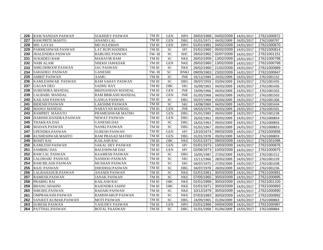| 226 | <b>RAM NANDAN PASWAN</b> | <b>SUKHDEV PASWAN</b>     | TM III        | <b>GEN</b> | <b>HPO</b>  |            | 26/02/1968 04/02/2009 | 14/01/2017 | 27621000872 |
|-----|--------------------------|---------------------------|---------------|------------|-------------|------------|-----------------------|------------|-------------|
| 227 | RAM.PRITE.MAHTO          | <b>ANAND LAL</b>          | $\rm TM\ III$ | <b>GEN</b> | <b>DBG</b>  | 01/01/1971 | 04/02/2009            | 14/01/2017 | 27621000797 |
| 228 | MD. GAYAS                | <b>MD SULEMAN</b>         | TM III        | <b>GEN</b> | <b>HPO</b>  | 01/01/1981 | 04/02/2009            | 14/01/2017 | 27621000870 |
| 229 | PARMESHWAR PASWAN        | <b>LAT RUPCHANDRA</b>     | TM III        | <b>SC</b>  | SPJ         | 01/01/1960 | 05/02/2009            | 14/01/2017 | 27621000814 |
| 230 | <b>JHALENDRA PASWAN</b>  | <b>BABUJEE PASWAN</b>     | TM-III        | <b>SC</b>  | <b>SHC</b>  | 26/02/1962 | 02/07/2009            | 14/01/2017 | 27621001151 |
| 231 | <b>SUKHDEO RAM</b>       | <b>MAHAVIR RAM</b>        | $\rm TM\ III$ | <b>SC</b>  | <b>NKE</b>  | 26/02/1959 | 13/02/2009            | 14/01/2017 | 27621000798 |
| 232 | <b>NABI ALAM</b>         | <b>SHEKH JAMADAR</b>      | TM III        | <b>GEN</b> | <b>NKE</b>  | 26/02/1960 | 13/02/2009            | 14/01/2017 | 27621000799 |
| 233 | SHRI.DHROOP.PASWAN       | <b>JAG PASWAN</b>         | TM III        | <b>SC</b>  | <b>NKE</b>  | 26/02/1960 | 21/02/2009            | 14/01/2017 | 27621000889 |
| 234 | <b>SAHADEO PASWAN</b>    | <b>GANESHI</b>            | TM- III       | SC         | <b>BNKI</b> | 09/05/1963 | 23/02/2009            | 14/01/2017 | 27621000847 |
| 235 | <b>AMRIT PASWAN</b>      | AAMU                      | TM III        | <b>SC</b>  | <b>JNR</b>  | 03/12/1984 | 24/02/2009            | 14/01/2017 | 27621001152 |
| 236 | <b>KAMLESHWAR PASWAN</b> | RAM SAHAY PASWAN          | TM III        | SC         | <b>DBG</b>  | 09/07/1959 | 03/04/2009            | 14/01/2017 | 27621001435 |
| 237 | <b>GAGAN DEO</b>         | <b>SADHU RAY</b>          | TM III        | OBC        | <b>SKI</b>  | 16/09/1963 | 04/03/2009            | 14/01/2017 | 27621001436 |
| 238 | <b>SURENDRA MANDAL</b>   | <b>BRIJNANDAN MANDAL</b>  | TM III        | <b>GEN</b> | <b>JNR</b>  | 19/09/1966 | 04/03/2009            | 14/01/2017 | 27621001502 |
| 239 | LALBABU MANDAL           | <b>RAM BRIKASH MANDAL</b> | TM III        | <b>GEN</b> | <b>JNR</b>  | 01/05/1968 | 04/03/2009            | 14/01/2017 | 27621001503 |
| 240 | <b>KAILASH PASWAN</b>    | <b>GANGA PASWAN</b>       | TM III        | <b>SC</b>  | <b>DBG</b>  | 05/07/1968 | 03/04/2009            | 14/01/2017 | 27621001306 |
| 241 | <b>BIDESHI PASWAN</b>    | LAKSHMI PASWAN            | TM III        | <b>SC</b>  | <b>SKI</b>  | 14/08/1969 | 04/03/2009            | 14/01/2017 | 27621001434 |
| 242 | <b>MANOJ MANDAL</b>      | NARAYAN MANDAL            | TM III        | <b>GEN</b> | <b>JNR</b>  | 04/03/1976 | 04/03/2009            | 14/01/2017 | 27621001501 |
| 243 | <b>RAMPRIT MAHATO</b>    | PRAMESHWAR MATHO          | TM III        | <b>GEN</b> | <b>DBG</b>  | 01/01/1983 | 09/03/2009            | 14/01/2017 | 27621001238 |
| 244 | HARISHCHANDRA.PASWAN     | NEWAT PASWAN              | TM III        | <b>GEN</b> | <b>DBG</b>  | 26/02/1962 | 09/03/2009            | 14/01/2017 | 27621000854 |
| 245 | THAKKAN.DAS              | <b>GANESHI DAS</b>        | TM III        | <b>SC</b>  | <b>DBG</b>  | 26/02/1963 | 09/03/2009            | 14/01/2017 | 27621000856 |
| 246 | MADAN.PASWAN             | NANKI PASWAN              | TM III        | <b>SC</b>  | <b>DBG</b>  | 01/01/1967 | 09/03/2009            | 14/01/2017 | 27621000853 |
| 247 | UPENDRA.PASWAN           | <b>SURESH PASWAN</b>      | TM III        | <b>GEN</b> | SPJ         | 13/10/1974 | 09/03/2009            | 14/01/2017 | 27621000858 |
| 248 | KUSHESHWAR.MAHTO         | RAM PRASAD MATHO          | TM III        | <b>GEN</b> | <b>DBG</b>  | 01/01/1978 | 09/03/2009            | 14/01/2017 | 27621000859 |
| 249 | <b>ROHIT RAI</b>         | <b>KAILASH RAI</b>        | TM III        | <b>OBC</b> | <b>NKE</b>  | 01/01/1973 | 09/03/2009            | 14/01/2017 | 27621001096 |
| 250 | <b>KAMLESH PASWAN</b>    | SAKAL DEV PASWAN          | TM III        | <b>GEN</b> | SPJ         | 01/01/1973 | 10/03/2009            | 14/01/2017 | 27621000876 |
| 251 | <b>SAMBHU DAS</b>        | <b>BALESHWAR DAS</b>      | TM III        | <b>GEN</b> | SPJ         | 02/06/1973 | 10/03/2009            | 14/01/2017 | 27621000875 |
| 252 | <b>RAM LAL PASWAN</b>    | RAAMESH PASWAN            | TM III        | <b>SC</b>  | <b>DBG</b>  | 10/05/1987 | 27/03/2009            | 14/01/2017 | 27621001312 |
| 253 | LALDHARI PASWAN          | NANDOO PASWAN             | TM III        | SC         | <b>SKI</b>  | 15/11/1966 | 28/03/2009            | 14/01/2017 | 27621001239 |
| 254 | <b>RAM BILASH PASWAN</b> | MUSHAN PASWAN             | TM III        | <b>SC</b>  | <b>SKI</b>  | 04/07/1975 | 27/03/2009            | 14/01/2017 | 27621001438 |
| 255 | <b>RAJU PASWAN</b>       | DHODHAI PASWAN            | TM III        | SC         | <b>DBG</b>  | 04/07/1978 | 28/03/2009            | 14/01/2017 | 27621001236 |
| 256 | LALBAHADUR.PASWAN        | ANANDI PASWAN             | TM III        | SC         | <b>NKE</b>  | 01/01/1961 | 30/03/2009            | 14/01/2017 | 27621000891 |
| 257 | RAMESH.PASWAN            | <b>JANAK PASWAN</b>       | TM III        | <b>SC</b>  | <b>NKE</b>  | 07/05/1965 | 30/03/2009            | 14/01/2017 | 27621000895 |
| 258 | PRABHU RAI               | <b>KAILASH RAI</b>        | TM III        | OBC        | <b>NKE</b>  | 01/01/1968 | 30/03/2009            | 14/01/2017 | 27621001100 |
| 259 | <b>BHANU.SHAHNI</b>      | RAJENDRA SAHNI            | TM III        | <b>OBC</b> | <b>NKE</b>  | 01/01/1971 | 30/03/2009            | 14/01/2017 | 27621000893 |
| 260 | SHIOJEE.PASWAN           | <b>BADARI PASWAN</b>      | TM III        | <b>SC</b>  | <b>NKE</b>  | 10/12/1979 | 30/03/2009            | 14/01/2017 | 27621000890 |
| 261 | OMPRAKASH.PASWAN         | <b>RAMSWARUP PASWAN</b>   | TM III        | SC         | <b>NKE</b>  | 07/03/1983 | 30/03/2009            | 14/01/2017 | 27621000892 |
| 262 | SANJEET.KUMAR.PASWAN     | <b>MOTI PASWAN</b>        | TM III        | <b>SC</b>  | <b>DBG</b>  | 24/09/1965 | 01/04/2009            | 14/01/2017 | 27621000863 |
| 263 | <b>SURESH PASWAN</b>     | VASUDEV PASWAN            | TM III        | <b>GEN</b> | <b>HPO</b>  | 01/01/1966 | 04/04/2009            | 14/01/2017 | 27621000987 |
| 264 | PATTHAL.PASWAN           | <b>BOTAL PAASWAN</b>      | TM III        | ${\rm SC}$ | DBG         | 01/01/1968 | 01/04/2009            | 14/01/2017 | 27621000864 |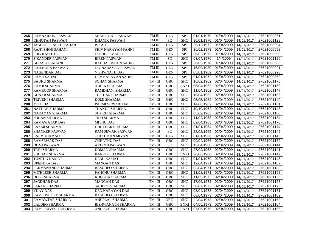| 265 | RAMNARAIN.PASWAN           | <b>SHANICHAR PASWAN</b>  | TM III | <b>GEN</b>  | SPJ         |            | 01/01/1970   01/04/2009 | 14/01/2017 | 27621000861 |
|-----|----------------------------|--------------------------|--------|-------------|-------------|------------|-------------------------|------------|-------------|
| 266 | <b>CHHOTAN PASWAN</b>      | <b>DHANIK PASWAN</b>     | TM III | <b>SC</b>   | <b>SHC</b>  | 30/01/1970 | 01/04/2009              | 14/01/2017 | 27621001128 |
| 267 | <b>JAGDEO PRASAD KAHAR</b> | <b>BIKAU</b>             | TM III | <b>GEN</b>  | SPJ         | 25/12/1972 | 01/04/2009              | 14/01/2017 | 27621000994 |
| 268 | <b>RAJKISHOR SAHANI</b>    | SHIV NARAYAN SAHNI       | TM III | <b>GEN</b>  | SPJ         | 26/02/1973 | 01/04/2009              | 14/01/2017 | 27621000992 |
| 269 | SHIVJI MAHTO               | <b>JAGDEEP MAHTO</b>     | TM III | <b>GEN</b>  | SPI         | 26/02/1973 | 01/04/2009              | 14/01/2017 | 27621000990 |
| 270 | <b>SIKANDER PASWAN</b>     | <b>BIREN PASWAN</b>      | TM III | ${\rm SC}$  | <b>SHC</b>  | 03/04/1976 | $\frac{1}{4}$ /4/2009   | 14/01/2017 | 27621001126 |
| 271 | <b>GORAKH SAHANI</b>       | RADHA KISHUN SAHNI       | TM III | <b>GEN</b>  | SPJ         | 26/02/1978 | 01/04/2009              | 14/01/2017 | 27621000988 |
| 272 | <b>RAJENDRA PASWAN</b>     | JAGNARAYAN PASWAN        | TM III | <b>GEN</b>  | SPJ         | 16/09/1980 | 01/04/2009              | 14/01/2017 | 27621000991 |
| 273 | <b>NAGENDAR DAS</b>        | <b>VISHWNATH DAS</b>     | TM III | <b>GEN</b>  | SPJ         | 05/01/1982 | 01/04/2009              | 14/01/2017 | 27621000993 |
| 274 | <b>RAMU.SAHNI</b>          | DEV NARAYAN SAHNI        | TM III | <b>GEN</b>  | SPJ         | 01/01/1972 | 01/04/2009              | 14/01/2017 | 27621000862 |
| 275 | <b>BAUKU SHARMA</b>        | SOHAN SHARMA             | TM-III | OBC         | <b>SHC</b>  | 16/02/1962 | 02/04/2009              | 14/01/2017 | 27621001176 |
| 276 | <b>RAMJI SHARMA</b>        | ADHIK SHARMA             | TM-III | <b>OBC</b>  | <b>BNKI</b> | 06/04/1962 | 02/04/2009              | 14/01/2017 | 27621001160 |
| 277 | <b>RAMROOP SHARMA</b>      | RAMDHANI SHARMA          | TM-III | <b>OBC</b>  | <b>SHC</b>  | 11/04/1962 | 02/04/2009              | 14/01/2017 | 27621001147 |
| 278 | <b>GONAR SHARMA</b>        | THITHAR SHARMA           | TM-III | OBC         | <b>SHC</b>  | 15/04/1962 | 02/04/2009              | 14/01/2017 | 27621001156 |
| 279 | <b>TRIVENI SHARMA</b>      | <b>DOMI SHARMA</b>       | TM-III | <b>OBC</b>  | <b>SHC</b>  | 05/05/1962 | 02/04/2009              | 14/01/2017 | 27621001140 |
| 280 | <b>MOTIDAS</b>             | PARMESHWARI DAS          | TM-III | OBC         | <b>SHC</b>  | 14/08/1962 | 02/04/2009              | 14/01/2017 | 27621001181 |
| 281 | <b>NATHAN SHARMA</b>       | <b>THAKUR SHARMA</b>     | TM-III | <b>OBC</b>  | <b>SHC</b>  | 10/10/1962 | 02/04/2009              | 14/01/2017 | 27621001148 |
| 282 | <b>NARAYAN SHARMA</b>      | <b>SUMRIT SHARMA</b>     | TM-III | <b>OBC</b>  | <b>SHC</b>  | 05/02/1963 | 02/04/2009              | 14/01/2017 | 27621001180 |
| 283 | <b>SOHAN SHARMA</b>        | TILO SHARMA              | TM-III | OBC         | <b>SHC</b>  | 11/02/1963 | 02/04/2009              | 14/01/2017 | 27621001184 |
| 284 | <b>RAMAWATAR DAS</b>       | <b>MITHU DAS</b>         | TM-III | <b>OBC</b>  | <b>SHC</b>  | 02/04/1963 | 02/04/2009              | 14/01/2017 | 27621001170 |
| 285 | <b>LAXMI SHARMA</b>        | <b>DHUTHAR SHARMA</b>    | TM-III | ${\rm OBC}$ | <b>SHC</b>  | 01/01/1964 | 02/04/2009              | 14/01/2017 | 27621001174 |
| 286 | <b>SHANKER PASWAN</b>      | RAM SEWAK PASWAN         | TM-III | <b>SC</b>   | <b>SHC</b>  | 28/02/1965 | 02/04/2009              | 14/01/2017 | 27621001142 |
| 287 | <b>LALMOHAMAD</b>          | <b>CHHOTKAN MIYAN</b>    | TM-III | <b>GEN</b>  | <b>SHC</b>  | 01/01/1966 | 02/04/2009              | 14/01/2017 | 27621001145 |
| 288 | <b>RAMSEWAK DAS</b>        | <b>CHHATHU DAS</b>       | TM-III | OBC         | <b>SHC</b>  | 09/04/1966 | 02/04/2009              | 14/01/2017 | 27621001179 |
| 289 | <b>DOMI PASWAN</b>         | <b>AYODHI PASWAN</b>     | TM-III | SC          | <b>SHC</b>  | 15/04/1966 | 02/04/2009              | 14/01/2017 | 27621001144 |
| 290 | <b>TEJU SHARMA</b>         | <b>DOMAN SHARMA</b>      | TM-III | <b>OBC</b>  | <b>SHC</b>  | 27/02/1968 | 02/04/2009              | 14/01/2017 | 27621001141 |
| 291 | <b>SUBHAK SHARMA</b>       | <b>KANKIR SHARMA</b>     | TM-III | <b>OBC</b>  | <b>BNKI</b> | 26/06/1968 | 02/04/2009              | 14/01/2017 | 27621001149 |
| 292 | <b>TUNTUN KAMAT</b>        | <b>DEBU KAMAT</b>        | TM-III | <b>OBC</b>  | <b>SHC</b>  | 01/01/1970 | 02/04/2009              | 14/01/2017 | 27621001143 |
| 293 | <b>UPENDRA DAS</b>         | <b>MANGAN DAS</b>        | TM-III | OBC         | <b>SHC</b>  | 12/04/1971 | 02/04/2009              | 14/01/2017 | 27621001167 |
| 294 | PARMANAND SHARMA           | <b>BASUDEO SHARMA</b>    | TM-III | OBC         | <b>SHC</b>  | 03/04/1971 | 02/04/2009              | 14/01/2017 | 27621001183 |
| 295 | <b>MITHLESH SHARMA</b>     | PANCHU SHARMA            | TM-III | <b>OBC</b>  | <b>SHC</b>  | 11/08/1971 | 02/04/2009              | 14/01/2017 | 27621001158 |
| 296 | <b>DEBU SHARMA</b>         | KHOKHA SHARMA            | TM-III | <b>OBC</b>  | <b>SHC</b>  | 11/05/1972 | 02/04/2009              | 14/01/2017 | 27621001155 |
| 297 | <b>JAGDHAR DAS</b>         | <b>MANGAN DAS</b>        | TM-III | OBC         | <b>SHC</b>  | 17/06/1972 | 02/04/2009              | 14/01/2017 | 27621001157 |
| 298 | PARAN SHARMA               | SAHDEO SHARMA            | TM-III | <b>OBC</b>  | <b>SHC</b>  | 30/07/1972 | 02/04/2009              | 14/01/2017 | 27621001175 |
| 299 | <b>VIJAY DAS</b>           | DEO NARAYAN DAS          | TM-III | <b>OBC</b>  | <b>SHC</b>  | 03/04/1973 | 02/04/2009              | 14/01/2017 | 27621001171 |
| 300 | <b>RAM KISHORE SHARMA</b>  | <b>BASUDEO SHARMA</b>    | TM-III | OBC         | <b>SHC</b>  | 08/04/1973 | 02/04/2009              | 14/01/2017 | 27621001169 |
| 301 | <b>RAMAWTAR SHARMA</b>     | <b>ANUPLAL SHARMA</b>    | TM-III | <b>OBC</b>  | <b>SHC</b>  | 22/04/1973 | 02/04/2009              | 14/01/2017 | 27621001168 |
| 302 | <b>LALDEO SHARMA</b>       | <b>BISHWANATH SHARMA</b> | TM-III | OBC         | <b>BNKI</b> | 04/05/1973 | 02/04/2009              | 14/01/2017 | 27621001164 |
| 303 | RAM PRAVESH SHARMA         | ANUPLAL SHARMA           | TM-III | OBC         | <b>BNKI</b> | 07/06/1975 | 02/04/2009              | 14/01/2017 | 27621001166 |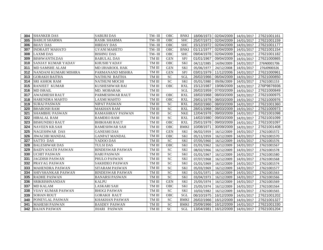| 304 | <b>SHANKER DAS</b>        | <b>SABURI DAS</b>       | TM-III        | <b>OBC</b>      | <b>BNKI</b> |            | 18/06/1973 02/04/2009 | 14/01/2017 | 27621001161 |
|-----|---------------------------|-------------------------|---------------|-----------------|-------------|------------|-----------------------|------------|-------------|
| 305 | <b>BABUJI SHARMA</b>      | RASIK SHARMA            | TM-III        | <b>OBC</b>      | <b>SHC</b>  | 25/07/1973 | 02/04/2009            | 14/01/2017 | 27621001159 |
| 306 | <b>BIJAY DAS</b>          | <b>HIRDAY DAS</b>       | TM-III        | <b>OBC</b>      | <b>SHC</b>  | 15/12/1972 | 02/04/2009            | 14/01/2017 | 27621001177 |
| 307 | <b>INDRAJIT MAHATO</b>    | <b>GYANI MAHETO</b>     | TM-III        | <b>OBC</b>      | <b>BNKI</b> | 01/11/1977 | 02/04/2009            | 14/01/2017 | 27621001154 |
| 308 | <b>LAXMIDAS</b>           | <b>BISHNU DAS</b>       | TM-III        | OBC             | <b>SHC</b>  | 09/04/1978 | 02/04/2009            | 14/01/2017 | 27621001182 |
| 309 | <b>BISHWANTH.DAS</b>      | <b>BABULAL DAS</b>      | TM III        | <b>GEN</b>      | SPJ         | 01/01/1967 | 09/04/2009            | 14/01/2017 | 27621000865 |
| 310 | <b>SANJAY KUMAR YADAV</b> | KHUSHI YADAV            | TM III        | OBC             | <b>SKI</b>  | 04/12/1985 | 14/04/2009            | 14/01/2017 | 276N0001706 |
| 311 | MD SAMSHE ALAM            | MD IJHAROOL HAK         | TM III        | <b>GEN</b>      | <b>SKI</b>  | 05/06/1977 | 24/12/2008            | 14/01/2017 | 276J0900326 |
| 312 | NANDANI KUMARI MISHRA     | PARMANAND MISHRA        | TM III        | <b>GEN</b>      | SPJ         | 03/01/1979 | 11/12/2006            | 14/01/2017 | 27621000961 |
| 313 | <b>GORAKH BAITHA</b>      | <b>NATHUNI BAITHA</b>   | TM III        | <b>SC</b>       | <b>SGL</b>  | 26/02/1966 | 06/04/2009            | 14/01/2017 | 27621000850 |
| 314 | <b>SRI ASHOK RAM</b>      | NATHUNI MOCHI           | TM III        | <b>SC</b>       | <b>SKI</b>  | 05/01/1980 | 09/06/2009            | 14/01/2017 | 27621001153 |
| 315 | <b>RANJEET KUMAR</b>      | KUSHESHWAR RAI          | TM III        | OBC             | <b>RXL</b>  | 15/12/1987 | 19/06/2009            | 14/01/2017 | 276P9876936 |
| 316 | <b>MD ISRAIL</b>          | MD. MOBARAK             | TM III        |                 | <b>SGL</b>  | 26/02/1959 | 07/03/2009            | 14/01/2017 | 27621000849 |
| 317 | <b>AWADHESH RAUT</b>      | PARMESHWAR RAUT         | TM III        | OBC             | <b>RXL</b>  | 18/02/1968 | 08/03/2009            | 14/01/2017 | 27621000975 |
| 318 | <b>HARENDRA MAHTO</b>     | <b>LAXMI MAHTO</b>      | TM III        | <b>OBC</b>      | <b>RXL</b>  | 29/01/1978 | 08/03/2009            | 14/01/2017 | 27621000976 |
| 319 | <b>SURAJ PASWAN</b>       | <b>NIPAT PASWAN</b>     | TM III        | <b>SC</b>       | <b>RXL</b>  | 26/02/1960 | 08/03/2009            | 14/01/2017 | 27621001360 |
| 320 | <b>BHAROSH RAM</b>        | <b>MAKHAN RAM</b>       | TM III        | <b>SC</b>       | <b>RXL</b>  | 28/01/1968 | 08/03/2009            | 14/01/2017 | 27621000973 |
| 321 | <b>SHAMBHU PASWAN</b>     | RAMASHRAY PASWAN        | TM III        | <b>SC</b>       | <b>NKE</b>  | 12/04/1978 | 09/03/2009            | 14/01/2017 | 27621001098 |
| 322 | <b>HIRALAL RAM</b>        | <b>RAMDEO RAM</b>       | TM III        | <b>SC</b>       | <b>RXL</b>  | 14/02/1980 | 09/03/2009            | 14/01/2017 | 27621001099 |
| 323 | <b>BISHUNDEO RAUT</b>     | <b>BHIKHARI RAUT</b>    | TM III        | OBC             | <b>RXL</b>  | 25/01/1978 | 09/03/2009            | 14/01/2017 | 27621001097 |
| 324 | <b>NAVEEN KR.SAH</b>      | <b>RAMESHWAR SAH</b>    | TM III        | <b>OBC</b>      | <b>BMKI</b> | 10/08/1971 | 30/09/2009            | 14/01/2017 | 27621001408 |
| 325 | NAGESHWAR DAS             | <b>GANESHI DAS</b>      | TM III        | <b>GEN</b>      | <b>SKI</b>  | 06/02/1959 | 16/12/2009            | 14/01/2017 | 27621001572 |
| 326 | <b>JIWACHH MANDAL</b>     | <b>GANPAT MANDAL</b>    | $\rm TM\ III$ | OBC             | <b>SKI</b>  | 05/11/1959 | 16/12/2009            | 14/01/2017 | 27621001570 |
| 327 | <b>SATTO DAS</b>          | YADOO DAS               | TM III        | <b>SC</b>       | <b>SKI</b>  | 07/05/1960 | 16/12/2009            | 14/01/2017 | 27621001576 |
| 328 | <b>BALESHWAR DAS</b>      | <b>TULSI DAS</b>        | TM III        | <b>OBC</b>      | <b>SKI</b>  | 01/01/1962 | 16/12/2009            | 14/01/2017 | 27621001567 |
| 329 | <b>BAIDYANATH PASWAN</b>  | <b>BINDESWAR PASWAN</b> | TM III        | <b>SC</b>       | <b>SKI</b>  | 08/02/1966 | 16/12/2009            | 14/01/2017 | 27621001578 |
| 330 | <b>UCHIT PASWAN</b>       | <b>HARI PASWAN</b>      | TM III        | <b>SC</b>       | <b>SKI</b>  | 01/01/1967 | 16/12/2009            | 14/01/2017 | 27621001580 |
| 331 | <b>JAGDISH PASWAN</b>     | PHULO PASWAN            | TM III        | <b>SC</b>       | <b>SKI</b>  | 07/07/1968 | 16/12/2009            | 14/01/2017 | 27621001568 |
| 332 | PRAYAG PASWAN             | <b>SAKHDEO PASWAN</b>   | TM III        | SC              | <b>SKI</b>  | 01/01/1969 | 16/12/2009            | 14/01/2017 | 27621001574 |
| 333 | <b>MAHENDRA PASWAN</b>    | <b>SITARAM PASWAN</b>   | TM III        | SC              | <b>SKI</b>  | 05/03/1969 | 16/12/2009            | 14/01/2017 | 27621001577 |
| 334 | SHIVSHANKAR PASWAN        | <b>BINDESWAR PASWAN</b> | TM III        | <b>SC</b>       | <b>SKI</b>  | 01/01/1971 | 16/12/2009            | 14/01/2017 | 27621001563 |
| 335 | <b>RADHE PASWAN</b>       | <b>BANARSI PASWAN</b>   | TM III        | <b>SC</b>       | <b>SKI</b>  | 03/04/1973 | 16/12/2009            | 14/01/2017 | 27621001566 |
| 336 | <b>SRIKRISHNANDAN</b>     | <b>KALPU</b>            | TM III        | <b>GEN</b>      | <b>SKI</b>  | 25/05/1974 | 16/12/2009            | 14/01/2017 | 27621001569 |
| 337 | <b>MD KALAM</b>           | LASKARI SAH             | TM III        | OBC             | <b>SKI</b>  | 25/05/1974 | 16/12/2009            | 14/01/2017 | 27621001564 |
| 338 | <b>VIJAY KUMAR PASWAN</b> | <b>BHOGI PASWAN</b>     | TM III        | <b>SC</b>       | <b>SKI</b>  | 10/02/1982 | 16/12/2009            | 14/01/2017 | 27621001565 |
| 339 | <b>SOHAN ROUT</b>         | <b>GORAKH RAUT</b>      | TM III        | <b>OBC</b>      | <b>SGL</b>  | 06/10/1975 | 16/12/2009            | 14/01/2017 | 27621001202 |
| 340 | PONEYLAL PASWAN           | <b>KHAKHAN PASWAN</b>   | TM III        | <b>SC</b>       | <b>BMKI</b> | 26/02/1966 | 16/12/2009            | 14/01/2017 | 27621001327 |
| 341 | <b>MAHESH PASWAN</b>      | <b>BASDEV PASWAN</b>    | TM III        | $\overline{SC}$ | <b>BMKI</b> | 25/09/1966 | 16/12/2009            | 14/01/2017 | 27621001330 |
| 342 | <b>RAJAN PASWAN</b>       | JHARI PASWAN            | TM III        | <b>SC</b>       | <b>SGL</b>  | 13/04/1981 | 16/12/2009            | 14/01/2017 | 27621001204 |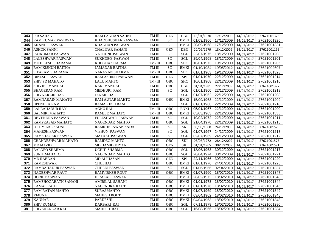| 343 | <b>R B SAHANI</b>        | RAM LAKHAN SAHNI       | TM III | <b>GEN</b>      | DBG         |            | 18/01/1970 17/12/2009 14/01/2017 |            | 27621001325 |
|-----|--------------------------|------------------------|--------|-----------------|-------------|------------|----------------------------------|------------|-------------|
| 344 | <b>RAM KUMAR PASHWAN</b> | KHADBHUSHAN PASWAN     | TM III | <b>SC</b>       | <b>BMKI</b> | 01/03/1966 | 17/12/2009                       | 14/01/2017 | 27621001326 |
| 345 | <b>ANANDI PASWAN</b>     | <b>KHAKHAN PASWAN</b>  | TM III | $\overline{SC}$ | <b>BMKI</b> | 20/09/1968 | 17/12/2009                       | 14/01/2017 | 27621001331 |
| 346 | <b>ASHOK SAHNI</b>       | <b>CHALITAR SAHANI</b> | TM III | <b>GEN</b>      | <b>DBG</b>  | 20/09/1979 | 18/12/2009                       | 14/01/2017 | 27621001196 |
| 347 | <b>RAJKUMAR PASWAN</b>   | NATHUNI PASWAN         | TM III | <b>SC</b>       | <b>SGL</b>  | 22/07/1975 | 18/12/2009                       | 14/01/2017 | 27621001203 |
| 348 | <b>LALESHWAR PASWAN</b>  | <b>SUKHDEO PASWAN</b>  | TM III | <b>SC</b>       | <b>SGL</b>  | 29/04/1968 | 18/12/2009                       | 14/01/2017 | 27621001201 |
| 349 | MITHILESH SHARAMA        | KHOKHA SHARMA          | TM-III | OBC             | <b>SHC</b>  | 10/01/1973 | 19/12/2009                       | 14/01/2017 | 27621001206 |
| 350 | <b>RAM KISHUN BAITHA</b> | JAMADAR BAITHA         | TM III | $\overline{SC}$ | <b>BMKI</b> | 01/10/1984 | 19/05/2012                       | 14/01/2017 | 27621002607 |
| 351 | SITARAM SHARAMA          | NARAYAN SHARMA         | TM-III | OBC             | <b>SHC</b>  | 01/01/1963 | 19/12/2009                       | 14/01/2017 | 27621001328 |
| 352 | <b>DINESH PASWAN</b>     | RAM ASHISH PASWAN      | TM III | <b>GEN</b>      | <b>SPJ</b>  | 01/01/1970 | 22/12/2009                       | 14/01/2017 | 27621001214 |
| 353 | <b>SHIV PD MAHATO</b>    | LALU MAHTO             | TM-III | <b>OBC</b>      | <b>SHC</b>  | 10/01/1968 | 22/12/2009                       | 14/01/2017 | 27621001216 |
| 354 | <b>SHIVJEE MANDAL</b>    | <b>KARI MANDAL</b>     | TM III | OBC             | <b>DBG</b>  | 01/04/1981 | 22/12/2009                       | 14/01/2017 | 27621001372 |
| 355 | <b>BHAGERAN RAM</b>      | MEDHURI RAM            | TM III | <b>SC</b>       | <b>SGL</b>  | 01/01/1960 | 22/12/2009                       | 14/01/2017 | 27621001219 |
| 356 | <b>SHIVNARAIN DAS</b>    | <b>JANAK DAS</b>       | TM III |                 | <b>SGL</b>  | 01/07/1962 | 22/12/2009                       | 14/01/2017 | 27621001208 |
| 357 | <b>RAMNARAIN MAHATO</b>  | <b>RAM AUTAR MAHTO</b> | TM III | <b>OBC</b>      | <b>BMKI</b> | 15/09/1963 | 22/12/2009                       | 14/01/2017 | 27621001209 |
| 358 | <b>UPENDRA RAM</b>       | RAMASHISH RAM          | TM III | <b>SC</b>       | SGL         | 01/01/1968 | 22/12/2009                       | 14/01/2017 | 27621001210 |
| 359 | <b>LALBAHADUR RAY</b>    | AGNU RAI               | TM-III | OBC             | <b>BNKI</b> | 05/01/1967 | 22/12/2009                       | 14/01/2017 | 27621001200 |
| 360 | <b>BALMIKI MAHATO</b>    | <b>RAMJEE MAHATO</b>   | TM-III | <b>OBC</b>      | <b>BMKI</b> | 05/03/1963 | 22/12/2009                       | 14/01/2017 | 27621001335 |
| 361 | DEVENDRA PASWAN          | FULESHWAR PASWAN       | TM III | <b>SC</b>       | <b>SGL</b>  | 10/02/1972 | 22/12/2009                       | 14/01/2017 | 27621001211 |
| 362 | RAMPRASAD MAHATO         | NAGENDAR MAHTO         | TM III | OBC             | <b>SGL</b>  | 21/04/1970 | 22/12/2009                       | 14/01/2017 | 27621001215 |
| 363 | UTTIM LAL SADAI          | RAMKHELAWAN SADAI      | TM III | <b>SC</b>       | <b>SKI</b>  | 06/05/1960 | 24/12/2009                       | 14/01/2017 | 27621001579 |
| 364 | <b>MAHESH PASWAN</b>     | VISHUN PASWAN          | TM III | <b>SC</b>       | <b>SGL</b>  | 01/07/1967 | 24/12/2009                       | 14/01/2017 | 27621001213 |
| 365 | <b>RAMSHAGAR PASWAN</b>  | MATAKI PASWAN          | TM III | <b>SC</b>       | <b>SGL</b>  | 02/07/1969 | 24/12/2009                       | 14/01/2017 | 27621001212 |
| 366 | CHANDESHWAR MAHATO       | <b>RAMDEO MAHTO</b>    | TM III | <b>OBC</b>      | <b>SKI</b>  | 03/06/1972 | 28/12/2009                       | 14/01/2017 | 27621001575 |
| 367 | <b>MD MAZID</b>          | <b>MD HAMID MIYAN</b>  | TM III | <b>GEN</b>      | <b>SKI</b>  | 01/01/1965 | 30/12/2009                       | 14/01/2017 | 27621001571 |
| 368 | <b>BALDEO SHARMA</b>     | <b>UCHIT SHARMA</b>    | TM III | OBC             | <b>SGL</b>  | 18/06/1963 | 30/12/2009                       | 14/01/2017 | 27621001217 |
| 369 | <b>SUNIL MAHATO</b>      | <b>NAGENDAR MAHTO</b>  | TM III | OBC             | <b>SGL</b>  | 20/04/1974 | 30/12/2009                       | 14/01/2017 | 27621001221 |
| 370 | <b>MD RABBAN</b>         | <b>MD ALIHASAN</b>     | TM III | <b>GEN</b>      | SPJ         | 22/11/1966 | 30/12/2009                       | 14/01/2017 | 27621001220 |
| 371 | <b>RAMESHWAR</b>         | <b>CHULHAI</b>         | TM III | OBC             | <b>BMKI</b> | 01/01/1976 | 24/01/2010                       | 14/01/2017 | 27621001225 |
| 372 | <b>RAMBAHADUR PASWAN</b> | <b>CHHEDI PASWAN</b>   | TM III | <b>SC</b>       | <b>SGL</b>  | 01/06/1966 | 02/04/2010                       | 14/01/2017 | 27621001337 |
| 373 | <b>NAGESHWAR RAUT</b>    | <b>RAMVIRKSH ROUT</b>  | TM III | <b>OBC</b>      | <b>BMKI</b> | 01/07/1960 | 18/02/2010                       | 14/01/2017 | 27621001347 |
| 374 | <b>HORIL PASWAN</b>      | HIRALAL PASWAN         | TM III | <b>SC</b>       | <b>BMKI</b> | 28/02/1972 | 18/02/2010                       | 14/01/2017 | 27621001348 |
| 375 | RAMSHOGARATH SAHANI      | AMIRILAL SAHANI        | TM III | OBC             | <b>BMKI</b> | 01/01/1973 | 18/02/2010                       | 14/01/2017 | 27621001344 |
| 376 | <b>KAMAL RAUT</b>        | NAGENDRA RAUT          | TM III | OBC             | <b>BMKI</b> | 01/01/1976 | 18/02/2010                       | 14/01/2017 | 27621001346 |
| 377 | <b>RAM RATAN MAHTO</b>   | SURAJ MAHTO            | TM III | OBC             | <b>BMKI</b> | 01/07/1969 | 18/02/2010                       | 14/01/2017 | 27621001349 |
| 378 | <b>YMUNA</b>             | <b>MAHESH ROUT</b>     | TM III | <b>OBC</b>      | <b>BMKI</b> | 03/04/1962 | 18/02/2010                       | 14/01/2017 | 27621001345 |
| 379 | <b>KANHAE</b>            | <b>PARDESHI</b>        | TM III | <b>OBC</b>      | <b>BMKI</b> | 04/04/1963 | 18/02/2010                       | 14/01/2017 | 27621001343 |
| 380 | <b>SHIV KUMAR</b>        | DARBARI RAI            | TM III | OBC             | SGL         | 07/11/1979 | 18/02/2010                       | 14/01/2017 | 27621001280 |
| 381 | <b>SHIVSHANKAR RAI</b>   | <b>MAHESH RAI</b>      | TM III | <b>OBC</b>      | <b>SGL</b>  | 16/08/1966 | 18/02/2010 14/01/2017            |            | 27621001284 |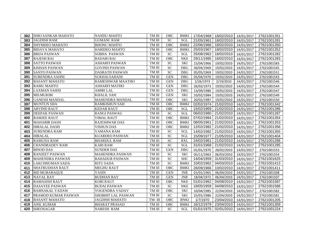|     | <b>382 SHIO SANKAR MAHATO</b> | <b>NANDU MAHTO</b>        | TM III        | <b>OBC</b>      | <b>BMKI</b> | 17/04/1968   18/02/2010   14/01/2017 |            |            | 27621001351 |
|-----|-------------------------------|---------------------------|---------------|-----------------|-------------|--------------------------------------|------------|------------|-------------|
| 383 | <b>JAGDISH RAM</b>            | <b>GUMANI RAM</b>         | TM III        | <b>SC</b>       | <b>SGL</b>  | 21/05/1961                           | 18/02/2010 | 14/01/2017 | 27621001281 |
| 384 | <b>SHYMDEO MAHATO</b>         | <b>BHONU MAHTO</b>        | TM III        | OBC             | <b>BMKI</b> | 22/06/1966                           | 18/02/2010 | 14/01/2017 | 27621001350 |
| 385 | <b>BIDAYA MAHATO</b>          | <b>HARIDEO MAHTO</b>      | TM III        | OBC             | <b>BMKI</b> | 25/03/1967                           | 18/02/2010 | 14/01/2017 | 27621001352 |
| 386 | <b>BRIJA PASWAN</b>           | <b>SOBHA PASWAN</b>       | TM III        | <b>SC</b>       | <b>SGL</b>  | 25/08/1962                           | 18/02/2010 | 14/01/2017 | 27621001282 |
| 387 | <b>RAJESH RAI</b>             | <b>BADARI RAI</b>         | TM III        | OBC             | <b>NKE</b>  | 29/11/1985                           | 18/02/2010 | 14/01/2017 | 27621001283 |
| 388 | <b>SATTO PASWAN</b>           | <b>ASHARFI PASWAN</b>     | TM III        | <b>SC</b>       | <b>SKI</b>  | 15/04/1966                           | 19/02/2010 | 14/01/2017 | 27621001583 |
| 389 | <b>KISHAN PASWAN</b>          | <b>GOVIND PASWAN</b>      | $\rm TM\ III$ | <b>SC</b>       | DBG         | 30/04/1969                           | 19/02/2010 | 14/01/2017 | 27621001545 |
| 390 | <b>SANTO PASWAN</b>           | <b>DASRATH PASWAN</b>     | TM III        | <b>SC</b>       | <b>DBG</b>  | 05/05/1969                           | 19/02/2010 | 14/01/2017 | 27621001551 |
| 391 | <b>SURENDRA SAHNI</b>         | <b>SUKHAI SAHANI</b>      | TM III        | <b>GEN</b>      | DBG         | 05/04/1970                           | 19/02/2010 | 14/01/2017 | 27621001543 |
| 392 | <b>BASANT MAHATO</b>          | <b>RAMESHWAR MAATHO</b>   | TM III        | <b>GEN</b>      | <b>DBG</b>  | 2/26/1973                            | 2/19/2010  | 14/01/2017 | 27621001546 |
| 393 | <b>RAMU MAHTO</b>             | ASHARFI MATHO             | TM III        | <b>GEN</b>      | <b>DBG</b>  | 26/02/1973                           | 19/02/2010 | 14/01/2017 | 27621001544 |
| 394 | <b>LAXMAN SAHNI</b>           | <b>AMIRI LAL</b>          | $\rm TM\ III$ | <b>GEN</b>      | <b>DBG</b>  | 13/09/1980                           | 19/02/2010 | 14/01/2017 | 27621001547 |
| 395 | MD.MUKIM                      | <b>KHALIL SAH</b>         | $\rm TM\ III$ | <b>GEN</b>      | <b>SKI</b>  | 10/02/1984                           | 19/02/2010 | 14/01/2017 | 27621001549 |
| 396 | <b>GANESH MANDAL</b>          | <b>MAHENDRA MANDAL</b>    | $\rm TM\ III$ | OBC             | <b>SKI</b>  | 20/02/1987                           | 19/02/2010 | 14/01/2017 | 27621001550 |
| 397 | <b>MUNTUN SHA</b>             | <b>RAMKISHUN SAH</b>      | TM III        | OBC             | <b>BMKI</b> | 02/02/1974                           | 21/02/2010 | 14/01/2017 | 27621001342 |
| 398 | <b>ARVIND RAUT</b>            | <b>KEDAR RAUT</b>         | TM III        | OBC             | SGL         | 15/02/1969                           | 21/02/2010 | 14/01/2017 | 27621001286 |
| 399 | <b>DEEPAK PASWAN</b>          | <b>RANGI PASWAU</b>       | TM III        | <b>SC</b>       | SGL         | 06/02/1980                           | 21/02/2010 | 14/01/2017 | 27621001287 |
| 400 | <b>RAMJEE RAUT</b>            | <b>VIMAL RAUT</b>         | TM III        | OBC             | <b>BMKI</b> | 07/02/1984                           | 21/02/2010 | 14/01/2017 | 27621001354 |
| 401 | <b>MAHABIR DASH</b>           | <b>RAJESHWAR DAS</b>      | $\rm TM\ III$ | OBC             | <b>BMKI</b> | 08/05/1961                           | 21/02/2010 | 14/01/2017 | 27621001353 |
| 402 | <b>HIRALAL DASH</b>           | <b>VISHUN DAS</b>         | TM III        | OBC             | <b>BMKI</b> | 12/02/1982                           | 21/02/2010 | 14/01/2017 | 27621001356 |
| 403 | <b>SURENDRA RAM</b>           | YAMANA RAM                | $\rm TM\ III$ | <b>SC</b>       | <b>SGL</b>  | 14/02/1982                           | 21/02/2010 | 14/01/2017 | 27621001355 |
| 404 | <b>HIRALAL</b>                | <b>KUARDEO PASWAN</b>     | TM III        | <b>SC</b>       | SGL         | 15/09/1977                           | 21/05/2010 | 14/01/2017 | 27621001404 |
| 405 | <b>RAMUNA RAM</b>             | <b>BHARDUL RAM</b>        | TM III        | <b>SC</b>       | <b>RXL</b>  | 24/02/1961                           | 21/02/2010 | 14/01/2017 | 27621001288 |
| 406 | <b>CHANDRADEV RAM</b>         | <b>KARI RAM</b>           | $\rm TM\ III$ | $\overline{SC}$ | SGL         | 31/01/1968                           | 21/02/2010 | 14/01/2017 | 27621001285 |
| 407 | <b>BINOD DAS</b>              | <b>SUNDER DAS</b>         | $\rm TM\ III$ | <b>GEN</b>      | <b>DBG</b>  | 01/01/1970                           | 28/02/2010 | 14/01/2017 | 27621001553 |
| 408 | <b>RANJEET PASWAN</b>         | <b>MAHENDRA PASWAN</b>    | $\rm TM\ III$ | <b>SC</b>       | SKI         | 05/11/1963                           | 06/03/2010 | 14/01/2017 | 27621001554 |
| 409 | <b>MAHENDRA PASWAN</b>        | <b>BAHADUR PASWAN</b>     | TM III        | <b>SC</b>       | <b>SHC</b>  | 14/04/1959                           | 31/03/2010 | 14/01/2017 | 27621001625 |
| 410 | <b>LAKCHHUMAN SADA</b>        | <b>RITU SADA</b>          | TM III        | <b>SC</b>       | <b>BMKI</b> | 10/02/1962                           | 04/03/2010 | 14/01/2017 | 27621001413 |
| 411 | <b>SHATRUDHAN RAUT</b>        | <b>MEGHU RAUT</b>         | TM III        | <b>OBC</b>      | <b>BMKI</b> | 26/09/1966                           | 10/02/2010 | 14/01/2017 | 27621001411 |
| 412 | <b>MD MUBARAQUE</b>           | <b>YASIN</b>              | TM III        | <b>GEN</b>      | <b>JNR</b>  | 01/01/1965                           | 06/04/2010 | 14/01/2017 | 27621001508 |
| 413 | <b>NAVAL RAY</b>              | <b>BUDHAN RAY</b>         | TM III        | <b>GEN</b>      | <b>JNR</b>  | 18/04/1972                           | 06/04/2010 | 14/01/2017 | 27621001507 |
| 414 | <b>RAMASISH RAUT</b>          | <b>KORI RAUT</b>          | TM III        | OBC             | <b>NKE</b>  | 01/01/1962                           | 04/08/2010 | 14/01/2017 | 27621001587 |
| 415 | <b>DASAYEE PASWAN</b>         | <b>BUDAI PASWAN</b>       | TM III        | <b>SC</b>       | <b>NKE</b>  | 19/05/1959                           | 04/08/2010 | 14/01/2017 | 27621001586 |
| 416 | <b>RAMSAKAL YADAW</b>         | YOGENDRA YADAV            | TM III        | OBC             | <b>SKI</b>  | 10/04/1985                           | 22/04/2010 | 14/01/2017 | 27621001582 |
| 417 | <b>PRAMOD KUMAR PASWAN</b>    | <b>SHOBHIT LAL PASWAN</b> | TM III        | <b>SC</b>       | <b>SKI</b>  | 25/01/1986                           | 22/04/2010 | 14/01/2017 | 27621001581 |
| 418 | <b>BASANT MAHATO</b>          | <b>JAGDISH MAHATO</b>     | TM-III        | <b>OBC</b>      | <b>BNKI</b> | 1/7/1970                             | 23/04/2010 | 14/01/2017 | 27621001205 |
| 419 | <b>ANIL KUMAR</b>             | <b>BHARAT PRASAD</b>      | TM III        | OBC             | <b>BMKI</b> | 16/12/1979                           | 23/04/2010 | 14/01/2017 | 27621001359 |
| 420 | <b>SHEOSAGAR</b>              | <b>NARESH RAM</b>         | $\rm TM\ III$ | <b>SC</b>       | <b>SGL</b>  | 01/01/1975                           | 02/01/2010 | 14/01/2017 | 27621001224 |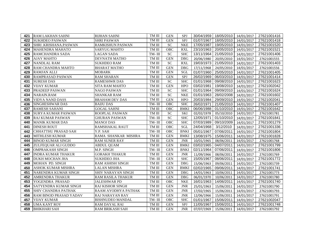|     | <b>421 RAM LAKHAN SAHNI</b>   | <b>RIJHAN SAHNI</b>       | TM III | <b>GEN</b> | SPJ         |            | 30/04/1959   18/05/2010   14/01/2017 |            | 27621001416 |
|-----|-------------------------------|---------------------------|--------|------------|-------------|------------|--------------------------------------|------------|-------------|
| 422 | <b>SUKHDEO PASWAN</b>         | <b>SHRI PASWAN</b>        | TM III | <b>GEN</b> | SPJ         | 01/07/1967 | 18/05/2010 14/01/2017                |            | 27621001418 |
| 423 | <b>SHRI .KRISHANA.PASWAN</b>  | <b>RAMKISHUN PASWAN</b>   | TM III | SC         | <b>NKE</b>  | 17/05/1987 | 19/05/2010 14/01/2017                |            | 27621001520 |
| 424 | <b>MAHENDRA MAHATO</b>        | <b>SARYUG MAHTO</b>       | TM III | <b>OBC</b> | <b>RXL</b>  | 23/10/1963 | 20/05/2010 14/01/2017                |            | 27621001521 |
| 425 | <b>RAMCHANDRA SADA</b>        | <b>LAGAN SADA</b>         | TM-III | <b>SC</b>  | <b>SHC</b>  | 13/11/1964 | 21/05/2010                           | 14/01/2017 | 27621001406 |
| 426 | <b>AJAY MAHTO</b>             | DEVNATH MATHO             | TM III | <b>GEN</b> | <b>DBG</b>  | 20/06/1980 | 20/05/2010                           | 14/01/2017 | 27621001555 |
| 427 | <b>NANDLAL RAM</b>            | <b>SUKHDEO RAM</b>        | TM III | <b>SC</b>  | <b>RXL</b>  | 19/03/1973 | 21/05/2010                           | 14/01/2017 | 27621001403 |
| 428 | RAM CHANDRA MAHTO             | <b>BHARAT MATHO</b>       | TM III | <b>GEN</b> | <b>DBG</b>  | 17/11/1968 | 24/05/2010                           | 14/01/2017 | 27621001556 |
| 429 | <b>RAMJAN ALLI</b>            | <b>MOBARK</b>             | TM III | <b>GEN</b> | SGL         | 01/07/1960 | 25/05/2010                           | 14/01/2017 | 27621001405 |
| 430 | <b>RAMPRASAD PASWAN</b>       | <b>RAM SHARAN</b>         | TM III | <b>GEN</b> | SPJ         | 26/02/1969 | 06/03/2010                           | 14/01/2017 | 27621001414 |
| 431 | <b>SURESH DAS</b>             | <b>RAMESHWR DAS</b>       | TM III | <b>SC</b>  | <b>SHC</b>  | 01/01/1968 | 09/08/2010                           | 14/01/2017 | 27621001623 |
| 432 | <b>VIJAY KUMAR</b>            | SITA RAM MAHTO            | TM III | <b>GEN</b> | <b>HPO</b>  | 03/02/1981 | 19/08/2010                           | 14/01/2017 | 27621002042 |
| 433 | PRADEEP PASWAN                | <b>NAGO PASWAN</b>        | TM III | <b>SC</b>  | <b>SHC</b>  | 01/01/1964 | 09/09/2010                           | 14/01/2017 | 27621001624 |
| 434 | <b>NARAIN.RAM</b>             | <b>SHANKAR RAM</b>        | TM III | <b>SC</b>  | <b>NKE</b>  | 01/01/1963 | 28/02/2008                           | 14/01/2017 | 27621001602 |
| 435 | <b>VIDYA NAND DASS</b>        | <b>BRAHAM DEV DAS</b>     | TM III | <b>GEN</b> | <b>HPO</b>  | 20/03/1984 | 29/09/2010                           | 14/01/2017 | 27621002041 |
| 436 | <b>SINGHESHWAR DAS</b>        | <b>BAIJU DAS</b>          | TM-III | OBC        | <b>SHC</b>  | 26/02/1971 | 21/05/2010                           | 14/01/2017 | 27621001407 |
| 437 | <b>RAMESH SAHANI</b>          | <b>GOGAL SAHNI</b>        | TM III | OBC        | <b>BMKI</b> | 06/06/1988 | 01/10/2010                           | 14/01/2017 | 27621001642 |
| 438 | <b>SURYA KUMAR PASWAN</b>     | ROOPLAL PASWAN            | TM III | <b>SC</b>  | <b>SKI</b>  | 02/02/1978 | 05/10/2010                           | 14/01/2017 | 27621001781 |
| 439 | <b>RAJ KUMAR PASWAN</b>       | <b>GHURAN PASWAN</b>      | TM-III | <b>SC</b>  | <b>SHC</b>  | 12/05/1971 | 01/10/2010                           | 14/01/2017 | 27621001841 |
| 440 | <b>MANIK KUMAR DAS</b>        | <b>MANOJ DAS</b>          | TM-III | OBC        | <b>SHC</b>  | 07/03/1989 | 09/10/2009                           | 14/01/2017 | 27621001279 |
| 441 | <b>DINESH ROUT</b>            | <b>RAMSHAKAL RAUT</b>     | TM III | <b>OBC</b> | <b>SGL</b>  | 24/04/1968 | 3/12/2010                            | 14/01/2017 | 27621001336 |
| 442 | CHHATTHU PRASAD SAH           | Y.P. SAH                  | TM-III | OBC        | <b>BNKI</b> | 05/01/1967 | 07/06/2011                           | 14/01/2017 | 27621001804 |
| 443 | MITHLESH KUMAR                | RAMA SHANKAR MISHRA       | TM III | <b>GEN</b> | <b>BMKI</b> | 13/08/1975 | 15/06/2011                           | 14/01/2017 | 27621001828 |
| 444 | <b>BINOD KUMAR SINGH</b>      | <b>RAM SUNER RAY</b>      | TM III | <b>GEN</b> | <b>JNR</b>  | 10/01/1965 | 08/06/2011                           | 14/01/2017 | 27621001768 |
| 445 | ZULFEQUAR ALI GUDDO           | <b>ABDUL QUAM</b>         | TM III | <b>GEN</b> | <b>BMKI</b> | 03/02/1965 | 04/07/2011                           | 14/01/2017 | 27621001799 |
| 446 | <b>OMPRAKASH SINGH</b>        | M.P. SINGH                | TM-III | <b>GEN</b> | <b>BNKI</b> | 02/11/1964 | 07/06/2011                           | 14/01/2017 | 27621001806 |
| 447 | <b>INDRA KUMAR THAKUR</b>     | <b>GORAKH THAKUR</b>      | TM III | <b>GEN</b> | <b>JNR</b>  | 11/09/1966 | 08/06/2011                           | 14/01/2017 | 27621001769 |
| 448 | <b>DUKH MOCHAN JHA</b>        | <b>SUKHDEO JHA</b>        | TM-III | <b>GEN</b> | <b>SHC</b>  | 15/05/1967 | 08/06/2011                           | 14/01/2017 | 27621001772 |
| 449 | MOHAN PD. SINGH               | <b>RAM ASHISH SINGH</b>   | TM III | <b>GEN</b> | DBG         | 15/06/1963 | 09/06/2011                           | 14/01/2017 | 27621001739 |
| 450 | <b>ASHOK KUMAR MISHRA</b>     | <b>LALAN MISHRA</b>       | TM III | <b>GEN</b> | <b>BMKI</b> | 02/02/1965 | 09/06/2011                           | 14/01/2017 | 27621001741 |
| 451 | <b>NARENDRA KUMAR SINGH</b>   | <b>SHIV NARAYAN SINGH</b> | TM III | <b>GEN</b> | <b>DBG</b>  | 14/01/1963 | 10/06/2011                           | 14/01/2017 | 27621001773 |
| 452 | <b>AMRENDRA THAKUR</b>        | <b>RAM RASILA THAKUR</b>  | TM III | <b>GEN</b> | <b>DBG</b>  | 06/01/1970 | 10/06/2011                           | 14/01/2017 | 27621001780 |
| 453 | YOGENDRA PRASAD               | <b>JALESHWAR PD</b>       | TM III | OBC        | <b>NKE</b>  | 16/01/1963 | 14/06/2011                           | 14/01/2017 | 27621001740 |
| 454 | SATYENDRA KUMAR SINGH         | <b>RAJ KISHOR SINGH</b>   | TM III | <b>GEN</b> | <b>JNR</b>  | 25/01/1963 | 15/06/2011                           | 14/01/2017 | 27621001790 |
| 455 | <b>SHIV CHANDRA PATHAK</b>    | RAAM AYODHYA PATHAK       | TM III | <b>GEN</b> | <b>JNR</b>  | 17/02/1965 | 15/06/2011                           | 14/01/2017 | 27621001793 |
| 456 | <b>RAM BINOD PRASAD YADAV</b> | <b>RAJ NARAYAN RAY</b>    | TM III | <b>GEN</b> | <b>JNR</b>  | 12/06/1966 | 15/06/2011                           | 14/01/2017 | 27621001791 |
| 457 | <b>VIJAY KUMAR</b>            | <b>BISHNUDEO MANDAL</b>   | TM-III | <b>OBC</b> | <b>SHC</b>  | 01/01/1967 | 15/06/2011                           | 14/01/2017 | 27621002047 |
| 458 | <b>UMA KANT ROY</b>           | RAM DAYAL RAI             | TM III | <b>GEN</b> | SPJ         | 11/05/1967 | 15/06/2011                           | 14/01/2017 | 27621001748 |
| 459 | <b>BHIKHARI SAH</b>           | <b>RAM BRIKASH SAH</b>    | TM III | <b>GEN</b> | <b>JNR</b>  | 07/07/1969 | 15/06/2011                           | 14/01/2017 | 27621001792 |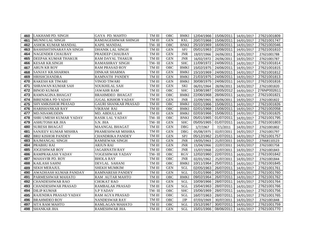| 460 | <b>LAKHAMI PD. SINGH</b>      | <b>GAYA PD. MAHTO</b>       | TM III        | <b>OBC</b> | <b>BMKI</b> |            | 12/04/1966 15/06/2011 | 14/01/2017 | 27621001809 |
|-----|-------------------------------|-----------------------------|---------------|------------|-------------|------------|-----------------------|------------|-------------|
| 461 | MUNNI LAL SINGH               | RAMJAGESHWAR SHINGH         | TM III        | <b>GEN</b> | <b>RXL</b>  | 20/07/1968 | 15/06/2011            | 14/01/2017 | 27621001747 |
| 462 | <b>ASHOK KUMAR MANDAL</b>     | <b>KAPIL MANDAL</b>         | TM-III        | OBC        | <b>BNKI</b> | 25/10/1969 | 16/06/2011            | 14/01/2017 | 27621002046 |
| 463 | <b>BASHISHTHNARAYAN SINGH</b> | <b>DHANIK LAL SINGH</b>     | TM III        | <b>GEN</b> | <b>SPJ</b>  | 05/01/1963 | 22/06/2011            | 14/01/2017 | 27621001810 |
| 464 | <b>NAGENDER CHAUBAY</b>       | PRADEEP CHAUBAY             | TM III        | <b>GEN</b> | <b>JNR</b>  | 19/07/1966 | 24/06/2011            | 14/01/2017 | 27621001788 |
| 465 | DEEPAK KUMAR THAKUR           | RAM DAYAL THAKUR            | TM III        | <b>GEN</b> | <b>JNR</b>  | 16/02/1972 | 24/06/2011            | 14/01/2017 | 27621001787 |
| 466 | <b>KESAR KR.SINGH</b>         | <b>RAMASHRAY SINGH</b>      | TM-III        | <b>GEN</b> | <b>SHC</b>  | 11/09/1972 | 24/06/2011            | 14/01/2017 | 27621001814 |
| 467 | <b>ARUN KR ROY</b>            | <b>RAM PRASAD ROY</b>       | TM III        | OBC        | <b>BMKI</b> | 15/02/1975 | 24/06/2011            | 14/01/2017 | 27621001815 |
| 468 | SANJAY KR.SHARMA              | <b>DINKAR SHARMA</b>        | TM III        | <b>GEN</b> | <b>BMKI</b> | 15/10/1969 | 24/06/2011            | 14/01/2017 | 27621001812 |
| 469 | <b>HRISHCHANDRA</b>           | <b>RAMNATH PANDEY</b>       | TM III        | <b>GEN</b> | <b>BMKI</b> | 21/03/1975 | 24/06/2011            | 14/01/2017 | 27621001813 |
| 470 | <b>RAKESH KR TIWARI</b>       | VINOD TIWARI                | TM III        | <b>GEN</b> | <b>BMKI</b> | 30/08/1975 | 24/06/2011            | 14/01/2017 | 27621001816 |
| 471 | SHRAWAN KUMAR SAH             | SOUKHILAL SAH               | TM III        | <b>GEN</b> | <b>SKI</b>  | 06/01/1964 | 28/06/2011            | 14/01/2017 | 27621001820 |
| 472 | <b>BINOD KUMAR</b>            | <b>JAWAHR RAM</b>           | TM III        | <b>OBC</b> | <b>SHC</b>  | 13/08/1987 | 03/05/2012            | 14/01/2017 | 276NP002611 |
| 473 | <b>RAMNAGINA BHAGAT</b>       | <b>BRAHMDEO BHAGAT</b>      | TM III        | OBC        | <b>BMKI</b> | 22/06/1968 | 28/06/2011            | 14/01/2017 | 27621001821 |
| 474 | <b>BIRENDRA PD YADAV</b>      | JUGAL KISHOR YADAV          | TM III        | <b>GEN</b> | <b>JNR</b>  | 22/09/1965 | 30/06/2011            | 14/01/2017 | 27621001822 |
| 475 | <b>SHYAMKISHOR PRASAD</b>     | <b>GAURI SHANKAR PRASAD</b> | TM III        | OBC        | <b>BMKI</b> | 02/01/1966 | 15/06/2011            | 14/01/2017 | 27621001826 |
| 476 | HARISHANKAR RAY               | VIKRAM RAI                  | TM III        | OBC        | <b>BMKI</b> | 02/01/1968 | 15/06/2011            | 14/01/2017 | 27621002058 |
| 477 | MD.NISAMUDDIN                 | MD. ABDULLAH                | $\rm TM\ III$ | <b>GEN</b> | <b>BMKI</b> | 02/03/1966 | 15/06/2011            | 14/01/2017 | 27621001825 |
| 478 | SHRI UMESH KUMAR YADAV        | <b>RASIK LAL YADAV</b>      | TM-III        | <b>OBC</b> | <b>BNKI</b> | 05/01/1965 | 01/07/2011            | 14/01/2017 | 27621001795 |
| 479 | <b>ASHUTOSH KR JHA</b>        | S.N. JHA                    | TM-III        | <b>GEN</b> | <b>SHC</b>  | 05/05/1965 | 01/07/2011            | 14/01/2017 | 27621001803 |
| 480 | <b>SURESH BHAGAT</b>          | <b>MAANGAL BHAGAT</b>       | TM III        | <b>GEN</b> | <b>DBG</b>  | 1/7/1967   | 7/1/2011              | 14/01/2017 | 27621001802 |
| 481 | SANJEEV KUMAR MISHRA          | PRAMESHWAR MISHRA           | TM III        | <b>GEN</b> | DBG         | 05/08/1975 | 02/07/2011            | 14/01/2017 | 27621001797 |
| 482 | <b>BRIJ KISHOR PANDEY</b>     | CHANDRIKA PANDEY            | TM III        | <b>GEN</b> | SPJ         | 05/12/1962 | 21/07/2011            | 14/01/2017 | 27621001757 |
| 483 | <b>RAJMANGAL SINGH</b>        | RAMSEWAK SINGH              | TM III        | <b>GEN</b> | <b>JNR</b>  | 19/05/1963 | 21/07/2011            | 14/01/2017 | 27668110123 |
| 484 | <b>PRABHU RAI</b>             | <b>ARJUN RAI</b>            | TM III        | <b>GEN</b> | <b>JNR</b>  | 15/04/1966 | 22/07/2011            | 14/01/2017 | 27621001758 |
| 485 | <b>JOGESHWAR ROY</b>          | <b>JAGARNATH RAY</b>        | TM III        | <b>OBC</b> | <b>JNR</b>  | 15/07/1968 | 22/07/2011            | 14/01/2017 | 27621001843 |
| 486 | <b>RAMPRAKASH YADAV</b>       | YOGESHWAR YADAV             | TM-III        | OBC        | <b>RGV</b>  | 12/02/1960 | 22/07/2011            | 14/01/2017 | 27621001842 |
| 487 | <b>MAHAVIR PD. ROY</b>        | <b>BHOLA RAY</b>            | TM III        | OBC        | <b>JNR</b>  | 02/01/1962 | 25/07/2011            | 14/01/2017 | 27621001844 |
| 488 | <b>KAILASH SAHNI</b>          | <b>DEVLAL SAHANI</b>        | TM III        | OBC        | <b>BMKI</b> | 10/11/1964 | 25/07/2011            | 14/01/2017 | 27621001845 |
| 489 | <b>SEKH MERAJUL</b>           | <b>SHEKH MUMKIM</b>         | TM III        | <b>GEN</b> | <b>SGL</b>  | 02/05/1963 | 26/07/2011            | 14/01/2017 | 27621001761 |
| 490 | AWADHASH KUMAR PANDAY         | <b>RAMNARESH PANDEY</b>     | TM III        | <b>GEN</b> | SGL         | 01/01/1966 | 26/07/2011            | 14/01/2017 | 27621001760 |
| 491 | PARMESHWAR MAHATO             | <b>RAM AUTAR MAHTO</b>      | TM III        | <b>OBC</b> | <b>BMKI</b> | 09/02/1964 | 26/07/2011            | 14/01/2017 | 27621001762 |
| 492 | <b>CHANDESHWAR RAO</b>        | CHOKAT RAO                  | TM III        | <b>GEN</b> | <b>SGL</b>  | 10/09/1966 | 28/07/2011            | 14/01/2017 | 27621001764 |
| 493 | <b>CHANDESHWAR PRASAD</b>     | RAMBALAK PRASAD             | TM III        | <b>GEN</b> | <b>SGL</b>  | 15/04/1963 | 28/07/2011            | 14/01/2017 | 27621001766 |
| 494 | <b>DILIP KUMAR</b>            | <b>S.P YADAV</b>            | TM-III        | <b>OBC</b> | <b>SHC</b>  | 15/06/1969 | 28/07/2011            | 14/01/2017 | 27621001756 |
| 495 | <b>RAJENDRA PRASAD YADAV</b>  | <b>RAM AGYA PRASAD</b>      | TM III        | <b>OBC</b> | <b>SGL</b>  | 16/07/1963 | 28/07/2011            | 14/01/2017 | 27621001765 |
| 496 | <b>BRAHMDEO ROY</b>           | <b>NANDESWAR RAY</b>        | TM III        | <b>OBC</b> | JJP         | 07/03/1969 | 30/07/2011            | 14/01/2017 | 27621001848 |
| 497 | <b>SITA RAM MAHTO</b>         | RAMLAGAN MAHATO             | TM III        | OBC        | <b>SGL</b>  | 15/12/1967 | 30/07/2011            | 14/01/2017 | 27621001759 |
| 498 | <b>SHANKAR JHA</b>            | <b>RAMESHWAR JHA</b>        | TM III        | <b>GEN</b> | <b>SGL</b>  | 15/01/1966 | 08/06/2011            | 14/01/2017 | 27621001770 |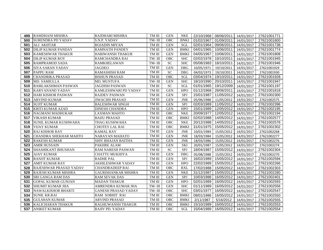| 499 | RAMDHANI MISHRA              | RAJDHARI MISHRA            | TM III | <b>GEN</b> | NKE         |            | 22/10/1968 08/06/2011 | 14/01/2017 | 27621001771 |
|-----|------------------------------|----------------------------|--------|------------|-------------|------------|-----------------------|------------|-------------|
| 500 | <b>SURENDRA PD YADAV</b>     | S.N.P. YADAV               | TM-III | <b>OBC</b> | <b>BNKI</b> | 01/02/1967 | 01/09/2011            | 14/01/2017 | 27621001800 |
| 501 | <b>ALI AKHTAR</b>            | <b>ROJADIN MIYAN</b>       | TM III | <b>GEN</b> | SGL         | 02/01/1964 | 09/06/2011            | 14/01/2017 | 27621001738 |
| 502 | <b>DILIP KUMAR PANDAY</b>    | <b>RAMNATH PANDEY</b>      | TM III | <b>GEN</b> | <b>BMKI</b> | 04/01/1965 | 10/06/2011            | 14/01/2017 | 27621001774 |
| 503 | <b>KAMESHWAR THAKUR</b>      | HARIWANSH THAKUR           | TM III | <b>GEN</b> | <b>BMKI</b> | 04/05/1967 | 10/06/2011            | 14/01/2017 | 27621001808 |
| 504 | <b>DILIP KUMAR ROY</b>       | RAMCHANDRA RAI             | TM-III | OBC        | <b>SHC</b>  | 02/02/1978 | 18/10/2011            | 14/01/2017 | 27621001945 |
| 505 | <b>RAMPRAMOD SADA</b>        | <b>RAMKHELAWAN</b>         | TM-III | <b>SC</b>  | <b>SHC</b>  | 05/08/1983 | 18/10/2011            | 14/01/2017 | 27621001946 |
| 506 | <b>SIYA SARAN YADAV</b>      | JAGDEO                     | TM III | <b>GEN</b> | <b>DBG</b>  | 10/05/1971 | 19/10/2011            | 14/01/2017 | 27621001929 |
| 507 | <b>PAPPU RAM</b>             | <b>RAMASHISH RAM</b>       | TM III | <b>SC</b>  | <b>DBG</b>  | 04/02/1973 | 19/10/2011            | 14/01/2017 | 27621001930 |
| 508 | <b>CHANDRIKA PRASAD</b>      | <b>BISHUN PRASAD</b>       | TM III | <b>OBC</b> | SGL         | 03/04/1974 | 19/10/2011            | 14/01/2017 | 27621001928 |
| 509 | <b>MD. SAMIULLA</b>          | <b>MD. MUSTUFA</b>         | TM-III | <b>GEN</b> | <b>SHC</b>  | 18/10/1990 | 20/10/2011            | 14/01/2017 | 27621001947 |
| 510 | <b>RAMLAKSHMAN PASWAN</b>    | JAGDISH PASWAN             | TM III | <b>SC</b>  | <b>SGL</b>  | 01/01/1965 | 19/12/2009            | 14/01/2017 | 27621001197 |
| 511 | <b>KARYANAND YADAV</b>       | KAMLESHWARI PD YADAV       | TM III | <b>GEN</b> | <b>HPO</b>  | 01/12/1968 | 28/06/2011            | 14/01/2017 | 27621001818 |
| 512 | <b>HARI KISHOR PASWAN</b>    | <b>RAJDEV PASWAN</b>       | TM III | <b>GEN</b> | SPJ         | 15/01/1987 | 11/05/2012            | 14/01/2017 | 27621002300 |
| 513 | <b>ARVIND KUMAR</b>          | JIWACHH PRASAD             | TM III | <b>GEN</b> | <b>JNR</b>  | 05/06/1988 | 11/05/2012            | 14/01/2017 | 27621002575 |
| 514 | <b>SUJIT KUMAR</b>           | <b>BALESHWAR SINGH</b>     | TM III | <b>GEN</b> | SPJ         | 02/03/1989 | 11/05/2012            | 14/01/2017 | 27621002396 |
| 515 | <b>KRITI KUMAR AZAD</b>      | <b>DINESH CHANDRA</b>      | TM III | <b>GEN</b> | <b>HPO</b>  | 15/01/1989 | 12/05/2012            | 14/01/2017 | 27621002195 |
| 516 | NAGMANI MADHUKAR             | <b>LAXMAN MAHTO</b>        | TM III | OBC        | <b>NKE</b>  | 20/09/1977 | 12/05/2012            | 14/01/2017 | 27621002194 |
| 517 | <b>VIKASH KUMAR</b>          | <b>BAIJU PRASAD</b>        | TM III | <b>OBC</b> | <b>BMKI</b> | 02/02/1988 | 14/05/2012            | 14/01/2017 | 27621002577 |
| 518 | SUNIL KUMAR KUSHWAHA         | THAG KUSHWAHA              | TM III | <b>OBC</b> | <b>NKE</b>  | 20/12/1988 | 14/05/2012            | 14/01/2017 | 27621002576 |
| 519 | <b>VIJAY KUMAR</b>           | <b>CHOTEY LAL RAI</b>      | TM III | OBC        | <b>BMKI</b> | 31/01/1975 | 15/05/2012            | 14/01/2017 | 27621002302 |
| 520 | <b>RAJ KISHOR RAY</b>        | <b>KAMAL RAY</b>           | TM III | <b>GEN</b> | <b>JNR</b>  | 10/01/1984 | 15/05/2012            | 14/01/2017 | 27621002268 |
| 521 | <b>CHANDRA SHEKHAR MAHTO</b> | NARAYAN MAHATO             | TM III | <b>GEN</b> | <b>JNR</b>  | 18/03/1984 | 15/05/2012            | 14/01/2017 | 27621002277 |
| 522 | <b>RAKESH KUMAR</b>          | <b>SHIV BHAJAN BAITHA</b>  | TM III | <b>GEN</b> | <b>JNR</b>  | 18/03/1986 | 15/05/2012            | 14/01/2017 | 27621002276 |
| 523 | <b>AMIR HUSSAIN</b>          | PAKHRE ALAM                | TM III | <b>GEN</b> | <b>SKI</b>  | 20/01/1987 | 15/05/2012            | 14/01/2017 | 27621002274 |
| 524 | <b>SHASHIKANT BHUSHAN</b>    | RAM NARESH PASWAN          | TM III | <b>SC</b>  | SPJ         | 18/04/1987 | 15/05/2012            | 14/01/2017 | 27621002304 |
| 525 | <b>AJAY KUMAR</b>            | <b>CHATTU MUKHIYA</b>      | TM III | <b>GEN</b> | DBG         | 05/08/1988 | 15/05/2012            | 14/01/2017 | 27621002270 |
| 526 | <b>RANJIT KUMAR</b>          | <b>RADHE PAL</b>           | TM III | <b>GEN</b> | SPJ         | 16/02/1989 | 15/05/2012            | 14/01/2017 | 27621002594 |
| 527 | <b>AMIT KUMAR RAY</b>        | <b>AKHILESHWAR YADAV</b>   | TM III | <b>GEN</b> | <b>HPO</b>  | 22/02/1989 | 15/05/2012            | 14/01/2017 | 27621002266 |
| 528 | RAJESHWAR PRASAD YADAV       | <b>CHANDRADEEP RAI</b>     | TM III | OBC        | <b>RXL</b>  | 17/02/1988 | 15/05/2012            | 14/01/2017 | 27621002303 |
| 529 | <b>RAJESH KUMAR MISHRA</b>   | <b>GAURISHANKAR MISHRA</b> | TM III | <b>GEN</b> | <b>NKE</b>  | 31/12/1987 | 15/05/2012            | 14/01/2017 | 27621002280 |
| 530 | <b>SRI GANGA RAM DAS</b>     | <b>RAM SEVAK DAS</b>       | TM III | <b>GEN</b> | <b>SPJ</b>  | 10/03/1988 | 16/05/2012            | 14/01/2017 | 27621002401 |
| 531 | GOPAL KUMAR GUNJAN           | <b>MADAN THAKUR</b>        | TM III | <b>GEN</b> | <b>HPO</b>  | 02/01/1989 | 16/05/2012            | 14/01/2017 | 27621002593 |
| 532 | <b>SHUMIT KUMAR JHA</b>      | AMRENDRA KUMAR JHA         | TM-III | <b>GEN</b> | <b>SHC</b>  | 01/11/1989 | 16/05/2012            | 14/01/2017 | 27621002556 |
| 533 | <b>NAWALKISHOR BHARTI</b>    | <b>GANESH PRASAD YADAV</b> | TM-III | OBC        | <b>SHC</b>  | 03/01/1977 | 16/05/2012            | 14/01/2017 | 27621002547 |
| 534 | <b>SUNIL KR.RAI</b>          | <b>RAM SOBHIT RAI</b>      | TM III | <b>OBC</b> | <b>BMKI</b> | 09/01/1986 | 16/05/2012            | 14/01/2017 | 27621002550 |
| 535 | <b>GULSHAN KUMAR</b>         | <b>ARVIND PRASAD</b>       | TM III | <b>OBC</b> | <b>BMKI</b> | 2/11/1987  | 5/16/2012             | 14/01/2017 | 27621002555 |
| 536 | <b>KALICHARAN THAKUR</b>     | RAGHUWANSH THAKUR          | TM III | OBC        | <b>BMKI</b> | 15/10/1989 | 16/05/2012            | 14/01/2017 | 27621002553 |
| 537 | <b>ANIKET KUMAR</b>          | <b>RAJIV PD. YADAV</b>     | TM III | <b>OBC</b> | <b>SGL</b>  | 15/04/1989 | 16/05/2012            | 14/01/2017 | 27621002554 |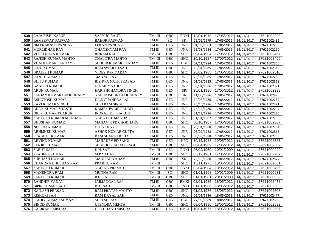| 538 | <b>RAJA RISHI KAPUR</b>       | <b>SARYUG RAUT</b>      | TM- $\rm III$ | OBC        | BNKI        |            | 12/01/1978 17/05/2012 14/01/2017 |            | 27621002293 |
|-----|-------------------------------|-------------------------|---------------|------------|-------------|------------|----------------------------------|------------|-------------|
| 539 | <b>RAMSEWAK PASWAN</b>        | <b>BAHOR PASWAN</b>     | TM III        | <b>SC</b>  | <b>SKI</b>  | 25/02/1979 | 17/05/2012                       | 14/01/2017 | 27621002485 |
| 540 | OM PRAKASH PANDAY             | <b>FEKAN PANDAY</b>     | TM III        | <b>GEN</b> | <b>JNR</b>  | 01/03/1983 | 17/05/2012                       | 14/01/2017 | 27621002299 |
| 541 | <b>MURLIDHAR RAY</b>          | <b>GHANSHYAM RAY</b>    | TM III        | <b>GEN</b> | <b>JNR</b>  | 15/03/1984 | 17/05/2012                       | 14/01/2017 | 27621002290 |
| 542 | VEERENDRA KUMAR               | <b>RUKAM RAI</b>        | TM-III        | OBC        | <b>SHC</b>  | 09/04/1984 | 17/05/2012                       | 14/01/2017 | 27621002467 |
| 543 | <b>RAJESH KUMAR MAHTO</b>     | <b>CHALITRA MAHTO</b>   | TM-III        | OBC        | <b>SHC</b>  | 20/10/1984 | 17/05/2012                       | 14/01/2017 | 27621002466 |
| 544 | VIJAI KUMAR PANDAY            | SUDHIR KUMAR PANDAY     | TM III        | <b>GEN</b> | <b>DBG</b>  | 02/11/1984 | 17/05/2012                       | 14/01/2017 | 27621002350 |
| 545 | <b>RAJU KUMAR</b>             | <b>RAM SWARTH SAH</b>   | TM III        | <b>OBC</b> | <b>JNR</b>  | 10/01/1985 | 17/05/2012                       | 14/01/2017 | 27621002312 |
| 546 | <b>BRAJESH KUMAR</b>          | <b>VIDESHWR YADAV</b>   | TM III        | <b>OBC</b> | <b>SHC</b>  | 25/02/1985 | 17/05/2012                       | 14/01/2017 | 27621002310 |
| 547 | <b>RANJIT KUMAR</b>           | <b>MANNU RAY</b>        | TM III        | <b>GEN</b> | <b>JNR</b>  | 25/02/1985 | 17/05/2012                       | 14/01/2017 | 27621002288 |
| 548 | <b>BITTU KUMAR</b>            | BISHWA NATH PRASAD      | TM III        | <b>GEN</b> | <b>JNR</b>  | 01/03/1985 | 17/05/2012                       | 14/01/2017 | 27621002369 |
| 549 | <b>GANESH KUMAR</b>           | JANAK MATHO             | TM III        | <b>GEN</b> | <b>JNR</b>  | 05/01/1986 | 17/05/2012                       | 14/01/2017 | 27621002371 |
| 550 | <b>ARUN KUMAR</b>             | HARISHCHANDRA SINGH     | TM III        | <b>GEN</b> | SPJ         | 25/01/1986 | 17/05/2012                       | 14/01/2017 | 27621002298 |
| 551 | <b>SANJAY KUMAR CHOUDHARY</b> | NANDKISHOR CHOUDHARY    | TM III        | <b>OBC</b> | <b>SKI</b>  | 11/03/1986 | 17/05/2012                       | 14/01/2017 | 27621002495 |
| 552 | <b>ASHUTOSH KUMAR</b>         | DILE CHANDRA LAL        | TM III        | <b>GEN</b> | <b>JNR</b>  | 10/03/1986 | 17/05/2012                       | 14/01/2017 | 27621002289 |
| 553 | <b>RAVI KUMAR SINGH</b>       | SHRI RAM SINGH          | TM III        | <b>GEN</b> | <b>JNR</b>  | 20/10/1986 | 17/05/2012                       | 14/01/2017 | 27621002291 |
| 554 | <b>BIJAY KUMAR SHASTRI</b>    | KAMESHWARI PANDIT       | TM III        | <b>GEN</b> | <b>JNR</b>  | 25/12/1986 | 17/05/2012                       | 14/01/2017 | 27621002297 |
| 555 | <b>DILIP KUMAR THAKUR</b>     | <b>INDRAJEET THAKUR</b> | TM III        | <b>GEN</b> | <b>JNR</b>  | 31/12/1986 | 17/05/2012                       | 14/01/2017 | 27621002285 |
| 556 | SANTOSH KUMAR MANDAL          | NAND LAL MANDAL         | TM III        | <b>GEN</b> | <b>JNR</b>  | 31/01/1987 | 17/05/2012                       | 14/01/2017 | 27621002296 |
| 557 | <b>BHUSHAN KUMAR</b>          | MAHAVIR PD CHODHARY     | TM III        | OBC        | <b>SHC</b>  | 30/10/1987 | 17/05/2012                       | 14/01/2017 | 27621002307 |
| 558 | NEERAJ KUMAR                  | <b>JAGAT RAY</b>        | TM III        | <b>GEN</b> | <b>JNR</b>  | 25/01/1988 | 17/05/2012                       | 14/01/2017 | 27621002284 |
| 559 | <b>ABHISHEK KUMAR</b>         | ASHOK KUMAR GUPTA       | TM III        | <b>GEN</b> | <b>JNR</b>  | 03/02/1988 | 17/05/2012                       | 14/01/2017 | 27621002366 |
| 560 | PRABHAT KUMAR                 | <b>BAM SHANKAR JHA</b>  | TM III        | <b>GEN</b> | <b>JNR</b>  | 06/09/1988 | 17/05/2012                       | 14/01/2017 | 27621002283 |
| 561 | <b>ARVIND KUMAR</b>           | MAHADEV PD SAHU         | TM III        | <b>GEN</b> | <b>HPO</b>  | 30/12/1988 | 19/05/2012                       | 14/01/2017 | 27621002587 |
| 562 | <b>SANJIB KUMAR</b>           | SUBODH PRASAD SINGH     | TM III        | OBC        | <b>SHC</b>  | 06/04/1989 | 17/05/2012                       | 14/01/2017 | 27621002309 |
| 563 | <b>SABUT SAFI</b>             | D.N. SAFI               | TM-III        | <b>GEN</b> | <b>BNKI</b> | 26/02/1969 | 10/01/2009                       | 14/01/2017 | 27621000929 |
| 564 | <b>PRADEEP KUMAR</b>          | <b>M.P YADAV</b>        | TM-III        | <b>OBC</b> | <b>SHC</b>  | 05/12/1981 | 17/05/2012                       | 14/01/2017 | 27621002287 |
| 565 | <b>SUBHASH KUMAR</b>          | <b>MANILAL YADAV</b>    | TM III        | <b>OBC</b> | <b>SKI</b>  | 25/10/1988 | 17/05/2012                       | 14/01/2017 | 27621002522 |
| 566 | CHANDRA BHUSHAN RAM           | PRABHU RAM              | TM-III        | SC         | <b>SHC</b>  | 15/11/1973 | 18/05/2012                       | 14/01/2017 | 27621002601 |
| 567 | <b>SANTOSH KUMAR</b>          | NAGINA PRASAD           | TM-III        | OBC        | <b>BNKI</b> | 03/04/1984 | 18/05/2012                       | 14/01/2017 | 27621002496 |
| 568 | <b>MAHENDRA RAM</b>           | <b>MUNNA RAM</b>        | TM-III        | <b>SC</b>  | <b>SHC</b>  | 01/01/1968 | 20/01/2009                       | 14/01/2017 | 27621000931 |
| 569 | <b>SANTOSH KUMAR</b>          | R.C. RAI                | TM-III        | OBC        | <b>SHC</b>  | 01/01/1981 | 20/01/2009                       | 14/01/2017 | 27621000932 |
| 570 | <b>RANDHIR YADAV</b>          | JAIMANGAL RAI           | TM III        | OBC        | <b>BMKI</b> | 02/01/1985 | 18/05/2012                       | 14/01/2017 | 27621002478 |
| 571 | <b>BIPIN KUMAR SAH</b>        | B.L. SAH                | TM-III        | OBC        | <b>BNKI</b> | 01/01/1986 | 18/05/2012                       | 14/01/2017 | 27621002583 |
| 572 | <b>KAILASH PRASAD</b>         | RAM PRATAP MAHTO        | TM III        | <b>OBC</b> | <b>SHC</b>  | 01/02/1986 | 18/05/2012                       | 14/01/2017 | 27621002308 |
| 573 | <b>KISHORI SAH</b>            | RAM DAYAL SAH           | TM III        | <b>GEN</b> | <b>JNR</b>  | 05/01/1986 | 18/05/2012                       | 14/01/2017 | 27621002477 |
| 574 | <b>SANJIV KUMAR SUMAN</b>     | <b>SURESH RAY</b>       | TM III        | <b>GEN</b> | <b>DBG</b>  | 27/08/1989 | 18/05/2012                       | 14/01/2017 | 27621002352 |
| 575 | <b>BINOD KUMAR</b>            | <b>UPENDRA MEHTA</b>    | TM-III        | OBC        | <b>SHC</b>  | 08/04/1986 | 18/05/2012                       | 14/01/2017 | 27621002582 |
| 576 | <b>KALIKANT MISHRA</b>        | DEO CHAND MISHRA        | TM III        | <b>GEN</b> | <b>BMKI</b> | 10/01/1977 | 18/05/2012                       | 14/01/2017 | 27621002557 |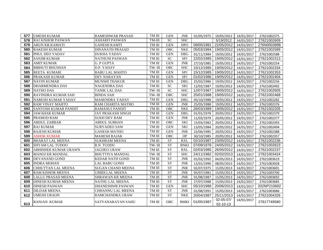| 577 | <b>UMESH KUMAR</b>          | <b>RAMESHWAR PRASAD</b>  | TM III | <b>GEN</b> | <b>JNR</b>  |            | 01/05/1975   19/05/2012   14/01/2017 |            | 27621002375 |
|-----|-----------------------------|--------------------------|--------|------------|-------------|------------|--------------------------------------|------------|-------------|
| 578 | <b>RAJ KISHOR PASWAN</b>    | <b>ASHARFI PASWAN</b>    | TM-III | ${\rm SC}$ | <b>SHC</b>  |            | 5/19/2012                            | 14/01/2017 | 27621002609 |
| 579 | <b>ARUN KR.KAMATI</b>       | <b>GANESH KAMTI</b>      | TM III | <b>GEN</b> | <b>HPO</b>  | 09/05/1981 | 22/05/2012                           | 14/01/2017 | 276N0003898 |
| 580 | <b>RAKESH KUMAR</b>         | <b>DINANATH PRASAD</b>   | TM III | <b>OBC</b> | <b>NKE</b>  | 05/03/1984 | 19/05/2012                           | 14/01/2017 | 27621002589 |
| 581 | PHUL DEO YADAV              | <b>DUKHA YADAV</b>       | TM III | <b>GEN</b> | <b>DBG</b>  | 01/11/1984 | 19/05/2012                           | 14/01/2017 | 27621002588 |
| 582 | <b>SANJIB KUMAR</b>         | <b>NATHUNI PASWAN</b>    | TM III | <b>SC</b>  | SPJ         | 22/02/1985 | 19/05/2012                           | 14/01/2017 | 27621002313 |
| 583 | <b>AMIT KUMAR</b>           | <b>G. P GUPTA</b>        | TM III | <b>GEN</b> | <b>JNR</b>  | 27/10/1985 | 19/05/2012                           | 14/01/2017 | 27621002254 |
| 584 | <b>BIBHUTI BHUSHAN</b>      | D.P. YADAV               | TM-III | OBC        | <b>SHC</b>  | 15/12/1985 | 19/05/2012                           | 14/01/2017 | 27621002334 |
| 585 | <b>REETA KUMARI</b>         | <b>BABU LAL MAHTO</b>    | TM III | <b>GEN</b> | SPJ         | 15/12/1985 | 19/05/2012                           | 14/01/2017 | 27621002353 |
| 586 | PRAKASH KUMAR               | <b>DEV NARAYAN</b>       | TM III | <b>GEN</b> | SPJ         | 01/02/1986 | 19/05/2012                           | 14/01/2017 | 27621002404 |
| 587 | <b>NAVIN KUMAR</b>          | <b>MUNSHI THAKUR</b>     | TM III | <b>GEN</b> | <b>DBG</b>  | 25/02/1986 | 19/05/2012                           | 14/01/2017 | 27621002256 |
| 588 | <b>DHARMENDRA DAS</b>       | <b>NAGENDRA DAS</b>      | TM III | <b>SC</b>  | <b>SKI</b>  | 12/02/1987 | 19/05/2012                           | 14/01/2017 | 27621002492 |
| 589 | <b>NATHO DAS</b>            | <b>TANIK LAL DAS</b>     | TM-III | <b>SC</b>  | <b>SHC</b>  | 12/07/1987 | 19/05/2012                           | 14/01/2017 | 27621002605 |
| 590 | <b>RAVINDRA KUMAR SAH</b>   | <b>BINDA SAH</b>         | TM-III | <b>OBC</b> | <b>SHC</b>  | 25/01/1988 | 19/05/2012                           | 14/01/2017 | 27621002468 |
| 591 | <b>NARESH KUMAR YADAV</b>   | <b>MAHENDRA YADAV</b>    | TM III | <b>GEN</b> | <b>DBG</b>  | 05/10/1988 | 19/05/2012                           | 14/01/2017 | 27621002282 |
| 592 | <b>RAM VINAY MAHTO</b>      | RAM CHARITA MATHO        | TM III | <b>GEN</b> | <b>JNR</b>  | 25/05/1988 | 19/05/2012                           | 14/01/2017 | 27621002376 |
| 593 | <b>SANTOSH KUMAR PANDIT</b> | <b>RAMANUJ PANDIT</b>    | TM III | <b>OBC</b> | <b>NKE</b>  | 26/03/1989 | 19/05/2012                           | 14/01/2017 | 27621002205 |
| 594 | <b>JAWAHAR KUMAR</b>        | <b>JAY PRAKASH SINGH</b> | TM III | <b>GEN</b> | <b>DBG</b>  | 01/01/1978 | 20/05/2012                           | 14/01/2017 | 27621002379 |
| 595 | PRAMOD RAM                  | <b>SUKH DEV RAM</b>      | TM III | <b>GEN</b> | <b>JNR</b>  | 11/03/1979 | 20/05/2012                           | 14/01/2017 | 27621002377 |
| 596 | <b>ABDUL ZABBAR</b>         | <b>ABDUL SUBHAN</b>      | TM III | <b>OBC</b> | <b>SKI</b>  | 15/03/1982 | 20/05/2012                           | 14/01/2017 | 27621002393 |
| 597 | <b>RAJ KUMAR</b>            | <b>SURYADEO SAW</b>      | TM III | <b>GEN</b> | <b>SKI</b>  | 13/05/1984 | 20/05/2012                           | 14/01/2017 | 27621002494 |
| 598 | <b>RAJESH KUMAR</b>         | <b>GANESH MATHO</b>      | TM III | <b>GEN</b> | <b>JNR</b>  | 22/06/1985 | 20/05/2012                           | 14/01/2017 | 27621002388 |
| 599 | <b>ASHOK KUMAR</b>          | <b>MAHESH RAJAK</b>      | TM III | OBC        | <b>JJP</b>  | 30/10/1985 | 20/05/2012                           | 14/01/2017 | 27621002357 |
| 600 | <b>BHARAT LAL MEENA</b>     | <b>SUKHRAM MEENA</b>     | TM III | <b>ST</b>  | <b>RXL</b>  | 02/10/1987 | 23/05/2012                           | 14/01/2017 | 27621002236 |
| 601 | <b>SHYAM LAL TUDOO</b>      | R.N. TUDDU               | TM-III | <b>ST</b>  | <b>BNKI</b> | 07/09/1978 | 24/05/2012                           | 14/01/2017 | 27621002623 |
| 602 | <b>ABHISHEK KUMAR URAWN</b> | <b>JAGDEO URAW</b>       | TM III | <b>ST</b>  | <b>RXL</b>  | 02/03/1985 | 26/05/2012                           | 14/01/2017 | 27621002237 |
| 603 | <b>MANOJ KR MANDAL</b>      | <b>BHUTTIYA MANDAL</b>   | TM-III | <b>ST</b>  | <b>SHC</b>  | 24/11/1982 | 02/02/2013                           | 14/01/2017 | 27621003424 |
| 604 | DEVANAND GOND               | <b>KEDAR NATH GOND</b>   | TM III | <b>ST</b>  | <b>JNR</b>  | 01/02/1992 | 04/05/2013                           | 14/01/2017 | 27621003619 |
| 605 | <b>INDRA MOHAN</b>          | <b>LAL BABU GOND</b>     | TM III | <b>ST</b>  | <b>JNR</b>  | 12/01/1990 | 08/05/2013                           | 14/01/2017 | 27621003928 |
| 606 | CHHUTTAN LAL MEENA          | <b>SUGAN CHAND MEENA</b> | TM III | <b>ST</b>  | <b>JNR</b>  | 02/07/1975 | 15/05/2013                           | 14/01/2017 | 27621003691 |
| 607 | <b>RAM KISHOR MEENA</b>     | <b>UMIDI LAL MEENA</b>   | TM III | <b>ST</b>  | <b>JNR</b>  | 05/07/1981 | 15/05/2013                           | 14/01/2017 | 27621003700 |
| 608 | <b>LALLU PRASAD MEENA</b>   | <b>SHRAWAN KR MEENA</b>  | TM III | <b>ST</b>  | <b>JNR</b>  | 01/08/1987 | 15/05/2013                           | 14/01/2017 | 27621003692 |
| 609 | <b>DINESH KUMAR MEENA</b>   | <b>NATHU LAL MEENA</b>   | TM III | <b>ST</b>  | <b>JNR</b>  | 27/07/1988 | 15/05/2013                           | 14/01/2017 | 27621003685 |
| 610 | <b>DINESH PASWAN</b>        | <b>DHANESHWR PASWAN</b>  | TM III | <b>GEN</b> | <b>SHC</b>  | 05/10/1986 | 20/06/2013                           | 14/01/2017 | 332NP210692 |
| 611 | <b>DILDAR MEENA</b>         | <b>CHHANNU LAL MEENA</b> | TM III | <b>ST</b>  | <b>JNR</b>  | 01/08/1991 | 15/05/2013                           | 14/01/2017 | 27621003686 |
| 612 | <b>UMESH URAON</b>          | RAMCHANDRA URAW          | TM III | <b>ST</b>  | <b>NKE</b>  | 20/04/1987 | 25/11/2013                           | 14/01/2017 | 27621004326 |
| 613 | <b>RANJAN KUMAR</b>         | SATYANARAYAN SAHU        | TM III | <b>OBC</b> | <b>BMKI</b> | 01/05/1987 | 02-05-07/<br>02-10-13                | 14/01/2017 | 27617749580 |